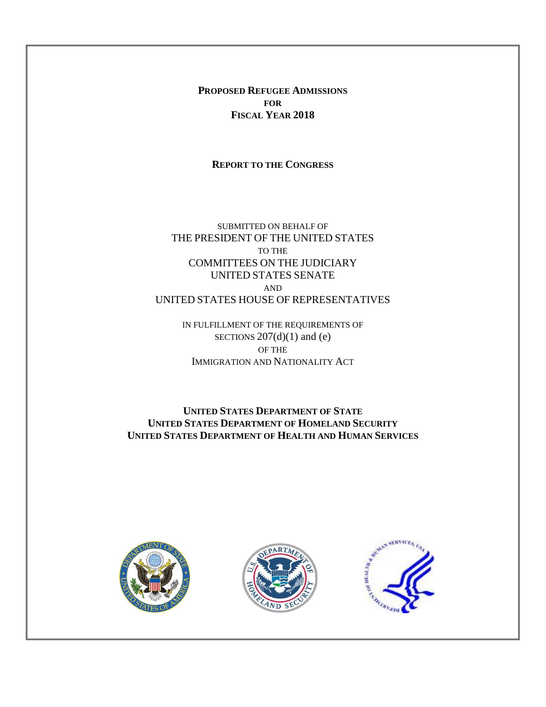**PROPOSED REFUGEE ADMISSIONS FOR FISCAL YEAR 2018**

**REPORT TO THE CONGRESS**

SUBMITTED ON BEHALF OF THE PRESIDENT OF THE UNITED STATES TO THE COMMITTEES ON THE JUDICIARY UNITED STATES SENATE AND UNITED STATES HOUSE OF REPRESENTATIVES

> IN FULFILLMENT OF THE REQUIREMENTS OF SECTIONS  $207(d)(1)$  and (e) OF THE IMMIGRATION AND NATIONALITY ACT

**UNITED STATES DEPARTMENT OF STATE UNITED STATES DEPARTMENT OF HOMELAND SECURITY UNITED STATES DEPARTMENT OF HEALTH AND HUMAN SERVICES**





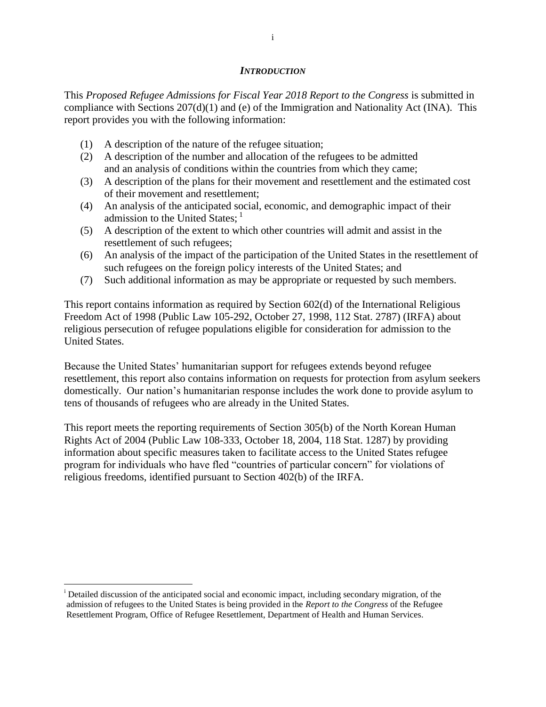#### *INTRODUCTION*

This *Proposed Refugee Admissions for Fiscal Year 2018 Report to the Congress* is submitted in compliance with Sections  $207(d)(1)$  and (e) of the Immigration and Nationality Act (INA). This report provides you with the following information:

- (1) A description of the nature of the refugee situation;
- (2) A description of the number and allocation of the refugees to be admitted and an analysis of conditions within the countries from which they came;
- (3) A description of the plans for their movement and resettlement and the estimated cost of their movement and resettlement;
- (4) An analysis of the anticipated social, economic, and demographic impact of their admission to the United States;  $<sup>1</sup>$ </sup>
- (5) A description of the extent to which other countries will admit and assist in the resettlement of such refugees;
- (6) An analysis of the impact of the participation of the United States in the resettlement of such refugees on the foreign policy interests of the United States; and
- (7) Such additional information as may be appropriate or requested by such members.

This report contains information as required by Section 602(d) of the International Religious Freedom Act of 1998 (Public Law 105-292, October 27, 1998, 112 Stat. 2787) (IRFA) about religious persecution of refugee populations eligible for consideration for admission to the United States.

Because the United States' humanitarian support for refugees extends beyond refugee resettlement, this report also contains information on requests for protection from asylum seekers domestically. Our nation's humanitarian response includes the work done to provide asylum to tens of thousands of refugees who are already in the United States.

This report meets the reporting requirements of Section 305(b) of the North Korean Human Rights Act of 2004 (Public Law 108-333, October 18, 2004, 118 Stat. 1287) by providing information about specific measures taken to facilitate access to the United States refugee program for individuals who have fled "countries of particular concern" for violations of religious freedoms, identified pursuant to Section 402(b) of the IRFA.

 $\overline{\phantom{a}}$ <sup>i</sup> Detailed discussion of the anticipated social and economic impact, including secondary migration, of the admission of refugees to the United States is being provided in the *Report to the Congress* of the Refugee Resettlement Program, Office of Refugee Resettlement, Department of Health and Human Services.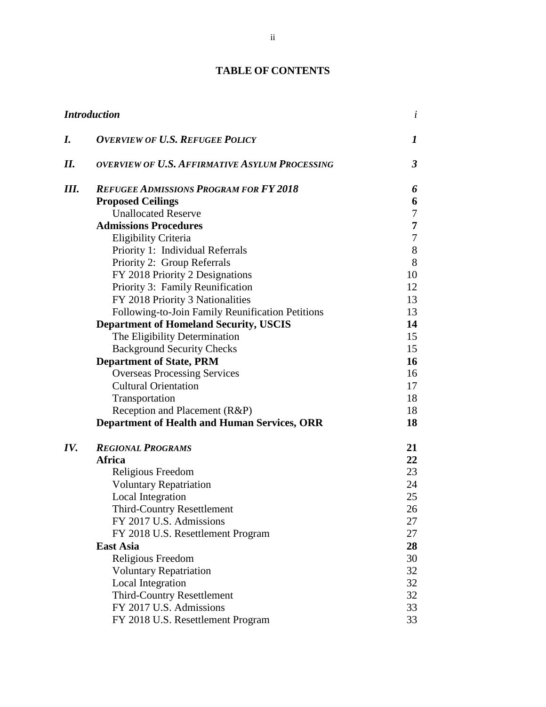# **TABLE OF CONTENTS**

|     | <b>Introduction</b>                                   | $\dot{i}$        |
|-----|-------------------------------------------------------|------------------|
| I.  | <b>OVERVIEW OF U.S. REFUGEE POLICY</b>                | 1                |
| II. | <b>OVERVIEW OF U.S. AFFIRMATIVE ASYLUM PROCESSING</b> | $\mathfrak{Z}$   |
| Ш.  | <b>REFUGEE ADMISSIONS PROGRAM FOR FY 2018</b>         | 6                |
|     | <b>Proposed Ceilings</b>                              | 6                |
|     | <b>Unallocated Reserve</b>                            | 7                |
|     | <b>Admissions Procedures</b>                          | 7                |
|     | Eligibility Criteria                                  | $\boldsymbol{7}$ |
|     | Priority 1: Individual Referrals                      | $8\,$            |
|     | Priority 2: Group Referrals                           | 8                |
|     | FY 2018 Priority 2 Designations                       | 10               |
|     | Priority 3: Family Reunification                      | 12               |
|     | FY 2018 Priority 3 Nationalities                      | 13               |
|     | Following-to-Join Family Reunification Petitions      | 13               |
|     | <b>Department of Homeland Security, USCIS</b>         | 14               |
|     | The Eligibility Determination                         | 15               |
|     | <b>Background Security Checks</b>                     | 15               |
|     | <b>Department of State, PRM</b>                       | 16               |
|     | <b>Overseas Processing Services</b>                   | 16               |
|     | <b>Cultural Orientation</b>                           | 17               |
|     | Transportation                                        | 18               |
|     | Reception and Placement (R&P)                         | 18               |
|     | <b>Department of Health and Human Services, ORR</b>   | 18               |
| IV. | <b>REGIONAL PROGRAMS</b>                              | 21               |
|     | Africa                                                | 22               |
|     | Religious Freedom                                     | 23               |
|     | <b>Voluntary Repatriation</b>                         | 24               |
|     | Local Integration                                     | 25               |
|     | <b>Third-Country Resettlement</b>                     | 26               |
|     | FY 2017 U.S. Admissions                               | 27               |
|     | FY 2018 U.S. Resettlement Program                     | 27               |
|     | <b>East Asia</b>                                      | 28               |
|     | Religious Freedom                                     | 30               |
|     | <b>Voluntary Repatriation</b>                         | 32               |
|     | Local Integration                                     | 32               |
|     | <b>Third-Country Resettlement</b>                     | 32               |
|     | FY 2017 U.S. Admissions                               | 33               |
|     | FY 2018 U.S. Resettlement Program                     | 33               |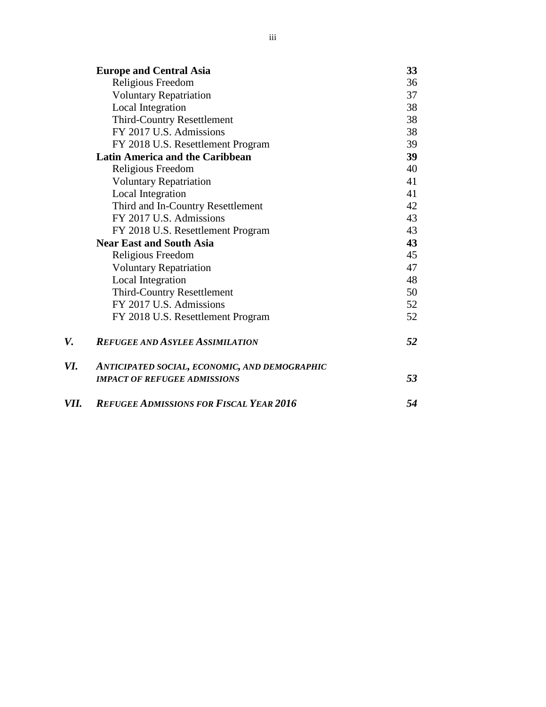|      | <b>Europe and Central Asia</b>                 | 33 |
|------|------------------------------------------------|----|
|      | Religious Freedom                              | 36 |
|      | <b>Voluntary Repatriation</b>                  | 37 |
|      | <b>Local Integration</b>                       | 38 |
|      | <b>Third-Country Resettlement</b>              | 38 |
|      | FY 2017 U.S. Admissions                        | 38 |
|      | FY 2018 U.S. Resettlement Program              | 39 |
|      | <b>Latin America and the Caribbean</b>         | 39 |
|      | Religious Freedom                              | 40 |
|      | <b>Voluntary Repatriation</b>                  | 41 |
|      | Local Integration                              | 41 |
|      | Third and In-Country Resettlement              | 42 |
|      | FY 2017 U.S. Admissions                        | 43 |
|      | FY 2018 U.S. Resettlement Program              | 43 |
|      | <b>Near East and South Asia</b>                | 43 |
|      | Religious Freedom                              | 45 |
|      | <b>Voluntary Repatriation</b>                  | 47 |
|      | Local Integration                              | 48 |
|      | <b>Third-Country Resettlement</b>              | 50 |
|      | FY 2017 U.S. Admissions                        | 52 |
|      | FY 2018 U.S. Resettlement Program              | 52 |
| V.   | <b>REFUGEE AND ASYLEE ASSIMILATION</b>         | 52 |
| VI.  | ANTICIPATED SOCIAL, ECONOMIC, AND DEMOGRAPHIC  |    |
|      | <b>IMPACT OF REFUGEE ADMISSIONS</b>            | 53 |
| VII. | <b>REFUGEE ADMISSIONS FOR FISCAL YEAR 2016</b> | 54 |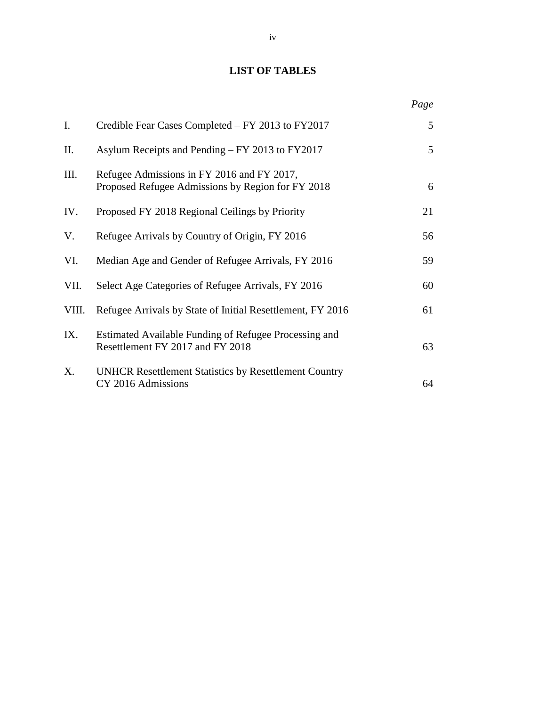# **LIST OF TABLES**

|       |                                                                                                 | Page |
|-------|-------------------------------------------------------------------------------------------------|------|
| I.    | Credible Fear Cases Completed – FY 2013 to FY2017                                               | 5    |
| Π.    | Asylum Receipts and Pending – FY 2013 to FY2017                                                 | 5    |
| III.  | Refugee Admissions in FY 2016 and FY 2017,<br>Proposed Refugee Admissions by Region for FY 2018 | 6    |
| IV.   | Proposed FY 2018 Regional Ceilings by Priority                                                  | 21   |
| V.    | Refugee Arrivals by Country of Origin, FY 2016                                                  | 56   |
| VI.   | Median Age and Gender of Refugee Arrivals, FY 2016                                              | 59   |
| VII.  | Select Age Categories of Refugee Arrivals, FY 2016                                              | 60   |
| VIII. | Refugee Arrivals by State of Initial Resettlement, FY 2016                                      | 61   |
| IX.   | Estimated Available Funding of Refugee Processing and<br>Resettlement FY 2017 and FY 2018       | 63   |
| X.    | <b>UNHCR Resettlement Statistics by Resettlement Country</b><br>CY 2016 Admissions              | 64   |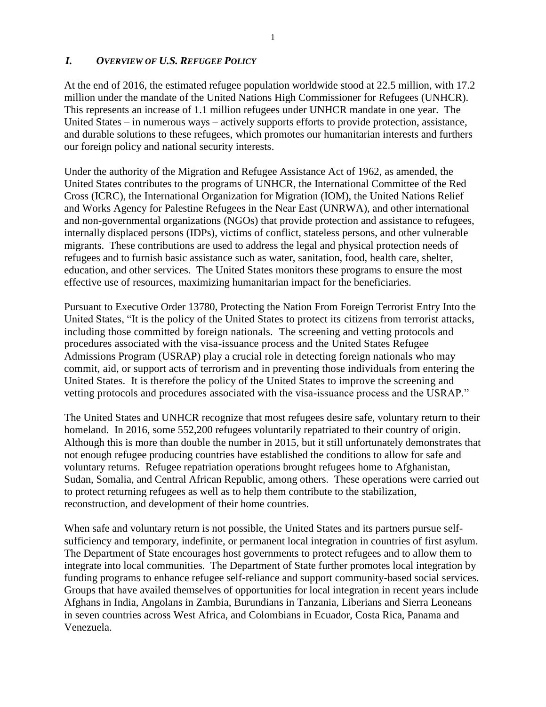## *I. OVERVIEW OF U.S. REFUGEE POLICY*

At the end of 2016, the estimated refugee population worldwide stood at 22.5 million, with 17.2 million under the mandate of the United Nations High Commissioner for Refugees (UNHCR). This represents an increase of 1.1 million refugees under UNHCR mandate in one year. The United States – in numerous ways – actively supports efforts to provide protection, assistance, and durable solutions to these refugees, which promotes our humanitarian interests and furthers our foreign policy and national security interests.

Under the authority of the Migration and Refugee Assistance Act of 1962, as amended, the United States contributes to the programs of UNHCR, the International Committee of the Red Cross (ICRC), the International Organization for Migration (IOM), the United Nations Relief and Works Agency for Palestine Refugees in the Near East (UNRWA), and other international and non-governmental organizations (NGOs) that provide protection and assistance to refugees, internally displaced persons (IDPs), victims of conflict, stateless persons, and other vulnerable migrants. These contributions are used to address the legal and physical protection needs of refugees and to furnish basic assistance such as water, sanitation, food, health care, shelter, education, and other services. The United States monitors these programs to ensure the most effective use of resources, maximizing humanitarian impact for the beneficiaries.

Pursuant to Executive Order 13780, Protecting the Nation From Foreign Terrorist Entry Into the United States, "It is the policy of the United States to protect its citizens from terrorist attacks, including those committed by foreign nationals. The screening and vetting protocols and procedures associated with the visa-issuance process and the United States Refugee Admissions Program (USRAP) play a crucial role in detecting foreign nationals who may commit, aid, or support acts of terrorism and in preventing those individuals from entering the United States. It is therefore the policy of the United States to improve the screening and vetting protocols and procedures associated with the visa-issuance process and the USRAP."

The United States and UNHCR recognize that most refugees desire safe, voluntary return to their homeland. In 2016, some 552,200 refugees voluntarily repatriated to their country of origin. Although this is more than double the number in 2015, but it still unfortunately demonstrates that not enough refugee producing countries have established the conditions to allow for safe and voluntary returns. Refugee repatriation operations brought refugees home to Afghanistan, Sudan, Somalia, and Central African Republic, among others. These operations were carried out to protect returning refugees as well as to help them contribute to the stabilization, reconstruction, and development of their home countries.

When safe and voluntary return is not possible, the United States and its partners pursue selfsufficiency and temporary, indefinite, or permanent local integration in countries of first asylum. The Department of State encourages host governments to protect refugees and to allow them to integrate into local communities. The Department of State further promotes local integration by funding programs to enhance refugee self-reliance and support community-based social services. Groups that have availed themselves of opportunities for local integration in recent years include Afghans in India, Angolans in Zambia, Burundians in Tanzania, Liberians and Sierra Leoneans in seven countries across West Africa, and Colombians in Ecuador, Costa Rica, Panama and Venezuela.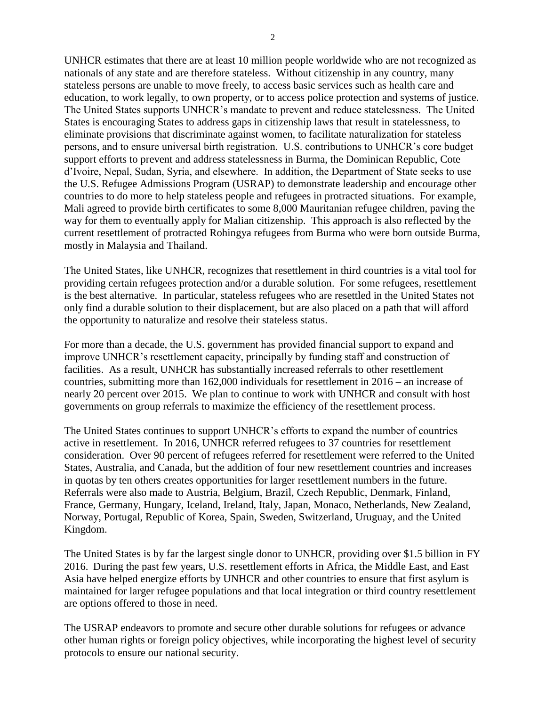UNHCR estimates that there are at least 10 million people worldwide who are not recognized as nationals of any state and are therefore stateless. Without citizenship in any country, many stateless persons are unable to move freely, to access basic services such as health care and education, to work legally, to own property, or to access police protection and systems of justice. The United States supports UNHCR's mandate to prevent and reduce statelessness. The United States is encouraging States to address gaps in citizenship laws that result in statelessness, to eliminate provisions that discriminate against women, to facilitate naturalization for stateless persons, and to ensure universal birth registration. U.S. contributions to UNHCR's core budget support efforts to prevent and address statelessness in Burma, the Dominican Republic, Cote d'Ivoire, Nepal, Sudan, Syria, and elsewhere. In addition, the Department of State seeks to use the U.S. Refugee Admissions Program (USRAP) to demonstrate leadership and encourage other countries to do more to help stateless people and refugees in protracted situations. For example, Mali agreed to provide birth certificates to some 8,000 Mauritanian refugee children, paving the way for them to eventually apply for Malian citizenship. This approach is also reflected by the current resettlement of protracted Rohingya refugees from Burma who were born outside Burma, mostly in Malaysia and Thailand.

The United States, like UNHCR, recognizes that resettlement in third countries is a vital tool for providing certain refugees protection and/or a durable solution. For some refugees, resettlement is the best alternative. In particular, stateless refugees who are resettled in the United States not only find a durable solution to their displacement, but are also placed on a path that will afford the opportunity to naturalize and resolve their stateless status.

For more than a decade, the U.S. government has provided financial support to expand and improve UNHCR's resettlement capacity, principally by funding staff and construction of facilities. As a result, UNHCR has substantially increased referrals to other resettlement countries, submitting more than 162,000 individuals for resettlement in 2016 – an increase of nearly 20 percent over 2015. We plan to continue to work with UNHCR and consult with host governments on group referrals to maximize the efficiency of the resettlement process.

The United States continues to support UNHCR's efforts to expand the number of countries active in resettlement. In 2016, UNHCR referred refugees to 37 countries for resettlement consideration. Over 90 percent of refugees referred for resettlement were referred to the United States, Australia, and Canada, but the addition of four new resettlement countries and increases in quotas by ten others creates opportunities for larger resettlement numbers in the future. Referrals were also made to Austria, Belgium, Brazil, Czech Republic, Denmark, Finland, France, Germany, Hungary, Iceland, Ireland, Italy, Japan, Monaco, Netherlands, New Zealand, Norway, Portugal, Republic of Korea, Spain, Sweden, Switzerland, Uruguay, and the United Kingdom.

The United States is by far the largest single donor to UNHCR, providing over \$1.5 billion in FY 2016. During the past few years, U.S. resettlement efforts in Africa, the Middle East, and East Asia have helped energize efforts by UNHCR and other countries to ensure that first asylum is maintained for larger refugee populations and that local integration or third country resettlement are options offered to those in need.

The USRAP endeavors to promote and secure other durable solutions for refugees or advance other human rights or foreign policy objectives, while incorporating the highest level of security protocols to ensure our national security.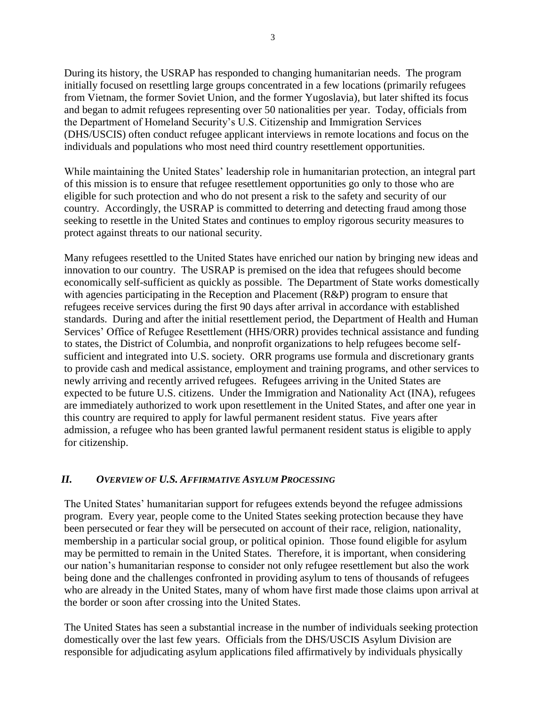During its history, the USRAP has responded to changing humanitarian needs. The program initially focused on resettling large groups concentrated in a few locations (primarily refugees from Vietnam, the former Soviet Union, and the former Yugoslavia), but later shifted its focus and began to admit refugees representing over 50 nationalities per year. Today, officials from the Department of Homeland Security's U.S. Citizenship and Immigration Services (DHS/USCIS) often conduct refugee applicant interviews in remote locations and focus on the individuals and populations who most need third country resettlement opportunities.

While maintaining the United States' leadership role in humanitarian protection, an integral part of this mission is to ensure that refugee resettlement opportunities go only to those who are eligible for such protection and who do not present a risk to the safety and security of our country. Accordingly, the USRAP is committed to deterring and detecting fraud among those seeking to resettle in the United States and continues to employ rigorous security measures to protect against threats to our national security.

Many refugees resettled to the United States have enriched our nation by bringing new ideas and innovation to our country. The USRAP is premised on the idea that refugees should become economically self-sufficient as quickly as possible. The Department of State works domestically with agencies participating in the Reception and Placement (R&P) program to ensure that refugees receive services during the first 90 days after arrival in accordance with established standards. During and after the initial resettlement period, the Department of Health and Human Services' Office of Refugee Resettlement (HHS/ORR) provides technical assistance and funding to states, the District of Columbia, and nonprofit organizations to help refugees become selfsufficient and integrated into U.S. society. ORR programs use formula and discretionary grants to provide cash and medical assistance, employment and training programs, and other services to newly arriving and recently arrived refugees. Refugees arriving in the United States are expected to be future U.S. citizens. Under the Immigration and Nationality Act (INA), refugees are immediately authorized to work upon resettlement in the United States, and after one year in this country are required to apply for lawful permanent resident status. Five years after admission, a refugee who has been granted lawful permanent resident status is eligible to apply for citizenship.

#### *II. OVERVIEW OF U.S. AFFIRMATIVE ASYLUM PROCESSING*

The United States' humanitarian support for refugees extends beyond the refugee admissions program. Every year, people come to the United States seeking protection because they have been persecuted or fear they will be persecuted on account of their race, religion, nationality, membership in a particular social group, or political opinion. Those found eligible for asylum may be permitted to remain in the United States. Therefore, it is important, when considering our nation's humanitarian response to consider not only refugee resettlement but also the work being done and the challenges confronted in providing asylum to tens of thousands of refugees who are already in the United States, many of whom have first made those claims upon arrival at the border or soon after crossing into the United States.

The United States has seen a substantial increase in the number of individuals seeking protection domestically over the last few years. Officials from the DHS/USCIS Asylum Division are responsible for adjudicating asylum applications filed affirmatively by individuals physically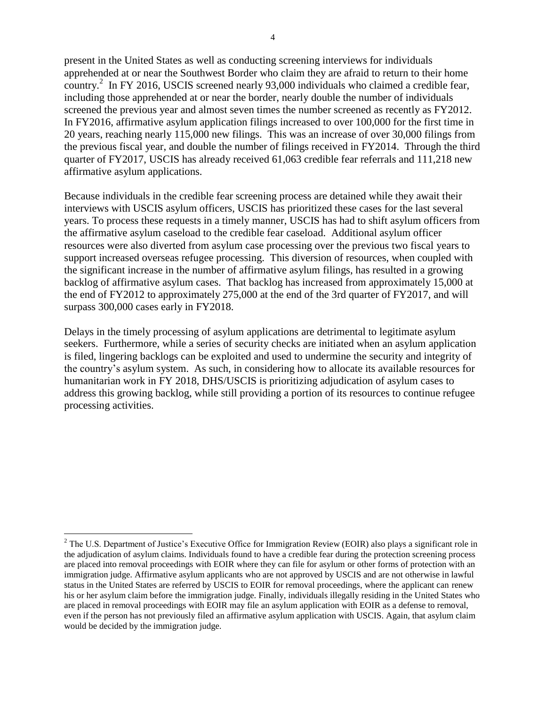present in the United States as well as conducting screening interviews for individuals apprehended at or near the Southwest Border who claim they are afraid to return to their home country.<sup>2</sup> In FY 2016, USCIS screened nearly 93,000 individuals who claimed a credible fear, including those apprehended at or near the border, nearly double the number of individuals screened the previous year and almost seven times the number screened as recently as FY2012. In FY2016, affirmative asylum application filings increased to over 100,000 for the first time in 20 years, reaching nearly 115,000 new filings. This was an increase of over 30,000 filings from the previous fiscal year, and double the number of filings received in FY2014. Through the third quarter of FY2017, USCIS has already received 61,063 credible fear referrals and 111,218 new affirmative asylum applications.

Because individuals in the credible fear screening process are detained while they await their interviews with USCIS asylum officers, USCIS has prioritized these cases for the last several years. To process these requests in a timely manner, USCIS has had to shift asylum officers from the affirmative asylum caseload to the credible fear caseload. Additional asylum officer resources were also diverted from asylum case processing over the previous two fiscal years to support increased overseas refugee processing. This diversion of resources, when coupled with the significant increase in the number of affirmative asylum filings, has resulted in a growing backlog of affirmative asylum cases. That backlog has increased from approximately 15,000 at the end of FY2012 to approximately 275,000 at the end of the 3rd quarter of FY2017, and will surpass 300,000 cases early in FY2018.

Delays in the timely processing of asylum applications are detrimental to legitimate asylum seekers. Furthermore, while a series of security checks are initiated when an asylum application is filed, lingering backlogs can be exploited and used to undermine the security and integrity of the country's asylum system. As such, in considering how to allocate its available resources for humanitarian work in FY 2018, DHS/USCIS is prioritizing adjudication of asylum cases to address this growing backlog, while still providing a portion of its resources to continue refugee processing activities.

 $\overline{\phantom{a}}$ 

<sup>&</sup>lt;sup>2</sup> The U.S. Department of Justice's Executive Office for Immigration Review (EOIR) also plays a significant role in the adjudication of asylum claims. Individuals found to have a credible fear during the protection screening process are placed into removal proceedings with EOIR where they can file for asylum or other forms of protection with an immigration judge. Affirmative asylum applicants who are not approved by USCIS and are not otherwise in lawful status in the United States are referred by USCIS to EOIR for removal proceedings, where the applicant can renew his or her asylum claim before the immigration judge. Finally, individuals illegally residing in the United States who are placed in removal proceedings with EOIR may file an asylum application with EOIR as a defense to removal, even if the person has not previously filed an affirmative asylum application with USCIS. Again, that asylum claim would be decided by the immigration judge.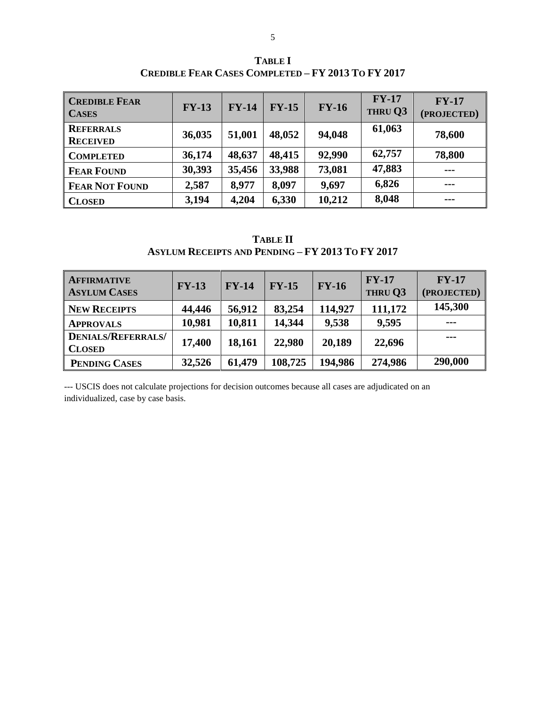| <b>CREDIBLE FEAR</b><br><b>CASES</b> | $FY-13$ | $FY-14$ | $FY-15$ | $FY-16$ | $FY-17$<br>THRU Q3 | $FY-17$<br>(PROJECTED) |
|--------------------------------------|---------|---------|---------|---------|--------------------|------------------------|
| <b>REFERRALS</b><br><b>RECEIVED</b>  | 36,035  | 51,001  | 48,052  | 94,048  | 61,063             | 78,600                 |
| <b>COMPLETED</b>                     | 36,174  | 48,637  | 48,415  | 92,990  | 62,757             | 78,800                 |
| <b>FEAR FOUND</b>                    | 30,393  | 35,456  | 33,988  | 73,081  | 47,883             | $\frac{1}{2}$          |
| <b>FEAR NOT FOUND</b>                | 2,587   | 8,977   | 8,097   | 9,697   | 6,826              | $\frac{1}{2}$          |
| <b>CLOSED</b>                        | 3,194   | 4,204   | 6,330   | 10,212  | 8,048              | $- - -$                |

**TABLE I CREDIBLE FEAR CASES COMPLETED – FY 2013 TO FY 2017**

**TABLE II ASYLUM RECEIPTS AND PENDING – FY 2013 TO FY 2017**

| <b>AFFIRMATIVE</b><br><b>ASYLUM CASES</b>  | $FY-13$ | $FY-14$ | $FY-15$ | $FY-16$ | $FY-17$<br>THRU Q3 | $FY-17$<br>(PROJECTED) |
|--------------------------------------------|---------|---------|---------|---------|--------------------|------------------------|
| <b>NEW RECEIPTS</b>                        | 44,446  | 56,912  | 83,254  | 114,927 | 111,172            | 145,300                |
| <b>APPROVALS</b>                           | 10,981  | 10,811  | 14,344  | 9,538   | 9,595              | $- - -$                |
| <b>DENIALS/REFERRALS/</b><br><b>CLOSED</b> | 17,400  | 18,161  | 22,980  | 20,189  | 22,696             | $- - -$                |
| PENDING CASES                              | 32,526  | 61,479  | 108,725 | 194,986 | 274,986            | 290,000                |

--- USCIS does not calculate projections for decision outcomes because all cases are adjudicated on an individualized, case by case basis.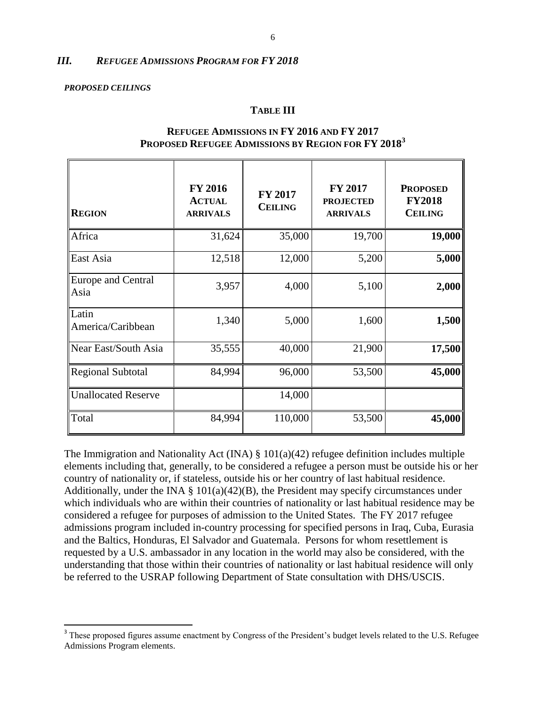#### *III. REFUGEE ADMISSIONS PROGRAM FOR FY 2018*

#### *PROPOSED CEILINGS*

 $\overline{\phantom{a}}$ 

#### **TABLE III**

| <b>REGION</b>              | <b>FY 2016</b><br><b>ACTUAL</b><br><b>ARRIVALS</b> | <b>FY 2017</b><br><b>CEILING</b> | <b>FY 2017</b><br><b>PROJECTED</b><br><b>ARRIVALS</b> | <b>PROPOSED</b><br><b>FY2018</b><br><b>CEILING</b> |
|----------------------------|----------------------------------------------------|----------------------------------|-------------------------------------------------------|----------------------------------------------------|
| Africa                     | 31,624                                             | 35,000                           | 19,700                                                | 19,000                                             |
| East Asia                  | 12,518                                             | 12,000                           | 5,200                                                 | 5,000                                              |
| Europe and Central<br>Asia | 3,957                                              | 4,000                            | 5,100                                                 | 2,000                                              |
| Latin<br>America/Caribbean | 1,340                                              | 5,000                            | 1,600                                                 | 1,500                                              |
| Near East/South Asia       | 35,555                                             | 40,000                           | 21,900                                                | 17,500                                             |
| <b>Regional Subtotal</b>   | 84,994                                             | 96,000                           | 53,500                                                | 45,000                                             |
| <b>Unallocated Reserve</b> |                                                    | 14,000                           |                                                       |                                                    |
| Total                      | 84,994                                             | 110,000                          | 53,500                                                | 45,000                                             |

#### **REFUGEE ADMISSIONS IN FY 2016 AND FY 2017 PROPOSED REFUGEE ADMISSIONS BY REGION FOR FY 2018<sup>3</sup>**

The Immigration and Nationality Act (INA)  $\S$  101(a)(42) refugee definition includes multiple elements including that, generally, to be considered a refugee a person must be outside his or her country of nationality or, if stateless, outside his or her country of last habitual residence. Additionally, under the INA  $\S$  101(a)(42)(B), the President may specify circumstances under which individuals who are within their countries of nationality or last habitual residence may be considered a refugee for purposes of admission to the United States. The FY 2017 refugee admissions program included in-country processing for specified persons in Iraq, Cuba, Eurasia and the Baltics, Honduras, El Salvador and Guatemala. Persons for whom resettlement is requested by a U.S. ambassador in any location in the world may also be considered, with the understanding that those within their countries of nationality or last habitual residence will only be referred to the USRAP following Department of State consultation with DHS/USCIS.

<sup>&</sup>lt;sup>3</sup> These proposed figures assume enactment by Congress of the President's budget levels related to the U.S. Refugee Admissions Program elements.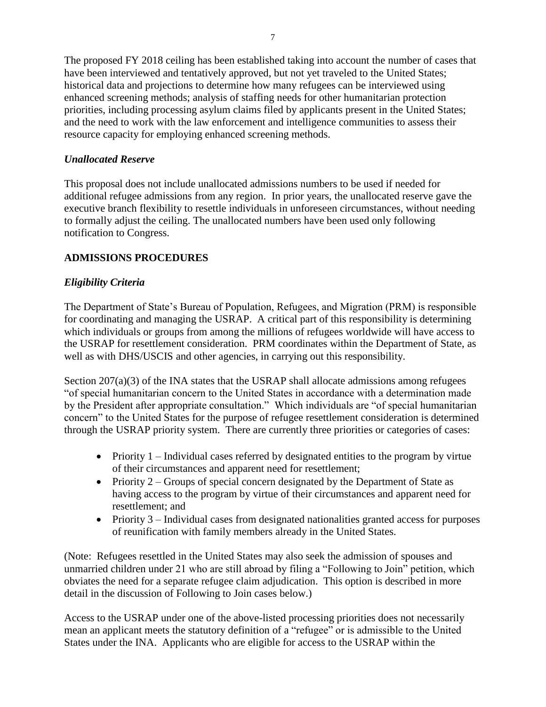The proposed FY 2018 ceiling has been established taking into account the number of cases that have been interviewed and tentatively approved, but not yet traveled to the United States; historical data and projections to determine how many refugees can be interviewed using enhanced screening methods; analysis of staffing needs for other humanitarian protection priorities, including processing asylum claims filed by applicants present in the United States; and the need to work with the law enforcement and intelligence communities to assess their resource capacity for employing enhanced screening methods.

## *Unallocated Reserve*

This proposal does not include unallocated admissions numbers to be used if needed for additional refugee admissions from any region. In prior years, the unallocated reserve gave the executive branch flexibility to resettle individuals in unforeseen circumstances, without needing to formally adjust the ceiling. The unallocated numbers have been used only following notification to Congress.

## **ADMISSIONS PROCEDURES**

## *Eligibility Criteria*

The Department of State's Bureau of Population, Refugees, and Migration (PRM) is responsible for coordinating and managing the USRAP. A critical part of this responsibility is determining which individuals or groups from among the millions of refugees worldwide will have access to the USRAP for resettlement consideration. PRM coordinates within the Department of State, as well as with DHS/USCIS and other agencies, in carrying out this responsibility.

Section  $207(a)(3)$  of the INA states that the USRAP shall allocate admissions among refugees "of special humanitarian concern to the United States in accordance with a determination made by the President after appropriate consultation." Which individuals are "of special humanitarian concern" to the United States for the purpose of refugee resettlement consideration is determined through the USRAP priority system. There are currently three priorities or categories of cases:

- Priority  $1$  Individual cases referred by designated entities to the program by virtue of their circumstances and apparent need for resettlement;
- Priority  $2 -$  Groups of special concern designated by the Department of State as having access to the program by virtue of their circumstances and apparent need for resettlement; and
- Priority 3 Individual cases from designated nationalities granted access for purposes of reunification with family members already in the United States.

(Note: Refugees resettled in the United States may also seek the admission of spouses and unmarried children under 21 who are still abroad by filing a "Following to Join" petition, which obviates the need for a separate refugee claim adjudication. This option is described in more detail in the discussion of Following to Join cases below.)

Access to the USRAP under one of the above-listed processing priorities does not necessarily mean an applicant meets the statutory definition of a "refugee" or is admissible to the United States under the INA. Applicants who are eligible for access to the USRAP within the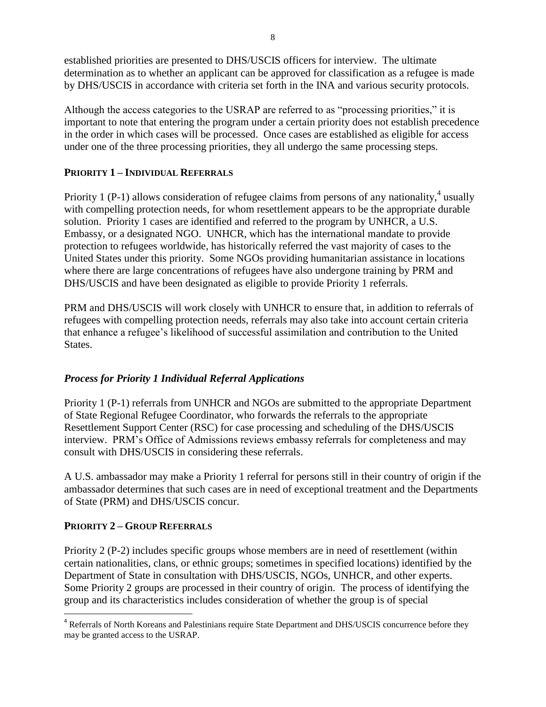established priorities are presented to DHS/USCIS officers for interview. The ultimate determination as to whether an applicant can be approved for classification as a refugee is made by DHS/USCIS in accordance with criteria set forth in the INA and various security protocols.

Although the access categories to the USRAP are referred to as "processing priorities," it is important to note that entering the program under a certain priority does not establish precedence in the order in which cases will be processed. Once cases are established as eligible for access under one of the three processing priorities, they all undergo the same processing steps.

## **PRIORITY 1 – INDIVIDUAL REFERRALS**

Priority 1 (P-1) allows consideration of refugee claims from persons of any nationality,<sup>4</sup> usually with compelling protection needs, for whom resettlement appears to be the appropriate durable solution. Priority 1 cases are identified and referred to the program by UNHCR, a U.S. Embassy, or a designated NGO. UNHCR, which has the international mandate to provide protection to refugees worldwide, has historically referred the vast majority of cases to the United States under this priority. Some NGOs providing humanitarian assistance in locations where there are large concentrations of refugees have also undergone training by PRM and DHS/USCIS and have been designated as eligible to provide Priority 1 referrals.

PRM and DHS/USCIS will work closely with UNHCR to ensure that, in addition to referrals of refugees with compelling protection needs, referrals may also take into account certain criteria that enhance a refugee's likelihood of successful assimilation and contribution to the United States.

## *Process for Priority 1 Individual Referral Applications*

Priority 1 (P-1) referrals from UNHCR and NGOs are submitted to the appropriate Department of State Regional Refugee Coordinator, who forwards the referrals to the appropriate Resettlement Support Center (RSC) for case processing and scheduling of the DHS/USCIS interview. PRM's Office of Admissions reviews embassy referrals for completeness and may consult with DHS/USCIS in considering these referrals.

A U.S. ambassador may make a Priority 1 referral for persons still in their country of origin if the ambassador determines that such cases are in need of exceptional treatment and the Departments of State (PRM) and DHS/USCIS concur.

## **PRIORITY 2 – GROUP REFERRALS**

 $\overline{\phantom{a}}$ 

Priority 2 (P-2) includes specific groups whose members are in need of resettlement (within certain nationalities, clans, or ethnic groups; sometimes in specified locations) identified by the Department of State in consultation with DHS/USCIS, NGOs, UNHCR, and other experts. Some Priority 2 groups are processed in their country of origin. The process of identifying the group and its characteristics includes consideration of whether the group is of special

<sup>&</sup>lt;sup>4</sup> Referrals of North Koreans and Palestinians require State Department and DHS/USCIS concurrence before they may be granted access to the USRAP.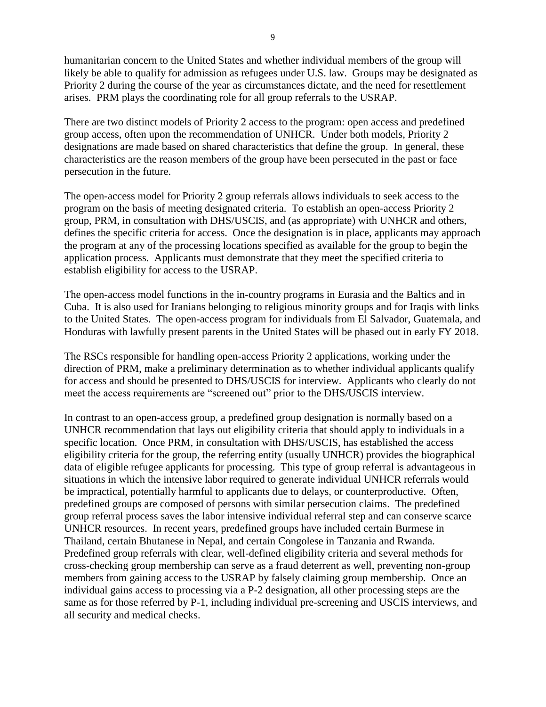humanitarian concern to the United States and whether individual members of the group will likely be able to qualify for admission as refugees under U.S. law. Groups may be designated as Priority 2 during the course of the year as circumstances dictate, and the need for resettlement arises. PRM plays the coordinating role for all group referrals to the USRAP.

There are two distinct models of Priority 2 access to the program: open access and predefined group access, often upon the recommendation of UNHCR. Under both models, Priority 2 designations are made based on shared characteristics that define the group. In general, these characteristics are the reason members of the group have been persecuted in the past or face persecution in the future.

The open-access model for Priority 2 group referrals allows individuals to seek access to the program on the basis of meeting designated criteria. To establish an open-access Priority 2 group, PRM, in consultation with DHS/USCIS, and (as appropriate) with UNHCR and others, defines the specific criteria for access. Once the designation is in place, applicants may approach the program at any of the processing locations specified as available for the group to begin the application process. Applicants must demonstrate that they meet the specified criteria to establish eligibility for access to the USRAP.

The open-access model functions in the in-country programs in Eurasia and the Baltics and in Cuba. It is also used for Iranians belonging to religious minority groups and for Iraqis with links to the United States. The open-access program for individuals from El Salvador, Guatemala, and Honduras with lawfully present parents in the United States will be phased out in early FY 2018.

The RSCs responsible for handling open-access Priority 2 applications, working under the direction of PRM, make a preliminary determination as to whether individual applicants qualify for access and should be presented to DHS/USCIS for interview. Applicants who clearly do not meet the access requirements are "screened out" prior to the DHS/USCIS interview.

In contrast to an open-access group, a predefined group designation is normally based on a UNHCR recommendation that lays out eligibility criteria that should apply to individuals in a specific location. Once PRM, in consultation with DHS/USCIS, has established the access eligibility criteria for the group, the referring entity (usually UNHCR) provides the biographical data of eligible refugee applicants for processing. This type of group referral is advantageous in situations in which the intensive labor required to generate individual UNHCR referrals would be impractical, potentially harmful to applicants due to delays, or counterproductive. Often, predefined groups are composed of persons with similar persecution claims. The predefined group referral process saves the labor intensive individual referral step and can conserve scarce UNHCR resources. In recent years, predefined groups have included certain Burmese in Thailand, certain Bhutanese in Nepal, and certain Congolese in Tanzania and Rwanda. Predefined group referrals with clear, well-defined eligibility criteria and several methods for cross-checking group membership can serve as a fraud deterrent as well, preventing non-group members from gaining access to the USRAP by falsely claiming group membership. Once an individual gains access to processing via a P-2 designation, all other processing steps are the same as for those referred by P-1, including individual pre-screening and USCIS interviews, and all security and medical checks.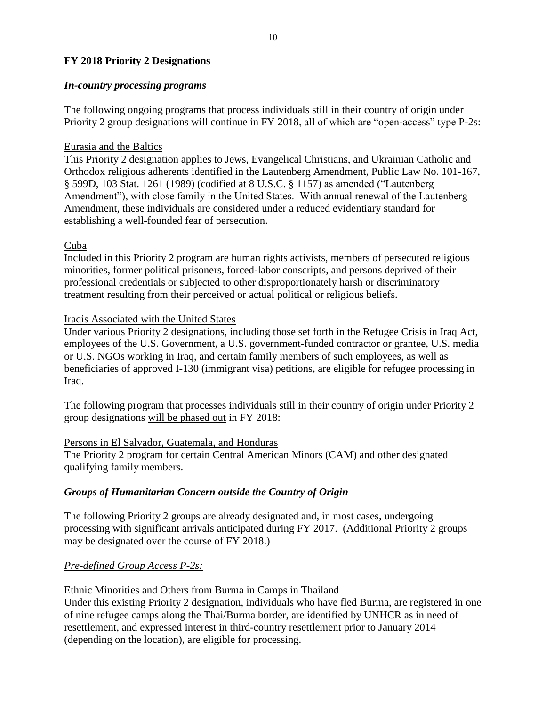## **FY 2018 Priority 2 Designations**

#### *In-country processing programs*

The following ongoing programs that process individuals still in their country of origin under Priority 2 group designations will continue in FY 2018, all of which are "open-access" type P-2s:

## Eurasia and the Baltics

This Priority 2 designation applies to Jews, Evangelical Christians, and Ukrainian Catholic and Orthodox religious adherents identified in the Lautenberg Amendment, Public Law No. 101-167, § 599D, 103 Stat. 1261 (1989) (codified at 8 U.S.C. § 1157) as amended ("Lautenberg Amendment"), with close family in the United States. With annual renewal of the Lautenberg Amendment, these individuals are considered under a reduced evidentiary standard for establishing a well-founded fear of persecution.

## Cuba

Included in this Priority 2 program are human rights activists, members of persecuted religious minorities, former political prisoners, forced-labor conscripts, and persons deprived of their professional credentials or subjected to other disproportionately harsh or discriminatory treatment resulting from their perceived or actual political or religious beliefs.

## Iraqis Associated with the United States

Under various Priority 2 designations, including those set forth in the Refugee Crisis in Iraq Act, employees of the U.S. Government, a U.S. government-funded contractor or grantee, U.S. media or U.S. NGOs working in Iraq, and certain family members of such employees, as well as beneficiaries of approved I-130 (immigrant visa) petitions, are eligible for refugee processing in Iraq.

The following program that processes individuals still in their country of origin under Priority 2 group designations will be phased out in FY 2018:

#### Persons in El Salvador, Guatemala, and Honduras

The Priority 2 program for certain Central American Minors (CAM) and other designated qualifying family members.

#### *Groups of Humanitarian Concern outside the Country of Origin*

The following Priority 2 groups are already designated and, in most cases, undergoing processing with significant arrivals anticipated during FY 2017. (Additional Priority 2 groups may be designated over the course of FY 2018.)

## *Pre-defined Group Access P-2s:*

## Ethnic Minorities and Others from Burma in Camps in Thailand

Under this existing Priority 2 designation, individuals who have fled Burma, are registered in one of nine refugee camps along the Thai/Burma border, are identified by UNHCR as in need of resettlement, and expressed interest in third-country resettlement prior to January 2014 (depending on the location), are eligible for processing.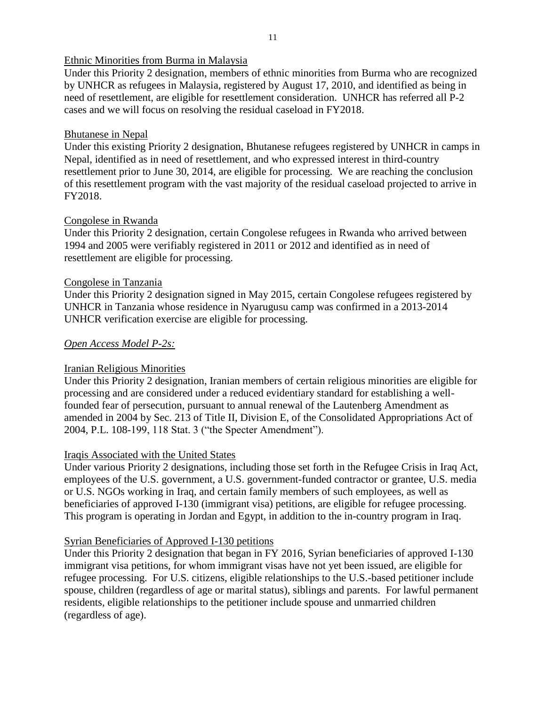## Ethnic Minorities from Burma in Malaysia

Under this Priority 2 designation, members of ethnic minorities from Burma who are recognized by UNHCR as refugees in Malaysia, registered by August 17, 2010, and identified as being in need of resettlement, are eligible for resettlement consideration. UNHCR has referred all P-2 cases and we will focus on resolving the residual caseload in FY2018.

#### Bhutanese in Nepal

Under this existing Priority 2 designation, Bhutanese refugees registered by UNHCR in camps in Nepal, identified as in need of resettlement, and who expressed interest in third-country resettlement prior to June 30, 2014, are eligible for processing. We are reaching the conclusion of this resettlement program with the vast majority of the residual caseload projected to arrive in FY2018.

## Congolese in Rwanda

Under this Priority 2 designation, certain Congolese refugees in Rwanda who arrived between 1994 and 2005 were verifiably registered in 2011 or 2012 and identified as in need of resettlement are eligible for processing.

## Congolese in Tanzania

Under this Priority 2 designation signed in May 2015, certain Congolese refugees registered by UNHCR in Tanzania whose residence in Nyarugusu camp was confirmed in a 2013-2014 UNHCR verification exercise are eligible for processing.

## *Open Access Model P-2s:*

#### Iranian Religious Minorities

Under this Priority 2 designation, Iranian members of certain religious minorities are eligible for processing and are considered under a reduced evidentiary standard for establishing a wellfounded fear of persecution, pursuant to annual renewal of the Lautenberg Amendment as amended in 2004 by Sec. 213 of Title II, Division E, of the Consolidated Appropriations Act of 2004, P.L. 108-199, 118 Stat. 3 ("the Specter Amendment").

#### Iraqis Associated with the United States

Under various Priority 2 designations, including those set forth in the Refugee Crisis in Iraq Act, employees of the U.S. government, a U.S. government-funded contractor or grantee, U.S. media or U.S. NGOs working in Iraq, and certain family members of such employees, as well as beneficiaries of approved I-130 (immigrant visa) petitions, are eligible for refugee processing. This program is operating in Jordan and Egypt, in addition to the in-country program in Iraq.

#### Syrian Beneficiaries of Approved I-130 petitions

Under this Priority 2 designation that began in FY 2016, Syrian beneficiaries of approved I-130 immigrant visa petitions, for whom immigrant visas have not yet been issued, are eligible for refugee processing. For U.S. citizens, eligible relationships to the U.S.-based petitioner include spouse, children (regardless of age or marital status), siblings and parents. For lawful permanent residents, eligible relationships to the petitioner include spouse and unmarried children (regardless of age).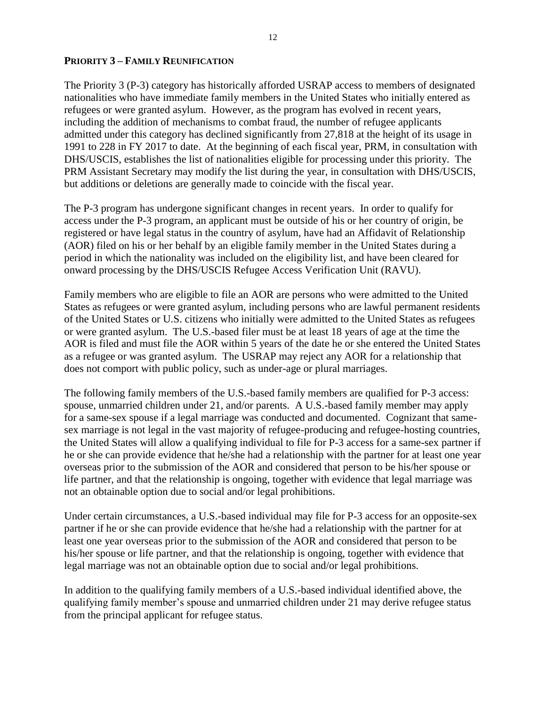#### **PRIORITY 3 – FAMILY REUNIFICATION**

The Priority 3 (P-3) category has historically afforded USRAP access to members of designated nationalities who have immediate family members in the United States who initially entered as refugees or were granted asylum. However, as the program has evolved in recent years, including the addition of mechanisms to combat fraud, the number of refugee applicants admitted under this category has declined significantly from 27,818 at the height of its usage in 1991 to 228 in FY 2017 to date. At the beginning of each fiscal year, PRM, in consultation with DHS/USCIS, establishes the list of nationalities eligible for processing under this priority. The PRM Assistant Secretary may modify the list during the year, in consultation with DHS/USCIS, but additions or deletions are generally made to coincide with the fiscal year.

The P-3 program has undergone significant changes in recent years. In order to qualify for access under the P-3 program, an applicant must be outside of his or her country of origin, be registered or have legal status in the country of asylum, have had an Affidavit of Relationship (AOR) filed on his or her behalf by an eligible family member in the United States during a period in which the nationality was included on the eligibility list, and have been cleared for onward processing by the DHS/USCIS Refugee Access Verification Unit (RAVU).

Family members who are eligible to file an AOR are persons who were admitted to the United States as refugees or were granted asylum, including persons who are lawful permanent residents of the United States or U.S. citizens who initially were admitted to the United States as refugees or were granted asylum. The U.S.-based filer must be at least 18 years of age at the time the AOR is filed and must file the AOR within 5 years of the date he or she entered the United States as a refugee or was granted asylum. The USRAP may reject any AOR for a relationship that does not comport with public policy, such as under-age or plural marriages.

The following family members of the U.S.-based family members are qualified for P-3 access: spouse, unmarried children under 21, and/or parents. A U.S.-based family member may apply for a same-sex spouse if a legal marriage was conducted and documented. Cognizant that samesex marriage is not legal in the vast majority of refugee-producing and refugee-hosting countries, the United States will allow a qualifying individual to file for P-3 access for a same-sex partner if he or she can provide evidence that he/she had a relationship with the partner for at least one year overseas prior to the submission of the AOR and considered that person to be his/her spouse or life partner, and that the relationship is ongoing, together with evidence that legal marriage was not an obtainable option due to social and/or legal prohibitions.

Under certain circumstances, a U.S.-based individual may file for P-3 access for an opposite-sex partner if he or she can provide evidence that he/she had a relationship with the partner for at least one year overseas prior to the submission of the AOR and considered that person to be his/her spouse or life partner, and that the relationship is ongoing, together with evidence that legal marriage was not an obtainable option due to social and/or legal prohibitions.

In addition to the qualifying family members of a U.S.-based individual identified above, the qualifying family member's spouse and unmarried children under 21 may derive refugee status from the principal applicant for refugee status.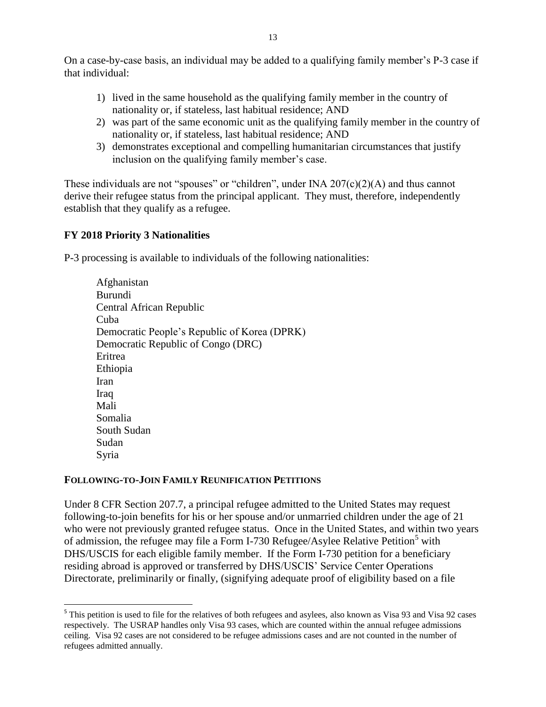On a case-by-case basis, an individual may be added to a qualifying family member's P-3 case if that individual:

- 1) lived in the same household as the qualifying family member in the country of nationality or, if stateless, last habitual residence; AND
- 2) was part of the same economic unit as the qualifying family member in the country of nationality or, if stateless, last habitual residence; AND
- 3) demonstrates exceptional and compelling humanitarian circumstances that justify inclusion on the qualifying family member's case.

These individuals are not "spouses" or "children", under INA  $207(c)(2)(A)$  and thus cannot derive their refugee status from the principal applicant. They must, therefore, independently establish that they qualify as a refugee.

## **FY 2018 Priority 3 Nationalities**

 $\overline{a}$ 

P-3 processing is available to individuals of the following nationalities:

Afghanistan Burundi Central African Republic Cuba Democratic People's Republic of Korea (DPRK) Democratic Republic of Congo (DRC) Eritrea Ethiopia Iran Iraq Mali Somalia South Sudan Sudan Syria

#### **FOLLOWING-TO-JOIN FAMILY REUNIFICATION PETITIONS**

Under 8 CFR Section 207.7, a principal refugee admitted to the United States may request following-to-join benefits for his or her spouse and/or unmarried children under the age of 21 who were not previously granted refugee status. Once in the United States, and within two years of admission, the refugee may file a Form I-730 Refugee/Asylee Relative Petition<sup>5</sup> with DHS/USCIS for each eligible family member. If the Form I-730 petition for a beneficiary residing abroad is approved or transferred by DHS/USCIS' Service Center Operations Directorate, preliminarily or finally, (signifying adequate proof of eligibility based on a file

<sup>&</sup>lt;sup>5</sup> This petition is used to file for the relatives of both refugees and asylees, also known as Visa 93 and Visa 92 cases respectively. The USRAP handles only Visa 93 cases, which are counted within the annual refugee admissions ceiling. Visa 92 cases are not considered to be refugee admissions cases and are not counted in the number of refugees admitted annually.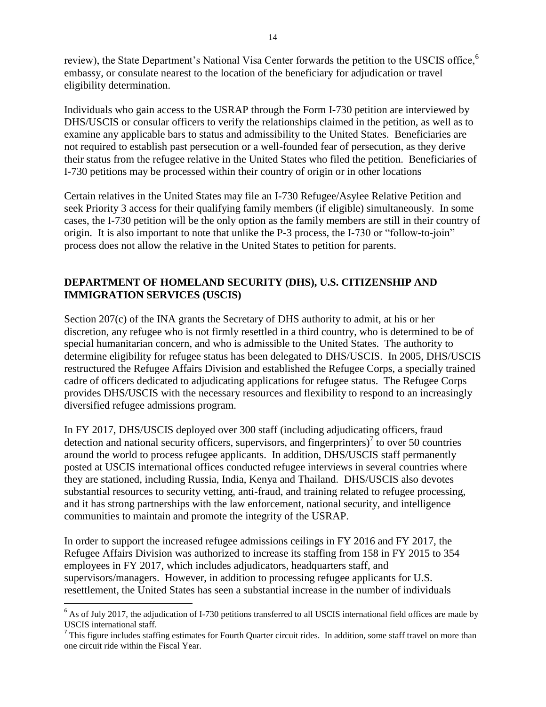review), the State Department's National Visa Center forwards the petition to the USCIS office,<sup>6</sup> embassy, or consulate nearest to the location of the beneficiary for adjudication or travel eligibility determination.

Individuals who gain access to the USRAP through the Form I-730 petition are interviewed by DHS/USCIS or consular officers to verify the relationships claimed in the petition, as well as to examine any applicable bars to status and admissibility to the United States. Beneficiaries are not required to establish past persecution or a well-founded fear of persecution, as they derive their status from the refugee relative in the United States who filed the petition. Beneficiaries of I-730 petitions may be processed within their country of origin or in other locations

Certain relatives in the United States may file an I-730 Refugee/Asylee Relative Petition and seek Priority 3 access for their qualifying family members (if eligible) simultaneously. In some cases, the I-730 petition will be the only option as the family members are still in their country of origin. It is also important to note that unlike the P-3 process, the I-730 or "follow-to-join" process does not allow the relative in the United States to petition for parents.

## **DEPARTMENT OF HOMELAND SECURITY (DHS), U.S. CITIZENSHIP AND IMMIGRATION SERVICES (USCIS)**

Section 207(c) of the INA grants the Secretary of DHS authority to admit, at his or her discretion, any refugee who is not firmly resettled in a third country, who is determined to be of special humanitarian concern, and who is admissible to the United States. The authority to determine eligibility for refugee status has been delegated to DHS/USCIS. In 2005, DHS/USCIS restructured the Refugee Affairs Division and established the Refugee Corps, a specially trained cadre of officers dedicated to adjudicating applications for refugee status. The Refugee Corps provides DHS/USCIS with the necessary resources and flexibility to respond to an increasingly diversified refugee admissions program.

In FY 2017, DHS/USCIS deployed over 300 staff (including adjudicating officers, fraud detection and national security officers, supervisors, and fingerprinters) $\int$  to over 50 countries around the world to process refugee applicants. In addition, DHS/USCIS staff permanently posted at USCIS international offices conducted refugee interviews in several countries where they are stationed, including Russia, India, Kenya and Thailand. DHS/USCIS also devotes substantial resources to security vetting, anti-fraud, and training related to refugee processing, and it has strong partnerships with the law enforcement, national security, and intelligence communities to maintain and promote the integrity of the USRAP.

In order to support the increased refugee admissions ceilings in FY 2016 and FY 2017, the Refugee Affairs Division was authorized to increase its staffing from 158 in FY 2015 to 354 employees in FY 2017, which includes adjudicators, headquarters staff, and supervisors/managers. However, in addition to processing refugee applicants for U.S. resettlement, the United States has seen a substantial increase in the number of individuals

 $\overline{a}$ 

<sup>&</sup>lt;sup>6</sup> As of July 2017, the adjudication of I-730 petitions transferred to all USCIS international field offices are made by USCIS international staff.

This figure includes staffing estimates for Fourth Quarter circuit rides. In addition, some staff travel on more than one circuit ride within the Fiscal Year.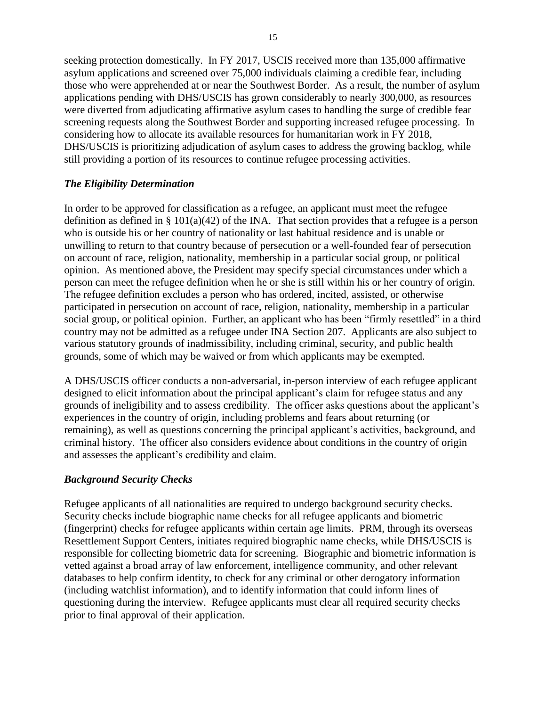seeking protection domestically. In FY 2017, USCIS received more than 135,000 affirmative asylum applications and screened over 75,000 individuals claiming a credible fear, including those who were apprehended at or near the Southwest Border. As a result, the number of asylum applications pending with DHS/USCIS has grown considerably to nearly 300,000, as resources were diverted from adjudicating affirmative asylum cases to handling the surge of credible fear screening requests along the Southwest Border and supporting increased refugee processing. In considering how to allocate its available resources for humanitarian work in FY 2018, DHS/USCIS is prioritizing adjudication of asylum cases to address the growing backlog, while still providing a portion of its resources to continue refugee processing activities.

## *The Eligibility Determination*

In order to be approved for classification as a refugee, an applicant must meet the refugee definition as defined in  $\S 101(a)(42)$  of the INA. That section provides that a refugee is a person who is outside his or her country of nationality or last habitual residence and is unable or unwilling to return to that country because of persecution or a well-founded fear of persecution on account of race, religion, nationality, membership in a particular social group, or political opinion. As mentioned above, the President may specify special circumstances under which a person can meet the refugee definition when he or she is still within his or her country of origin. The refugee definition excludes a person who has ordered, incited, assisted, or otherwise participated in persecution on account of race, religion, nationality, membership in a particular social group, or political opinion. Further, an applicant who has been "firmly resettled" in a third country may not be admitted as a refugee under INA Section 207. Applicants are also subject to various statutory grounds of inadmissibility, including criminal, security, and public health grounds, some of which may be waived or from which applicants may be exempted.

A DHS/USCIS officer conducts a non-adversarial, in-person interview of each refugee applicant designed to elicit information about the principal applicant's claim for refugee status and any grounds of ineligibility and to assess credibility. The officer asks questions about the applicant's experiences in the country of origin, including problems and fears about returning (or remaining), as well as questions concerning the principal applicant's activities, background, and criminal history. The officer also considers evidence about conditions in the country of origin and assesses the applicant's credibility and claim.

## *Background Security Checks*

Refugee applicants of all nationalities are required to undergo background security checks. Security checks include biographic name checks for all refugee applicants and biometric (fingerprint) checks for refugee applicants within certain age limits. PRM, through its overseas Resettlement Support Centers, initiates required biographic name checks, while DHS/USCIS is responsible for collecting biometric data for screening. Biographic and biometric information is vetted against a broad array of law enforcement, intelligence community, and other relevant databases to help confirm identity, to check for any criminal or other derogatory information (including watchlist information), and to identify information that could inform lines of questioning during the interview. Refugee applicants must clear all required security checks prior to final approval of their application.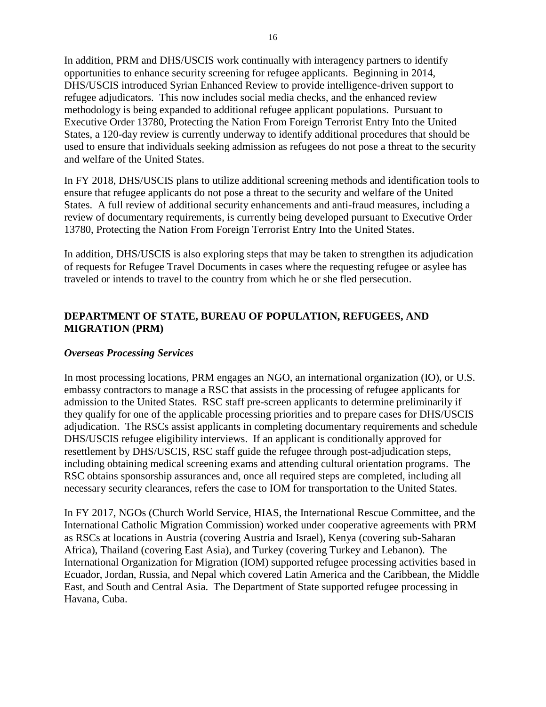In addition, PRM and DHS/USCIS work continually with interagency partners to identify opportunities to enhance security screening for refugee applicants. Beginning in 2014, DHS/USCIS introduced Syrian Enhanced Review to provide intelligence-driven support to refugee adjudicators. This now includes social media checks, and the enhanced review methodology is being expanded to additional refugee applicant populations. Pursuant to Executive Order 13780, Protecting the Nation From Foreign Terrorist Entry Into the United States, a 120-day review is currently underway to identify additional procedures that should be used to ensure that individuals seeking admission as refugees do not pose a threat to the security and welfare of the United States.

In FY 2018, DHS/USCIS plans to utilize additional screening methods and identification tools to ensure that refugee applicants do not pose a threat to the security and welfare of the United States. A full review of additional security enhancements and anti-fraud measures, including a review of documentary requirements, is currently being developed pursuant to Executive Order 13780, Protecting the Nation From Foreign Terrorist Entry Into the United States.

In addition, DHS/USCIS is also exploring steps that may be taken to strengthen its adjudication of requests for Refugee Travel Documents in cases where the requesting refugee or asylee has traveled or intends to travel to the country from which he or she fled persecution.

## **DEPARTMENT OF STATE, BUREAU OF POPULATION, REFUGEES, AND MIGRATION (PRM)**

#### *Overseas Processing Services*

In most processing locations, PRM engages an NGO, an international organization (IO), or U.S. embassy contractors to manage a RSC that assists in the processing of refugee applicants for admission to the United States. RSC staff pre-screen applicants to determine preliminarily if they qualify for one of the applicable processing priorities and to prepare cases for DHS/USCIS adjudication. The RSCs assist applicants in completing documentary requirements and schedule DHS/USCIS refugee eligibility interviews. If an applicant is conditionally approved for resettlement by DHS/USCIS, RSC staff guide the refugee through post-adjudication steps, including obtaining medical screening exams and attending cultural orientation programs. The RSC obtains sponsorship assurances and, once all required steps are completed, including all necessary security clearances, refers the case to IOM for transportation to the United States.

In FY 2017, NGOs (Church World Service, HIAS, the International Rescue Committee, and the International Catholic Migration Commission) worked under cooperative agreements with PRM as RSCs at locations in Austria (covering Austria and Israel), Kenya (covering sub-Saharan Africa), Thailand (covering East Asia), and Turkey (covering Turkey and Lebanon). The International Organization for Migration (IOM) supported refugee processing activities based in Ecuador, Jordan, Russia, and Nepal which covered Latin America and the Caribbean, the Middle East, and South and Central Asia. The Department of State supported refugee processing in Havana, Cuba.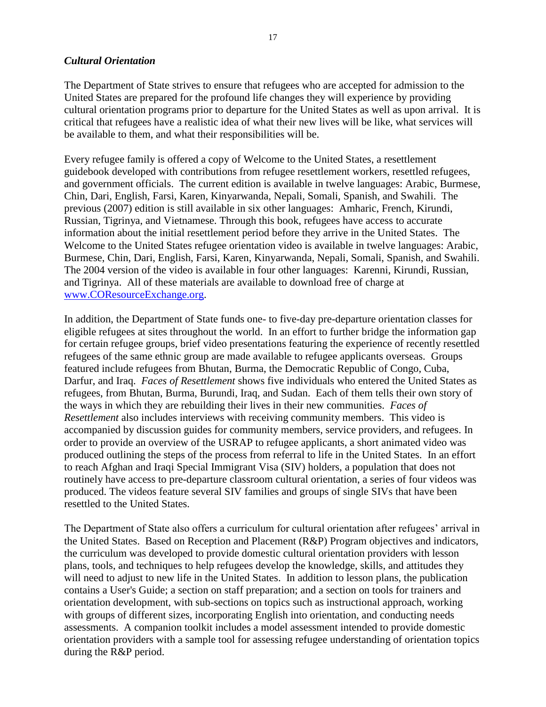#### *Cultural Orientation*

The Department of State strives to ensure that refugees who are accepted for admission to the United States are prepared for the profound life changes they will experience by providing cultural orientation programs prior to departure for the United States as well as upon arrival. It is critical that refugees have a realistic idea of what their new lives will be like, what services will be available to them, and what their responsibilities will be.

Every refugee family is offered a copy of Welcome to the United States, a resettlement guidebook developed with contributions from refugee resettlement workers, resettled refugees, and government officials. The current edition is available in twelve languages: Arabic, Burmese, Chin, Dari, English, Farsi, Karen, Kinyarwanda, Nepali, Somali, Spanish, and Swahili. The previous (2007) edition is still available in six other languages: Amharic, French, Kirundi, Russian, Tigrinya, and Vietnamese. Through this book, refugees have access to accurate information about the initial resettlement period before they arrive in the United States. The Welcome to the United States refugee orientation video is available in twelve languages: Arabic, Burmese, Chin, Dari, English, Farsi, Karen, Kinyarwanda, Nepali, Somali, Spanish, and Swahili. The 2004 version of the video is available in four other languages: Karenni, Kirundi, Russian, and Tigrinya. All of these materials are available to download free of charge at [www.COResourceExchange.org.](http://www.coresourceexchange.org/)

In addition, the Department of State funds one- to five-day pre-departure orientation classes for eligible refugees at sites throughout the world. In an effort to further bridge the information gap for certain refugee groups, brief video presentations featuring the experience of recently resettled refugees of the same ethnic group are made available to refugee applicants overseas. Groups featured include refugees from Bhutan, Burma, the Democratic Republic of Congo, Cuba, Darfur, and Iraq. *Faces of Resettlement* shows five individuals who entered the United States as refugees, from Bhutan, Burma, Burundi, Iraq, and Sudan. Each of them tells their own story of the ways in which they are rebuilding their lives in their new communities. *Faces of Resettlement* also includes interviews with receiving community members. This video is accompanied by discussion guides for community members, service providers, and refugees. In order to provide an overview of the USRAP to refugee applicants, a short animated video was produced outlining the steps of the process from referral to life in the United States. In an effort to reach Afghan and Iraqi Special Immigrant Visa (SIV) holders, a population that does not routinely have access to pre-departure classroom cultural orientation, a series of four videos was produced. The videos feature several SIV families and groups of single SIVs that have been resettled to the United States.

The Department of State also offers a curriculum for cultural orientation after refugees' arrival in the United States. Based on Reception and Placement (R&P) Program objectives and indicators, the curriculum was developed to provide domestic cultural orientation providers with lesson plans, tools, and techniques to help refugees develop the knowledge, skills, and attitudes they will need to adjust to new life in the United States. In addition to lesson plans, the publication contains a User's Guide; a section on staff preparation; and a section on tools for trainers and orientation development, with sub-sections on topics such as instructional approach, working with groups of different sizes, incorporating English into orientation, and conducting needs assessments. A companion toolkit includes a model assessment intended to provide domestic orientation providers with a sample tool for assessing refugee understanding of orientation topics during the R&P period.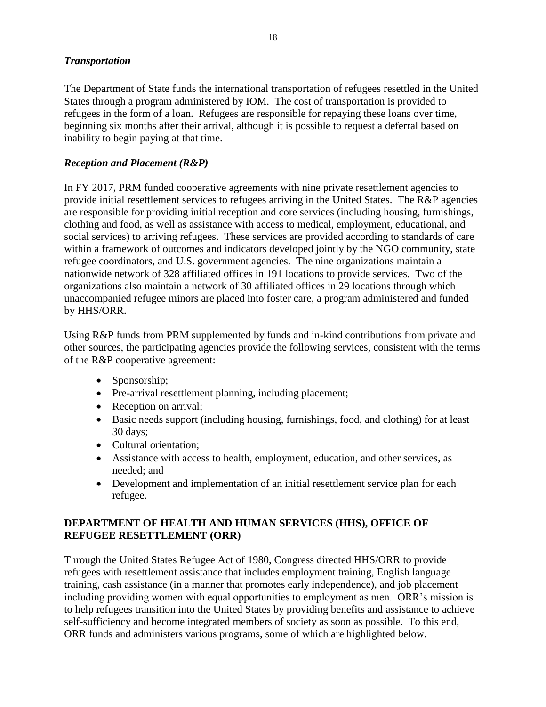## *Transportation*

The Department of State funds the international transportation of refugees resettled in the United States through a program administered by IOM. The cost of transportation is provided to refugees in the form of a loan. Refugees are responsible for repaying these loans over time, beginning six months after their arrival, although it is possible to request a deferral based on inability to begin paying at that time.

## *Reception and Placement (R&P)*

In FY 2017, PRM funded cooperative agreements with nine private resettlement agencies to provide initial resettlement services to refugees arriving in the United States. The R&P agencies are responsible for providing initial reception and core services (including housing, furnishings, clothing and food, as well as assistance with access to medical, employment, educational, and social services) to arriving refugees. These services are provided according to standards of care within a framework of outcomes and indicators developed jointly by the NGO community, state refugee coordinators, and U.S. government agencies. The nine organizations maintain a nationwide network of 328 affiliated offices in 191 locations to provide services. Two of the organizations also maintain a network of 30 affiliated offices in 29 locations through which unaccompanied refugee minors are placed into foster care, a program administered and funded by HHS/ORR.

Using R&P funds from PRM supplemented by funds and in-kind contributions from private and other sources, the participating agencies provide the following services, consistent with the terms of the R&P cooperative agreement:

- Sponsorship;
- Pre-arrival resettlement planning, including placement;
- Reception on arrival;
- Basic needs support (including housing, furnishings, food, and clothing) for at least 30 days;
- Cultural orientation;
- Assistance with access to health, employment, education, and other services, as needed; and
- Development and implementation of an initial resettlement service plan for each refugee.

## **DEPARTMENT OF HEALTH AND HUMAN SERVICES (HHS), OFFICE OF REFUGEE RESETTLEMENT (ORR)**

Through the United States Refugee Act of 1980, Congress directed HHS/ORR to provide refugees with resettlement assistance that includes employment training, English language training, cash assistance (in a manner that promotes early independence), and job placement – including providing women with equal opportunities to employment as men. ORR's mission is to help refugees transition into the United States by providing benefits and assistance to achieve self-sufficiency and become integrated members of society as soon as possible. To this end, ORR funds and administers various programs, some of which are highlighted below.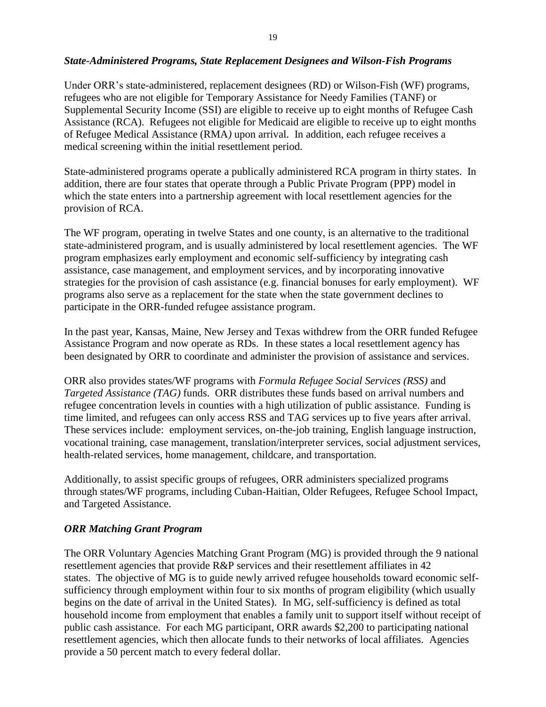#### *State-Administered Programs, State Replacement Designees and Wilson-Fish Programs*

Under ORR's state-administered, replacement designees (RD) or Wilson-Fish (WF) programs, refugees who are not eligible for Temporary Assistance for Needy Families (TANF) or Supplemental Security Income (SSI) are eligible to receive up to eight months of Refugee Cash Assistance (RCA).Refugees not eligible for Medicaid are eligible to receive up to eight months of Refugee Medical Assistance (RMA*)* upon arrival. In addition, each refugee receives a medical screening within the initial resettlement period.

State-administered programs operate a publically administered RCA program in thirty states. In addition, there are four states that operate through a Public Private Program (PPP) model in which the state enters into a partnership agreement with local resettlement agencies for the provision of RCA.

The WF program, operating in twelve States and one county, is an alternative to the traditional state-administered program, and is usually administered by local resettlement agencies. The WF program emphasizes early employment and economic self-sufficiency by integrating cash assistance, case management, and employment services, and by incorporating innovative strategies for the provision of cash assistance (e.g. financial bonuses for early employment). WF programs also serve as a replacement for the state when the state government declines to participate in the ORR-funded refugee assistance program.

In the past year, Kansas, Maine, New Jersey and Texas withdrew from the ORR funded Refugee Assistance Program and now operate as RDs. In these states a local resettlement agency has been designated by ORR to coordinate and administer the provision of assistance and services.

ORR also provides states/WF programs with *Formula Refugee Social Services (RSS)* and *Targeted Assistance (TAG)* funds. ORR distributes these funds based on arrival numbers and refugee concentration levels in counties with a high utilization of public assistance. Funding is time limited, and refugees can only access RSS and TAG services up to five years after arrival. These services include: employment services, on-the-job training, English language instruction, vocational training, case management, translation/interpreter services, social adjustment services, health-related services, home management, childcare, and transportation.

Additionally, to assist specific groups of refugees, ORR administers specialized programs through states/WF programs, including Cuban-Haitian, Older Refugees, Refugee School Impact, and Targeted Assistance.

#### *ORR Matching Grant Program*

The ORR Voluntary Agencies Matching Grant Program (MG) is provided through the 9 national resettlement agencies that provide R&P services and their resettlement affiliates in 42 states. The objective of MG is to guide newly arrived refugee households toward economic selfsufficiency through employment within four to six months of program eligibility (which usually begins on the date of arrival in the United States). In MG, self-sufficiency is defined as total household income from employment that enables a family unit to support itself without receipt of public cash assistance. For each MG participant, ORR awards \$2,200 to participating national resettlement agencies, which then allocate funds to their networks of local affiliates. Agencies provide a 50 percent match to every federal dollar.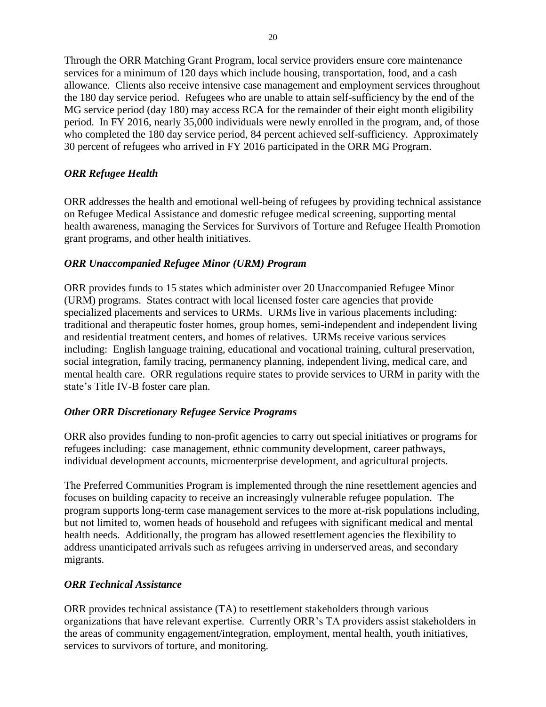Through the ORR Matching Grant Program, local service providers ensure core maintenance services for a minimum of 120 days which include housing, transportation, food, and a cash allowance. Clients also receive intensive case management and employment services throughout the 180 day service period. Refugees who are unable to attain self-sufficiency by the end of the MG service period (day 180) may access RCA for the remainder of their eight month eligibility period. In FY 2016, nearly 35,000 individuals were newly enrolled in the program, and, of those who completed the 180 day service period, 84 percent achieved self-sufficiency. Approximately 30 percent of refugees who arrived in FY 2016 participated in the ORR MG Program.

## *ORR Refugee Health*

ORR addresses the health and emotional well-being of refugees by providing technical assistance on Refugee Medical Assistance and domestic refugee medical screening, supporting mental health awareness, managing the Services for Survivors of Torture and Refugee Health Promotion grant programs, and other health initiatives.

## *ORR Unaccompanied Refugee Minor (URM) Program*

ORR provides funds to 15 states which administer over 20 Unaccompanied Refugee Minor (URM) programs. States contract with local licensed foster care agencies that provide specialized placements and services to URMs. URMs live in various placements including: traditional and therapeutic foster homes, group homes, semi-independent and independent living and residential treatment centers, and homes of relatives. URMs receive various services including: English language training, educational and vocational training, cultural preservation, social integration, family tracing, permanency planning, independent living, medical care, and mental health care. ORR regulations require states to provide services to URM in parity with the state's Title IV-B foster care plan.

## *Other ORR Discretionary Refugee Service Programs*

ORR also provides funding to non-profit agencies to carry out special initiatives or programs for refugees including: case management, ethnic community development, career pathways, individual development accounts, microenterprise development, and agricultural projects.

The Preferred Communities Program is implemented through the nine resettlement agencies and focuses on building capacity to receive an increasingly vulnerable refugee population. The program supports long-term case management services to the more at-risk populations including, but not limited to, women heads of household and refugees with significant medical and mental health needs. Additionally, the program has allowed resettlement agencies the flexibility to address unanticipated arrivals such as refugees arriving in underserved areas, and secondary migrants.

## *ORR Technical Assistance*

ORR provides technical assistance (TA) to resettlement stakeholders through various organizations that have relevant expertise. Currently ORR's TA providers assist stakeholders in the areas of community engagement/integration, employment, mental health, youth initiatives, services to survivors of torture, and monitoring.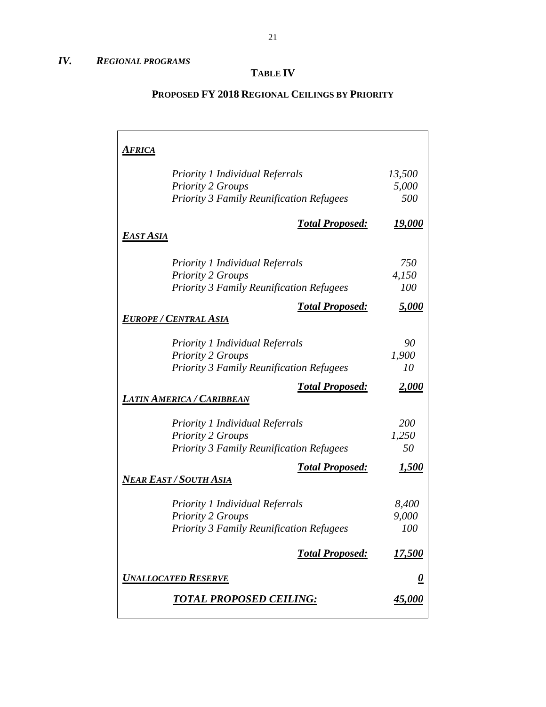## **TABLE IV**

## **PROPOSED FY 2018 REGIONAL CEILINGS BY PRIORITY**

| <u> Africa</u>                                                     |                |
|--------------------------------------------------------------------|----------------|
| <b>Priority 1 Individual Referrals</b>                             | 13,500         |
| <b>Priority 2 Groups</b>                                           | 5,000          |
| <b>Priority 3 Family Reunification Refugees</b>                    | 500            |
| <b>Total Proposed:</b>                                             | <u> 19,000</u> |
| <b>EAST ASIA</b>                                                   |                |
| <b>Priority 1 Individual Referrals</b>                             | 750            |
| <b>Priority 2 Groups</b>                                           | 4,150          |
| <b>Priority 3 Family Reunification Refugees</b>                    | 100            |
| <b>Total Proposed:</b>                                             | <u>5,000</u>   |
| <u>Europe / Central Asia</u>                                       |                |
| <b>Priority 1 Individual Referrals</b>                             | 90             |
| <b>Priority 2 Groups</b>                                           | 1,900          |
| <b>Priority 3 Family Reunification Refugees</b>                    | 10             |
| <b>Total Proposed:</b><br><b>LATIN AMERICA / CARIBBEAN</b>         | <u>2,000</u>   |
|                                                                    | 200            |
| <b>Priority 1 Individual Referrals</b><br><b>Priority 2 Groups</b> | 1,250          |
| <b>Priority 3 Family Reunification Refugees</b>                    | 50             |
| <b>Total Proposed:</b>                                             | <u>1,500</u>   |
| Near East / South Asia                                             |                |
| <b>Priority 1 Individual Referrals</b>                             | 8,400          |
| <b>Priority 2 Groups</b>                                           | 9,000          |
| <b>Priority 3 Family Reunification Refugees</b>                    | 100            |
| <b>Total Proposed:</b>                                             | 17,500         |
| <b>UNALLOCATED RESERVE</b>                                         | <u>0</u>       |
| <u>TOTAL PROPOSED CEILING:</u>                                     | <u>45,000</u>  |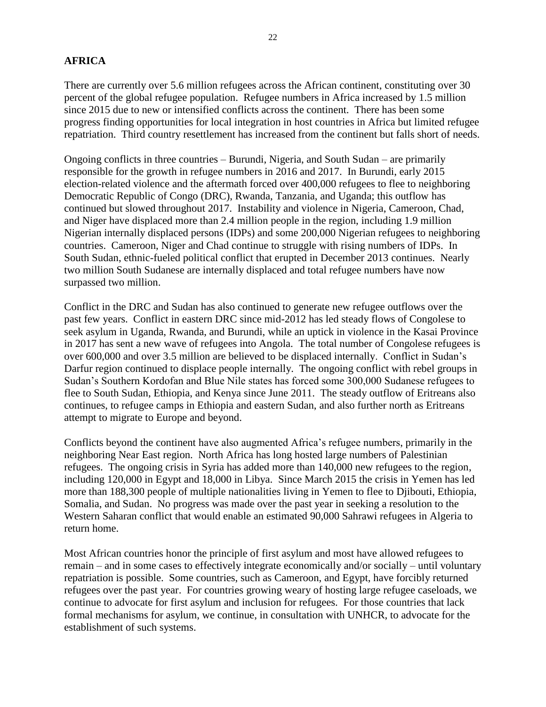## **AFRICA**

There are currently over 5.6 million refugees across the African continent, constituting over 30 percent of the global refugee population. Refugee numbers in Africa increased by 1.5 million since 2015 due to new or intensified conflicts across the continent. There has been some progress finding opportunities for local integration in host countries in Africa but limited refugee repatriation. Third country resettlement has increased from the continent but falls short of needs.

Ongoing conflicts in three countries – Burundi, Nigeria, and South Sudan – are primarily responsible for the growth in refugee numbers in 2016 and 2017. In Burundi, early 2015 election-related violence and the aftermath forced over 400,000 refugees to flee to neighboring Democratic Republic of Congo (DRC), Rwanda, Tanzania, and Uganda; this outflow has continued but slowed throughout 2017. Instability and violence in Nigeria, Cameroon, Chad, and Niger have displaced more than 2.4 million people in the region, including 1.9 million Nigerian internally displaced persons (IDPs) and some 200,000 Nigerian refugees to neighboring countries. Cameroon, Niger and Chad continue to struggle with rising numbers of IDPs. In South Sudan, ethnic-fueled political conflict that erupted in December 2013 continues. Nearly two million South Sudanese are internally displaced and total refugee numbers have now surpassed two million.

Conflict in the DRC and Sudan has also continued to generate new refugee outflows over the past few years. Conflict in eastern DRC since mid-2012 has led steady flows of Congolese to seek asylum in Uganda, Rwanda, and Burundi, while an uptick in violence in the Kasai Province in 2017 has sent a new wave of refugees into Angola. The total number of Congolese refugees is over 600,000 and over 3.5 million are believed to be displaced internally. Conflict in Sudan's Darfur region continued to displace people internally. The ongoing conflict with rebel groups in Sudan's Southern Kordofan and Blue Nile states has forced some 300,000 Sudanese refugees to flee to South Sudan, Ethiopia, and Kenya since June 2011. The steady outflow of Eritreans also continues, to refugee camps in Ethiopia and eastern Sudan, and also further north as Eritreans attempt to migrate to Europe and beyond.

Conflicts beyond the continent have also augmented Africa's refugee numbers, primarily in the neighboring Near East region. North Africa has long hosted large numbers of Palestinian refugees. The ongoing crisis in Syria has added more than 140,000 new refugees to the region, including 120,000 in Egypt and 18,000 in Libya. Since March 2015 the crisis in Yemen has led more than 188,300 people of multiple nationalities living in Yemen to flee to Djibouti, Ethiopia, Somalia, and Sudan. No progress was made over the past year in seeking a resolution to the Western Saharan conflict that would enable an estimated 90,000 Sahrawi refugees in Algeria to return home.

Most African countries honor the principle of first asylum and most have allowed refugees to remain – and in some cases to effectively integrate economically and/or socially – until voluntary repatriation is possible. Some countries, such as Cameroon, and Egypt, have forcibly returned refugees over the past year. For countries growing weary of hosting large refugee caseloads, we continue to advocate for first asylum and inclusion for refugees. For those countries that lack formal mechanisms for asylum, we continue, in consultation with UNHCR, to advocate for the establishment of such systems.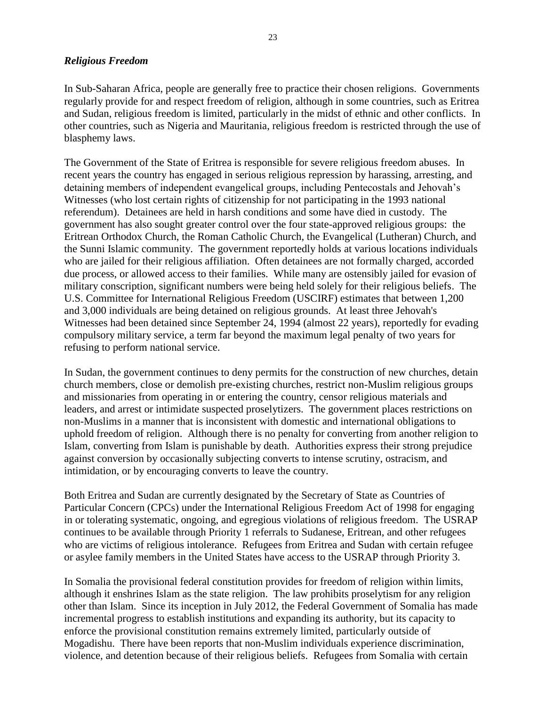#### *Religious Freedom*

In Sub-Saharan Africa, people are generally free to practice their chosen religions. Governments regularly provide for and respect freedom of religion, although in some countries, such as Eritrea and Sudan, religious freedom is limited, particularly in the midst of ethnic and other conflicts. In other countries, such as Nigeria and Mauritania, religious freedom is restricted through the use of blasphemy laws.

The Government of the State of Eritrea is responsible for severe religious freedom abuses. In recent years the country has engaged in serious religious repression by harassing, arresting, and detaining members of independent evangelical groups, including Pentecostals and Jehovah's Witnesses (who lost certain rights of citizenship for not participating in the 1993 national referendum). Detainees are held in harsh conditions and some have died in custody. The government has also sought greater control over the four state-approved religious groups: the Eritrean Orthodox Church, the Roman Catholic Church, the Evangelical (Lutheran) Church, and the Sunni Islamic community. The government reportedly holds at various locations individuals who are jailed for their religious affiliation. Often detainees are not formally charged, accorded due process, or allowed access to their families. While many are ostensibly jailed for evasion of military conscription, significant numbers were being held solely for their religious beliefs. The U.S. Committee for International Religious Freedom (USCIRF) estimates that between 1,200 and 3,000 individuals are being detained on religious grounds. At least three Jehovah's Witnesses had been detained since September 24, 1994 (almost 22 years), reportedly for evading compulsory military service, a term far beyond the maximum legal penalty of two years for refusing to perform national service.

In Sudan, the government continues to deny permits for the construction of new churches, detain church members, close or demolish pre-existing churches, restrict non-Muslim religious groups and missionaries from operating in or entering the country, censor religious materials and leaders, and arrest or intimidate suspected proselytizers. The government places restrictions on non-Muslims in a manner that is inconsistent with domestic and international obligations to uphold freedom of religion. Although there is no penalty for converting from another religion to Islam, converting from Islam is punishable by death. Authorities express their strong prejudice against conversion by occasionally subjecting converts to intense scrutiny, ostracism, and intimidation, or by encouraging converts to leave the country.

Both Eritrea and Sudan are currently designated by the Secretary of State as Countries of Particular Concern (CPCs) under the International Religious Freedom Act of 1998 for engaging in or tolerating systematic, ongoing, and egregious violations of religious freedom. The USRAP continues to be available through Priority 1 referrals to Sudanese, Eritrean, and other refugees who are victims of religious intolerance. Refugees from Eritrea and Sudan with certain refugee or asylee family members in the United States have access to the USRAP through Priority 3.

In Somalia the provisional federal constitution provides for freedom of religion within limits, although it enshrines Islam as the state religion. The law prohibits proselytism for any religion other than Islam. Since its inception in July 2012, the Federal Government of Somalia has made incremental progress to establish institutions and expanding its authority, but its capacity to enforce the provisional constitution remains extremely limited, particularly outside of Mogadishu. There have been reports that non-Muslim individuals experience discrimination, violence, and detention because of their religious beliefs. Refugees from Somalia with certain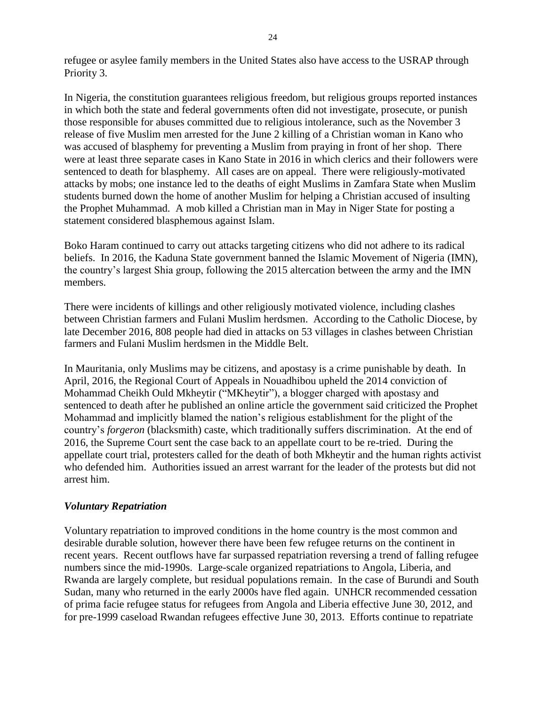refugee or asylee family members in the United States also have access to the USRAP through Priority 3.

In Nigeria, the constitution guarantees religious freedom, but religious groups reported instances in which both the state and federal governments often did not investigate, prosecute, or punish those responsible for abuses committed due to religious intolerance, such as the November 3 release of five Muslim men arrested for the June 2 killing of a Christian woman in Kano who was accused of blasphemy for preventing a Muslim from praying in front of her shop. There were at least three separate cases in Kano State in 2016 in which clerics and their followers were sentenced to death for blasphemy. All cases are on appeal. There were religiously-motivated attacks by mobs; one instance led to the deaths of eight Muslims in Zamfara State when Muslim students burned down the home of another Muslim for helping a Christian accused of insulting the Prophet Muhammad. A mob killed a Christian man in May in Niger State for posting a statement considered blasphemous against Islam.

Boko Haram continued to carry out attacks targeting citizens who did not adhere to its radical beliefs. In 2016, the Kaduna State government banned the Islamic Movement of Nigeria (IMN), the country's largest Shia group, following the 2015 altercation between the army and the IMN members.

There were incidents of killings and other religiously motivated violence, including clashes between Christian farmers and Fulani Muslim herdsmen. According to the Catholic Diocese, by late December 2016, 808 people had died in attacks on 53 villages in clashes between Christian farmers and Fulani Muslim herdsmen in the Middle Belt.

In Mauritania, only Muslims may be citizens, and apostasy is a crime punishable by death. In April, 2016, the Regional Court of Appeals in Nouadhibou upheld the 2014 conviction of Mohammad Cheikh Ould Mkheytir ("MKheytir"), a blogger charged with apostasy and sentenced to death after he published an online article the government said criticized the Prophet Mohammad and implicitly blamed the nation's religious establishment for the plight of the country's *forgeron* (blacksmith) caste, which traditionally suffers discrimination. At the end of 2016, the Supreme Court sent the case back to an appellate court to be re-tried. During the appellate court trial, protesters called for the death of both Mkheytir and the human rights activist who defended him. Authorities issued an arrest warrant for the leader of the protests but did not arrest him.

#### *Voluntary Repatriation*

Voluntary repatriation to improved conditions in the home country is the most common and desirable durable solution, however there have been few refugee returns on the continent in recent years. Recent outflows have far surpassed repatriation reversing a trend of falling refugee numbers since the mid-1990s. Large-scale organized repatriations to Angola, Liberia, and Rwanda are largely complete, but residual populations remain. In the case of Burundi and South Sudan, many who returned in the early 2000s have fled again. UNHCR recommended cessation of prima facie refugee status for refugees from Angola and Liberia effective June 30, 2012, and for pre-1999 caseload Rwandan refugees effective June 30, 2013. Efforts continue to repatriate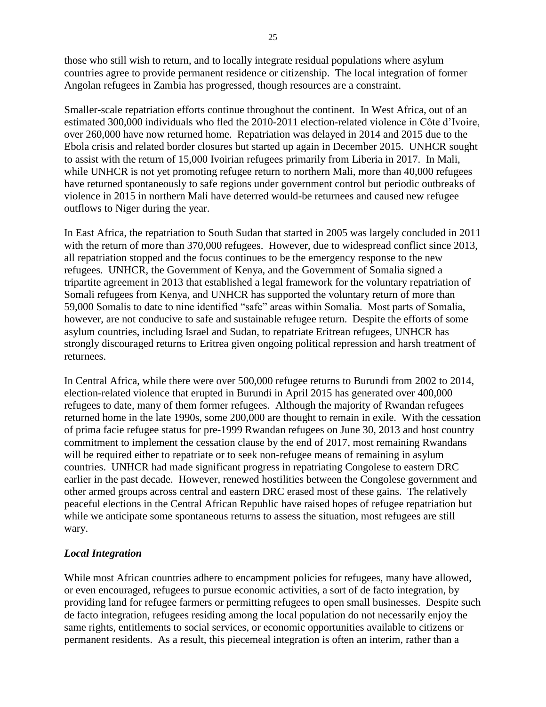those who still wish to return, and to locally integrate residual populations where asylum countries agree to provide permanent residence or citizenship. The local integration of former Angolan refugees in Zambia has progressed, though resources are a constraint.

Smaller-scale repatriation efforts continue throughout the continent. In West Africa, out of an estimated 300,000 individuals who fled the 2010-2011 election-related violence in Côte d'Ivoire, over 260,000 have now returned home. Repatriation was delayed in 2014 and 2015 due to the Ebola crisis and related border closures but started up again in December 2015. UNHCR sought to assist with the return of 15,000 Ivoirian refugees primarily from Liberia in 2017. In Mali, while UNHCR is not yet promoting refugee return to northern Mali, more than 40,000 refugees have returned spontaneously to safe regions under government control but periodic outbreaks of violence in 2015 in northern Mali have deterred would-be returnees and caused new refugee outflows to Niger during the year.

In East Africa, the repatriation to South Sudan that started in 2005 was largely concluded in 2011 with the return of more than 370,000 refugees. However, due to widespread conflict since 2013, all repatriation stopped and the focus continues to be the emergency response to the new refugees. UNHCR, the Government of Kenya, and the Government of Somalia signed a tripartite agreement in 2013 that established a legal framework for the voluntary repatriation of Somali refugees from Kenya, and UNHCR has supported the voluntary return of more than 59,000 Somalis to date to nine identified "safe" areas within Somalia. Most parts of Somalia, however, are not conducive to safe and sustainable refugee return. Despite the efforts of some asylum countries, including Israel and Sudan, to repatriate Eritrean refugees, UNHCR has strongly discouraged returns to Eritrea given ongoing political repression and harsh treatment of returnees.

In Central Africa, while there were over 500,000 refugee returns to Burundi from 2002 to 2014, election-related violence that erupted in Burundi in April 2015 has generated over 400,000 refugees to date, many of them former refugees. Although the majority of Rwandan refugees returned home in the late 1990s, some 200,000 are thought to remain in exile. With the cessation of prima facie refugee status for pre-1999 Rwandan refugees on June 30, 2013 and host country commitment to implement the cessation clause by the end of 2017, most remaining Rwandans will be required either to repatriate or to seek non-refugee means of remaining in asylum countries. UNHCR had made significant progress in repatriating Congolese to eastern DRC earlier in the past decade. However, renewed hostilities between the Congolese government and other armed groups across central and eastern DRC erased most of these gains. The relatively peaceful elections in the Central African Republic have raised hopes of refugee repatriation but while we anticipate some spontaneous returns to assess the situation, most refugees are still wary.

#### *Local Integration*

While most African countries adhere to encampment policies for refugees, many have allowed, or even encouraged, refugees to pursue economic activities, a sort of de facto integration, by providing land for refugee farmers or permitting refugees to open small businesses. Despite such de facto integration, refugees residing among the local population do not necessarily enjoy the same rights, entitlements to social services, or economic opportunities available to citizens or permanent residents. As a result, this piecemeal integration is often an interim, rather than a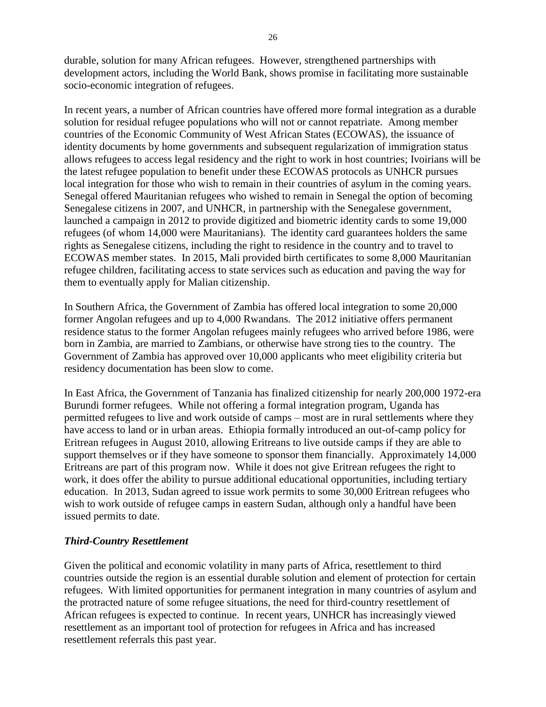durable, solution for many African refugees. However, strengthened partnerships with development actors, including the World Bank, shows promise in facilitating more sustainable socio-economic integration of refugees.

In recent years, a number of African countries have offered more formal integration as a durable solution for residual refugee populations who will not or cannot repatriate. Among member countries of the Economic Community of West African States (ECOWAS), the issuance of identity documents by home governments and subsequent regularization of immigration status allows refugees to access legal residency and the right to work in host countries; Ivoirians will be the latest refugee population to benefit under these ECOWAS protocols as UNHCR pursues local integration for those who wish to remain in their countries of asylum in the coming years. Senegal offered Mauritanian refugees who wished to remain in Senegal the option of becoming Senegalese citizens in 2007, and UNHCR, in partnership with the Senegalese government, launched a campaign in 2012 to provide digitized and biometric identity cards to some 19,000 refugees (of whom 14,000 were Mauritanians). The identity card guarantees holders the same rights as Senegalese citizens, including the right to residence in the country and to travel to ECOWAS member states. In 2015, Mali provided birth certificates to some 8,000 Mauritanian refugee children, facilitating access to state services such as education and paving the way for them to eventually apply for Malian citizenship.

In Southern Africa, the Government of Zambia has offered local integration to some 20,000 former Angolan refugees and up to 4,000 Rwandans. The 2012 initiative offers permanent residence status to the former Angolan refugees mainly refugees who arrived before 1986, were born in Zambia, are married to Zambians, or otherwise have strong ties to the country. The Government of Zambia has approved over 10,000 applicants who meet eligibility criteria but residency documentation has been slow to come.

In East Africa, the Government of Tanzania has finalized citizenship for nearly 200,000 1972-era Burundi former refugees. While not offering a formal integration program, Uganda has permitted refugees to live and work outside of camps – most are in rural settlements where they have access to land or in urban areas. Ethiopia formally introduced an out-of-camp policy for Eritrean refugees in August 2010, allowing Eritreans to live outside camps if they are able to support themselves or if they have someone to sponsor them financially. Approximately 14,000 Eritreans are part of this program now. While it does not give Eritrean refugees the right to work, it does offer the ability to pursue additional educational opportunities, including tertiary education. In 2013, Sudan agreed to issue work permits to some 30,000 Eritrean refugees who wish to work outside of refugee camps in eastern Sudan, although only a handful have been issued permits to date.

#### *Third-Country Resettlement*

Given the political and economic volatility in many parts of Africa, resettlement to third countries outside the region is an essential durable solution and element of protection for certain refugees. With limited opportunities for permanent integration in many countries of asylum and the protracted nature of some refugee situations, the need for third-country resettlement of African refugees is expected to continue. In recent years, UNHCR has increasingly viewed resettlement as an important tool of protection for refugees in Africa and has increased resettlement referrals this past year.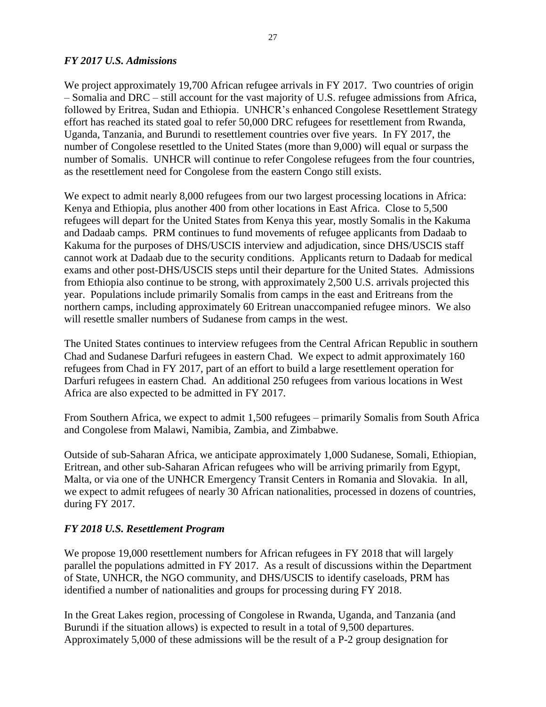#### *FY 2017 U.S. Admissions*

We project approximately 19,700 African refugee arrivals in FY 2017. Two countries of origin – Somalia and DRC – still account for the vast majority of U.S. refugee admissions from Africa, followed by Eritrea, Sudan and Ethiopia. UNHCR's enhanced Congolese Resettlement Strategy effort has reached its stated goal to refer 50,000 DRC refugees for resettlement from Rwanda, Uganda, Tanzania, and Burundi to resettlement countries over five years. In FY 2017, the number of Congolese resettled to the United States (more than 9,000) will equal or surpass the number of Somalis. UNHCR will continue to refer Congolese refugees from the four countries, as the resettlement need for Congolese from the eastern Congo still exists.

We expect to admit nearly 8,000 refugees from our two largest processing locations in Africa: Kenya and Ethiopia, plus another 400 from other locations in East Africa. Close to 5,500 refugees will depart for the United States from Kenya this year, mostly Somalis in the Kakuma and Dadaab camps. PRM continues to fund movements of refugee applicants from Dadaab to Kakuma for the purposes of DHS/USCIS interview and adjudication, since DHS/USCIS staff cannot work at Dadaab due to the security conditions. Applicants return to Dadaab for medical exams and other post-DHS/USCIS steps until their departure for the United States. Admissions from Ethiopia also continue to be strong, with approximately 2,500 U.S. arrivals projected this year. Populations include primarily Somalis from camps in the east and Eritreans from the northern camps, including approximately 60 Eritrean unaccompanied refugee minors. We also will resettle smaller numbers of Sudanese from camps in the west.

The United States continues to interview refugees from the Central African Republic in southern Chad and Sudanese Darfuri refugees in eastern Chad. We expect to admit approximately 160 refugees from Chad in FY 2017, part of an effort to build a large resettlement operation for Darfuri refugees in eastern Chad. An additional 250 refugees from various locations in West Africa are also expected to be admitted in FY 2017.

From Southern Africa, we expect to admit 1,500 refugees – primarily Somalis from South Africa and Congolese from Malawi, Namibia, Zambia, and Zimbabwe.

Outside of sub-Saharan Africa, we anticipate approximately 1,000 Sudanese, Somali, Ethiopian, Eritrean, and other sub-Saharan African refugees who will be arriving primarily from Egypt, Malta, or via one of the UNHCR Emergency Transit Centers in Romania and Slovakia. In all, we expect to admit refugees of nearly 30 African nationalities, processed in dozens of countries, during FY 2017.

## *FY 2018 U.S. Resettlement Program*

We propose 19,000 resettlement numbers for African refugees in FY 2018 that will largely parallel the populations admitted in FY 2017. As a result of discussions within the Department of State, UNHCR, the NGO community, and DHS/USCIS to identify caseloads, PRM has identified a number of nationalities and groups for processing during FY 2018.

In the Great Lakes region, processing of Congolese in Rwanda, Uganda, and Tanzania (and Burundi if the situation allows) is expected to result in a total of 9,500 departures. Approximately 5,000 of these admissions will be the result of a P-2 group designation for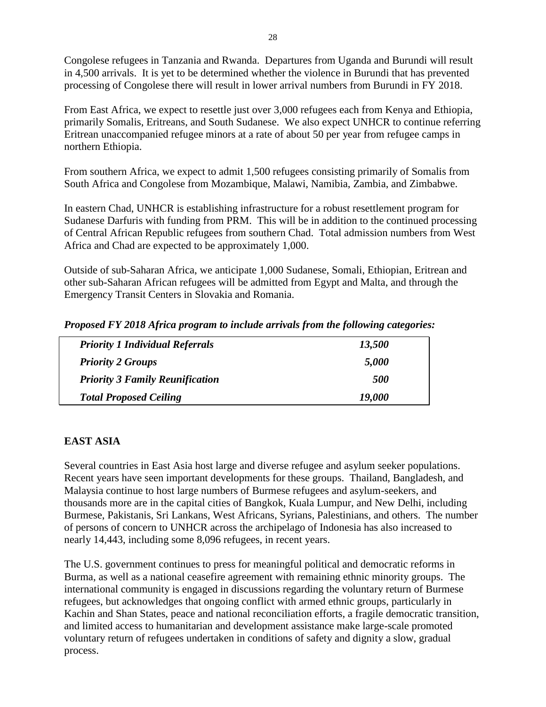Congolese refugees in Tanzania and Rwanda. Departures from Uganda and Burundi will result in 4,500 arrivals. It is yet to be determined whether the violence in Burundi that has prevented processing of Congolese there will result in lower arrival numbers from Burundi in FY 2018.

From East Africa, we expect to resettle just over 3,000 refugees each from Kenya and Ethiopia, primarily Somalis, Eritreans, and South Sudanese. We also expect UNHCR to continue referring Eritrean unaccompanied refugee minors at a rate of about 50 per year from refugee camps in northern Ethiopia.

From southern Africa, we expect to admit 1,500 refugees consisting primarily of Somalis from South Africa and Congolese from Mozambique, Malawi, Namibia, Zambia, and Zimbabwe.

In eastern Chad, UNHCR is establishing infrastructure for a robust resettlement program for Sudanese Darfuris with funding from PRM. This will be in addition to the continued processing of Central African Republic refugees from southern Chad. Total admission numbers from West Africa and Chad are expected to be approximately 1,000.

Outside of sub-Saharan Africa, we anticipate 1,000 Sudanese, Somali, Ethiopian, Eritrean and other sub-Saharan African refugees will be admitted from Egypt and Malta, and through the Emergency Transit Centers in Slovakia and Romania.

|  |  |  |  | Proposed FY 2018 Africa program to include arrivals from the following categories: |
|--|--|--|--|------------------------------------------------------------------------------------|
|  |  |  |  |                                                                                    |

| <b>Priority 1 Individual Referrals</b> | 13,500            |
|----------------------------------------|-------------------|
| <b>Priority 2 Groups</b>               | 5,000             |
| <b>Priority 3 Family Reunification</b> | <i><b>500</b></i> |
| <b>Total Proposed Ceiling</b>          | 19,000            |

## **EAST ASIA**

Several countries in East Asia host large and diverse refugee and asylum seeker populations. Recent years have seen important developments for these groups. Thailand, Bangladesh, and Malaysia continue to host large numbers of Burmese refugees and asylum-seekers, and thousands more are in the capital cities of Bangkok, Kuala Lumpur, and New Delhi, including Burmese, Pakistanis, Sri Lankans, West Africans, Syrians, Palestinians, and others. The number of persons of concern to UNHCR across the archipelago of Indonesia has also increased to nearly 14,443, including some 8,096 refugees, in recent years.

The U.S. government continues to press for meaningful political and democratic reforms in Burma, as well as a national ceasefire agreement with remaining ethnic minority groups. The international community is engaged in discussions regarding the voluntary return of Burmese refugees, but acknowledges that ongoing conflict with armed ethnic groups, particularly in Kachin and Shan States, peace and national reconciliation efforts, a fragile democratic transition, and limited access to humanitarian and development assistance make large-scale promoted voluntary return of refugees undertaken in conditions of safety and dignity a slow, gradual process.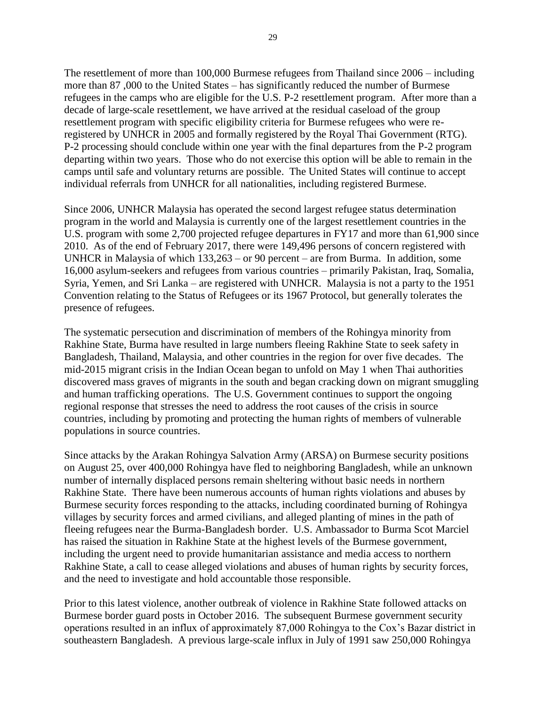The resettlement of more than 100,000 Burmese refugees from Thailand since 2006 – including more than 87 ,000 to the United States – has significantly reduced the number of Burmese refugees in the camps who are eligible for the U.S. P-2 resettlement program. After more than a decade of large-scale resettlement, we have arrived at the residual caseload of the group resettlement program with specific eligibility criteria for Burmese refugees who were reregistered by UNHCR in 2005 and formally registered by the Royal Thai Government (RTG). P-2 processing should conclude within one year with the final departures from the P-2 program departing within two years. Those who do not exercise this option will be able to remain in the camps until safe and voluntary returns are possible. The United States will continue to accept individual referrals from UNHCR for all nationalities, including registered Burmese.

Since 2006, UNHCR Malaysia has operated the second largest refugee status determination program in the world and Malaysia is currently one of the largest resettlement countries in the U.S. program with some 2,700 projected refugee departures in FY17 and more than 61,900 since 2010. As of the end of February 2017, there were 149,496 persons of concern registered with UNHCR in Malaysia of which 133,263 – or 90 percent – are from Burma. In addition, some 16,000 asylum-seekers and refugees from various countries – primarily Pakistan, Iraq, Somalia, Syria, Yemen, and Sri Lanka – are registered with UNHCR. Malaysia is not a party to the 1951 Convention relating to the Status of Refugees or its 1967 Protocol, but generally tolerates the presence of refugees.

The systematic persecution and discrimination of members of the Rohingya minority from Rakhine State, Burma have resulted in large numbers fleeing Rakhine State to seek safety in Bangladesh, Thailand, Malaysia, and other countries in the region for over five decades. The mid-2015 migrant crisis in the Indian Ocean began to unfold on May 1 when Thai authorities discovered mass graves of migrants in the south and began cracking down on migrant smuggling and human trafficking operations. The U.S. Government continues to support the ongoing regional response that stresses the need to address the root causes of the crisis in source countries, including by promoting and protecting the human rights of members of vulnerable populations in source countries.

Since attacks by the Arakan Rohingya Salvation Army (ARSA) on Burmese security positions on August 25, over 400,000 Rohingya have fled to neighboring Bangladesh, while an unknown number of internally displaced persons remain sheltering without basic needs in northern Rakhine State. There have been numerous accounts of human rights violations and abuses by Burmese security forces responding to the attacks, including coordinated burning of Rohingya villages by security forces and armed civilians, and alleged planting of mines in the path of fleeing refugees near the Burma-Bangladesh border. U.S. Ambassador to Burma Scot Marciel has raised the situation in Rakhine State at the highest levels of the Burmese government, including the urgent need to provide humanitarian assistance and media access to northern Rakhine State, a call to cease alleged violations and abuses of human rights by security forces, and the need to investigate and hold accountable those responsible.

Prior to this latest violence, another outbreak of violence in Rakhine State followed attacks on Burmese border guard posts in October 2016. The subsequent Burmese government security operations resulted in an influx of approximately 87,000 Rohingya to the Cox's Bazar district in southeastern Bangladesh. A previous large-scale influx in July of 1991 saw 250,000 Rohingya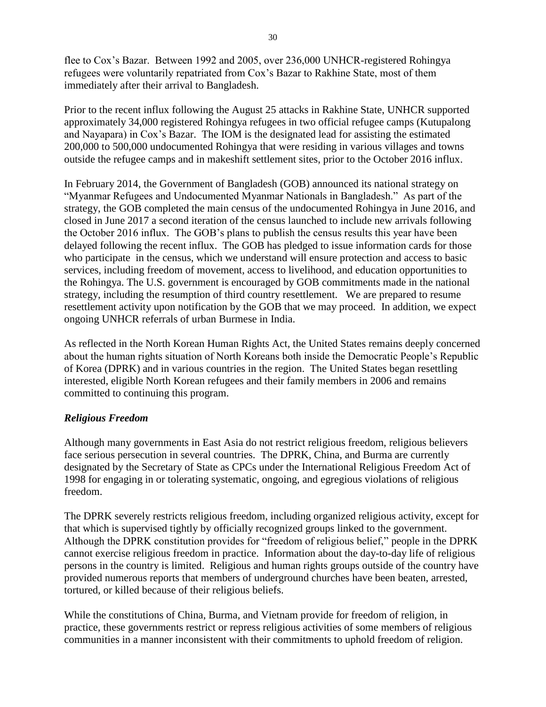flee to Cox's Bazar. Between 1992 and 2005, over 236,000 UNHCR-registered Rohingya refugees were voluntarily repatriated from Cox's Bazar to Rakhine State, most of them immediately after their arrival to Bangladesh.

Prior to the recent influx following the August 25 attacks in Rakhine State, UNHCR supported approximately 34,000 registered Rohingya refugees in two official refugee camps (Kutupalong and Nayapara) in Cox's Bazar. The IOM is the designated lead for assisting the estimated 200,000 to 500,000 undocumented Rohingya that were residing in various villages and towns outside the refugee camps and in makeshift settlement sites, prior to the October 2016 influx.

In February 2014, the Government of Bangladesh (GOB) announced its national strategy on "Myanmar Refugees and Undocumented Myanmar Nationals in Bangladesh." As part of the strategy, the GOB completed the main census of the undocumented Rohingya in June 2016, and closed in June 2017 a second iteration of the census launched to include new arrivals following the October 2016 influx. The GOB's plans to publish the census results this year have been delayed following the recent influx. The GOB has pledged to issue information cards for those who participate in the census, which we understand will ensure protection and access to basic services, including freedom of movement, access to livelihood, and education opportunities to the Rohingya. The U.S. government is encouraged by GOB commitments made in the national strategy, including the resumption of third country resettlement. We are prepared to resume resettlement activity upon notification by the GOB that we may proceed. In addition, we expect ongoing UNHCR referrals of urban Burmese in India.

As reflected in the North Korean Human Rights Act, the United States remains deeply concerned about the human rights situation of North Koreans both inside the Democratic People's Republic of Korea (DPRK) and in various countries in the region. The United States began resettling interested, eligible North Korean refugees and their family members in 2006 and remains committed to continuing this program.

## *Religious Freedom*

Although many governments in East Asia do not restrict religious freedom, religious believers face serious persecution in several countries. The DPRK, China, and Burma are currently designated by the Secretary of State as CPCs under the International Religious Freedom Act of 1998 for engaging in or tolerating systematic, ongoing, and egregious violations of religious freedom.

The DPRK severely restricts religious freedom, including organized religious activity, except for that which is supervised tightly by officially recognized groups linked to the government. Although the DPRK constitution provides for "freedom of religious belief," people in the DPRK cannot exercise religious freedom in practice. Information about the day-to-day life of religious persons in the country is limited. Religious and human rights groups outside of the country have provided numerous reports that members of underground churches have been beaten, arrested, tortured, or killed because of their religious beliefs.

While the constitutions of China, Burma, and Vietnam provide for freedom of religion, in practice, these governments restrict or repress religious activities of some members of religious communities in a manner inconsistent with their commitments to uphold freedom of religion.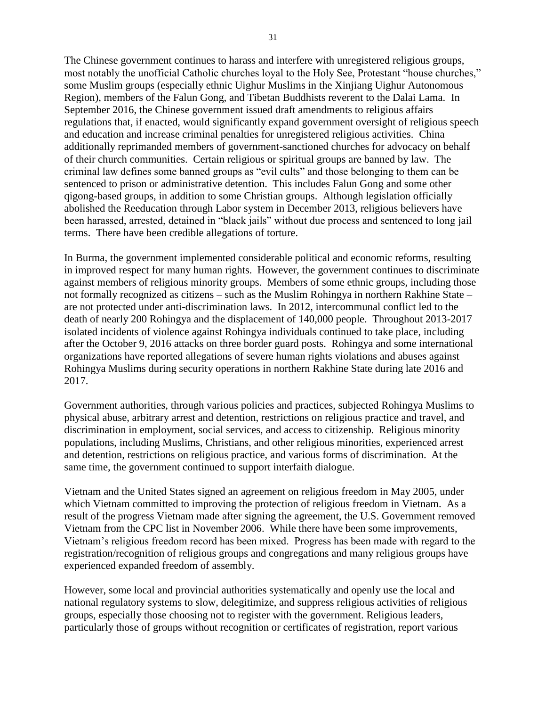The Chinese government continues to harass and interfere with unregistered religious groups, most notably the unofficial Catholic churches loyal to the Holy See, Protestant "house churches," some Muslim groups (especially ethnic Uighur Muslims in the Xinjiang Uighur Autonomous Region), members of the Falun Gong, and Tibetan Buddhists reverent to the Dalai Lama. In September 2016, the Chinese government issued draft amendments to religious affairs regulations that, if enacted, would significantly expand government oversight of religious speech and education and increase criminal penalties for unregistered religious activities. China additionally reprimanded members of government-sanctioned churches for advocacy on behalf of their church communities. Certain religious or spiritual groups are banned by law. The criminal law defines some banned groups as "evil cults" and those belonging to them can be sentenced to prison or administrative detention. This includes Falun Gong and some other qigong-based groups, in addition to some Christian groups. Although legislation officially abolished the Reeducation through Labor system in December 2013, religious believers have been harassed, arrested, detained in "black jails" without due process and sentenced to long jail terms. There have been credible allegations of torture.

In Burma, the government implemented considerable political and economic reforms, resulting in improved respect for many human rights. However, the government continues to discriminate against members of religious minority groups. Members of some ethnic groups, including those not formally recognized as citizens – such as the Muslim Rohingya in northern Rakhine State – are not protected under anti-discrimination laws. In 2012, intercommunal conflict led to the death of nearly 200 Rohingya and the displacement of 140,000 people. Throughout 2013-2017 isolated incidents of violence against Rohingya individuals continued to take place, including after the October 9, 2016 attacks on three border guard posts. Rohingya and some international organizations have reported allegations of severe human rights violations and abuses against Rohingya Muslims during security operations in northern Rakhine State during late 2016 and 2017.

Government authorities, through various policies and practices, subjected Rohingya Muslims to physical abuse, arbitrary arrest and detention, restrictions on religious practice and travel, and discrimination in employment, social services, and access to citizenship. Religious minority populations, including Muslims, Christians, and other religious minorities, experienced arrest and detention, restrictions on religious practice, and various forms of discrimination. At the same time, the government continued to support interfaith dialogue.

Vietnam and the United States signed an agreement on religious freedom in May 2005, under which Vietnam committed to improving the protection of religious freedom in Vietnam. As a result of the progress Vietnam made after signing the agreement, the U.S. Government removed Vietnam from the CPC list in November 2006. While there have been some improvements, Vietnam's religious freedom record has been mixed. Progress has been made with regard to the registration/recognition of religious groups and congregations and many religious groups have experienced expanded freedom of assembly.

However, some local and provincial authorities systematically and openly use the local and national regulatory systems to slow, delegitimize, and suppress religious activities of religious groups, especially those choosing not to register with the government. Religious leaders, particularly those of groups without recognition or certificates of registration, report various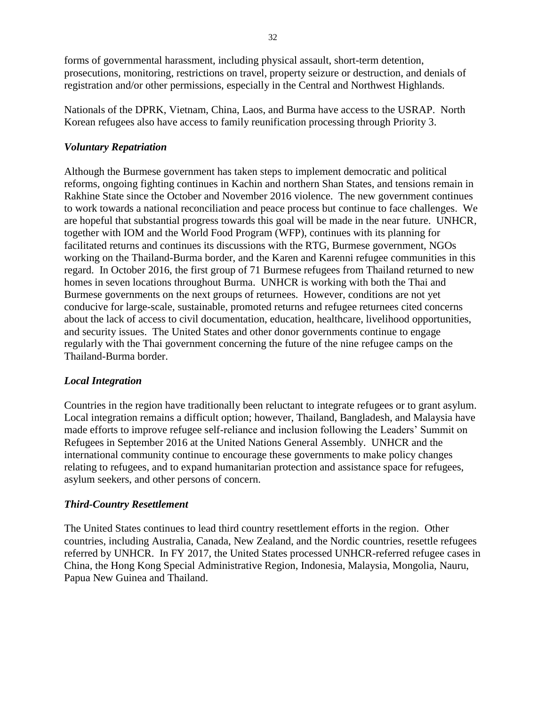forms of governmental harassment, including physical assault, short-term detention, prosecutions, monitoring, restrictions on travel, property seizure or destruction, and denials of registration and/or other permissions, especially in the Central and Northwest Highlands.

Nationals of the DPRK, Vietnam, China, Laos, and Burma have access to the USRAP. North Korean refugees also have access to family reunification processing through Priority 3.

## *Voluntary Repatriation*

Although the Burmese government has taken steps to implement democratic and political reforms, ongoing fighting continues in Kachin and northern Shan States, and tensions remain in Rakhine State since the October and November 2016 violence. The new government continues to work towards a national reconciliation and peace process but continue to face challenges. We are hopeful that substantial progress towards this goal will be made in the near future. UNHCR, together with IOM and the World Food Program (WFP), continues with its planning for facilitated returns and continues its discussions with the RTG, Burmese government, NGOs working on the Thailand-Burma border, and the Karen and Karenni refugee communities in this regard. In October 2016, the first group of 71 Burmese refugees from Thailand returned to new homes in seven locations throughout Burma. UNHCR is working with both the Thai and Burmese governments on the next groups of returnees. However, conditions are not yet conducive for large-scale, sustainable, promoted returns and refugee returnees cited concerns about the lack of access to civil documentation, education, healthcare, livelihood opportunities, and security issues. The United States and other donor governments continue to engage regularly with the Thai government concerning the future of the nine refugee camps on the Thailand-Burma border.

## *Local Integration*

Countries in the region have traditionally been reluctant to integrate refugees or to grant asylum. Local integration remains a difficult option; however, Thailand, Bangladesh, and Malaysia have made efforts to improve refugee self-reliance and inclusion following the Leaders' Summit on Refugees in September 2016 at the United Nations General Assembly. UNHCR and the international community continue to encourage these governments to make policy changes relating to refugees, and to expand humanitarian protection and assistance space for refugees, asylum seekers, and other persons of concern.

## *Third-Country Resettlement*

The United States continues to lead third country resettlement efforts in the region. Other countries, including Australia, Canada, New Zealand, and the Nordic countries, resettle refugees referred by UNHCR. In FY 2017, the United States processed UNHCR-referred refugee cases in China, the Hong Kong Special Administrative Region, Indonesia, Malaysia, Mongolia, Nauru, Papua New Guinea and Thailand.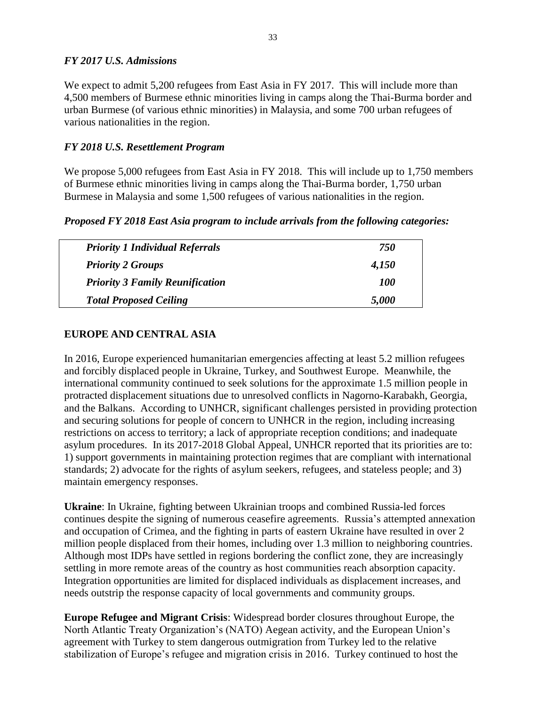#### *FY 2017 U.S. Admissions*

We expect to admit 5,200 refugees from East Asia in FY 2017. This will include more than 4,500 members of Burmese ethnic minorities living in camps along the Thai-Burma border and urban Burmese (of various ethnic minorities) in Malaysia, and some 700 urban refugees of various nationalities in the region.

## *FY 2018 U.S. Resettlement Program*

We propose 5,000 refugees from East Asia in FY 2018. This will include up to 1,750 members of Burmese ethnic minorities living in camps along the Thai-Burma border, 1,750 urban Burmese in Malaysia and some 1,500 refugees of various nationalities in the region.

#### *Proposed FY 2018 East Asia program to include arrivals from the following categories:*

| <b>Priority 1 Individual Referrals</b> | 750   |
|----------------------------------------|-------|
| <b>Priority 2 Groups</b>               | 4,150 |
| <b>Priority 3 Family Reunification</b> | 100   |
| <b>Total Proposed Ceiling</b>          | 5,000 |

## **EUROPE AND CENTRAL ASIA**

In 2016, Europe experienced humanitarian emergencies affecting at least 5.2 million refugees and forcibly displaced people in Ukraine, Turkey, and Southwest Europe. Meanwhile, the international community continued to seek solutions for the approximate 1.5 million people in protracted displacement situations due to unresolved conflicts in Nagorno-Karabakh, Georgia, and the Balkans. According to UNHCR, significant challenges persisted in providing protection and securing solutions for people of concern to UNHCR in the region, including increasing restrictions on access to territory; a lack of appropriate reception conditions; and inadequate asylum procedures. In its 2017-2018 Global Appeal, UNHCR reported that its priorities are to: 1) support governments in maintaining protection regimes that are compliant with international standards; 2) advocate for the rights of asylum seekers, refugees, and stateless people; and 3) maintain emergency responses.

**Ukraine**: In Ukraine, fighting between Ukrainian troops and combined Russia-led forces continues despite the signing of numerous ceasefire agreements. Russia's attempted annexation and occupation of Crimea, and the fighting in parts of eastern Ukraine have resulted in over 2 million people displaced from their homes, including over 1.3 million to neighboring countries. Although most IDPs have settled in regions bordering the conflict zone, they are increasingly settling in more remote areas of the country as host communities reach absorption capacity. Integration opportunities are limited for displaced individuals as displacement increases, and needs outstrip the response capacity of local governments and community groups.

**Europe Refugee and Migrant Crisis**: Widespread border closures throughout Europe, the North Atlantic Treaty Organization's (NATO) Aegean activity, and the European Union's agreement with Turkey to stem dangerous outmigration from Turkey led to the relative stabilization of Europe's refugee and migration crisis in 2016. Turkey continued to host the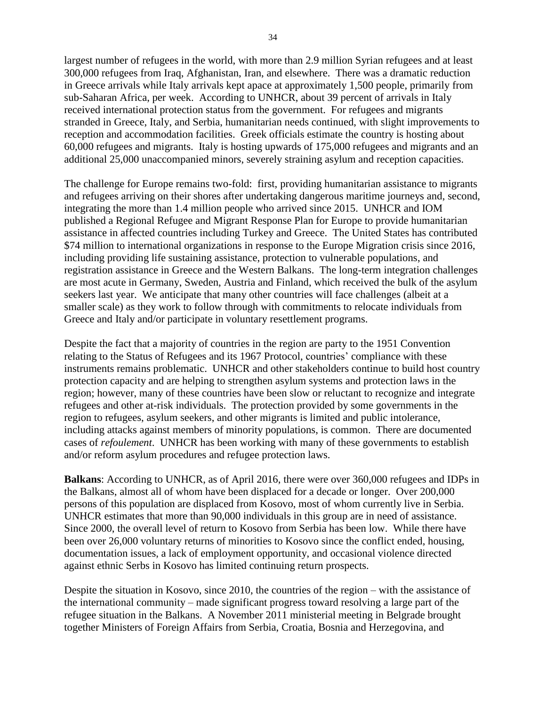largest number of refugees in the world, with more than 2.9 million Syrian refugees and at least 300,000 refugees from Iraq, Afghanistan, Iran, and elsewhere. There was a dramatic reduction in Greece arrivals while Italy arrivals kept apace at approximately 1,500 people, primarily from sub-Saharan Africa, per week. According to UNHCR, about 39 percent of arrivals in Italy received international protection status from the government. For refugees and migrants stranded in Greece, Italy, and Serbia, humanitarian needs continued, with slight improvements to reception and accommodation facilities. Greek officials estimate the country is hosting about 60,000 refugees and migrants. Italy is hosting upwards of 175,000 refugees and migrants and an additional 25,000 unaccompanied minors, severely straining asylum and reception capacities.

The challenge for Europe remains two-fold: first, providing humanitarian assistance to migrants and refugees arriving on their shores after undertaking dangerous maritime journeys and, second, integrating the more than 1.4 million people who arrived since 2015. UNHCR and IOM published a Regional Refugee and Migrant Response Plan for Europe to provide humanitarian assistance in affected countries including Turkey and Greece. The United States has contributed \$74 million to international organizations in response to the Europe Migration crisis since 2016, including providing life sustaining assistance, protection to vulnerable populations, and registration assistance in Greece and the Western Balkans. The long-term integration challenges are most acute in Germany, Sweden, Austria and Finland, which received the bulk of the asylum seekers last year. We anticipate that many other countries will face challenges (albeit at a smaller scale) as they work to follow through with commitments to relocate individuals from Greece and Italy and/or participate in voluntary resettlement programs.

Despite the fact that a majority of countries in the region are party to the 1951 Convention relating to the Status of Refugees and its 1967 Protocol, countries' compliance with these instruments remains problematic. UNHCR and other stakeholders continue to build host country protection capacity and are helping to strengthen asylum systems and protection laws in the region; however, many of these countries have been slow or reluctant to recognize and integrate refugees and other at-risk individuals. The protection provided by some governments in the region to refugees, asylum seekers, and other migrants is limited and public intolerance, including attacks against members of minority populations, is common. There are documented cases of *refoulement*. UNHCR has been working with many of these governments to establish and/or reform asylum procedures and refugee protection laws.

**Balkans**: According to UNHCR, as of April 2016, there were over 360,000 refugees and IDPs in the Balkans, almost all of whom have been displaced for a decade or longer. Over 200,000 persons of this population are displaced from Kosovo, most of whom currently live in Serbia. UNHCR estimates that more than 90,000 individuals in this group are in need of assistance. Since 2000, the overall level of return to Kosovo from Serbia has been low. While there have been over 26,000 voluntary returns of minorities to Kosovo since the conflict ended, housing, documentation issues, a lack of employment opportunity, and occasional violence directed against ethnic Serbs in Kosovo has limited continuing return prospects.

Despite the situation in Kosovo, since 2010, the countries of the region – with the assistance of the international community – made significant progress toward resolving a large part of the refugee situation in the Balkans. A November 2011 ministerial meeting in Belgrade brought together Ministers of Foreign Affairs from Serbia, Croatia, Bosnia and Herzegovina, and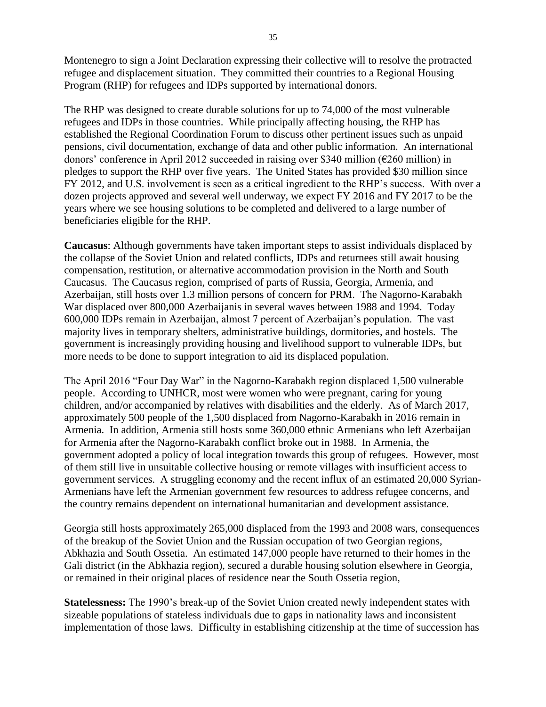Montenegro to sign a Joint Declaration expressing their collective will to resolve the protracted refugee and displacement situation. They committed their countries to a Regional Housing Program (RHP) for refugees and IDPs supported by international donors.

The RHP was designed to create durable solutions for up to 74,000 of the most vulnerable refugees and IDPs in those countries. While principally affecting housing, the RHP has established the Regional Coordination Forum to discuss other pertinent issues such as unpaid pensions, civil documentation, exchange of data and other public information. An international donors' conference in April 2012 succeeded in raising over \$340 million (€260 million) in pledges to support the RHP over five years. The United States has provided \$30 million since FY 2012, and U.S. involvement is seen as a critical ingredient to the RHP's success. With over a dozen projects approved and several well underway, we expect FY 2016 and FY 2017 to be the years where we see housing solutions to be completed and delivered to a large number of beneficiaries eligible for the RHP.

**Caucasus**: Although governments have taken important steps to assist individuals displaced by the collapse of the Soviet Union and related conflicts, IDPs and returnees still await housing compensation, restitution, or alternative accommodation provision in the North and South Caucasus. The Caucasus region, comprised of parts of Russia, Georgia, Armenia, and Azerbaijan, still hosts over 1.3 million persons of concern for PRM. The Nagorno-Karabakh War displaced over 800,000 Azerbaijanis in several waves between 1988 and 1994. Today 600,000 IDPs remain in Azerbaijan, almost 7 percent of Azerbaijan's population. The vast majority lives in temporary shelters, administrative buildings, dormitories, and hostels. The government is increasingly providing housing and livelihood support to vulnerable IDPs, but more needs to be done to support integration to aid its displaced population.

The April 2016 "Four Day War" in the Nagorno-Karabakh region displaced 1,500 vulnerable people. According to UNHCR, most were women who were pregnant, caring for young children, and/or accompanied by relatives with disabilities and the elderly. As of March 2017, approximately 500 people of the 1,500 displaced from Nagorno-Karabakh in 2016 remain in Armenia. In addition, Armenia still hosts some 360,000 ethnic Armenians who left Azerbaijan for Armenia after the Nagorno-Karabakh conflict broke out in 1988. In Armenia, the government adopted a policy of local integration towards this group of refugees. However, most of them still live in unsuitable collective housing or remote villages with insufficient access to government services. A struggling economy and the recent influx of an estimated 20,000 Syrian-Armenians have left the Armenian government few resources to address refugee concerns, and the country remains dependent on international humanitarian and development assistance.

Georgia still hosts approximately 265,000 displaced from the 1993 and 2008 wars, consequences of the breakup of the Soviet Union and the Russian occupation of two Georgian regions, Abkhazia and South Ossetia. An estimated 147,000 people have returned to their homes in the Gali district (in the Abkhazia region), secured a durable housing solution elsewhere in Georgia, or remained in their original places of residence near the South Ossetia region,

**Statelessness:** The 1990's break-up of the Soviet Union created newly independent states with sizeable populations of stateless individuals due to gaps in nationality laws and inconsistent implementation of those laws. Difficulty in establishing citizenship at the time of succession has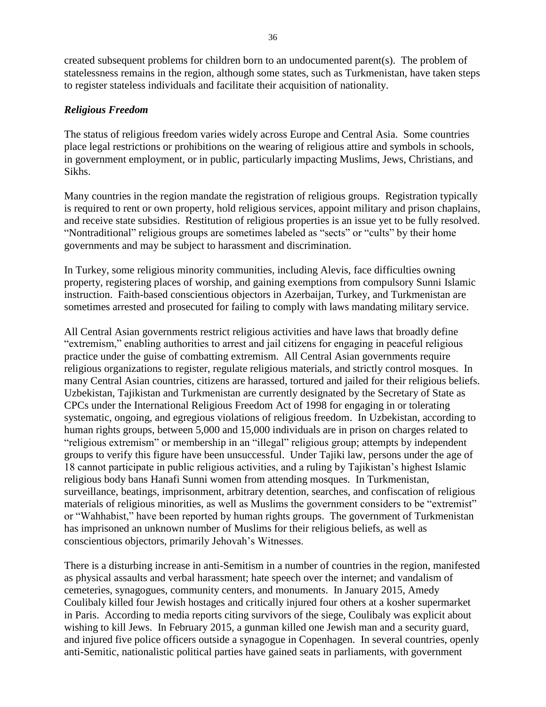created subsequent problems for children born to an undocumented parent(s). The problem of statelessness remains in the region, although some states, such as Turkmenistan, have taken steps to register stateless individuals and facilitate their acquisition of nationality.

## *Religious Freedom*

The status of religious freedom varies widely across Europe and Central Asia. Some countries place legal restrictions or prohibitions on the wearing of religious attire and symbols in schools, in government employment, or in public, particularly impacting Muslims, Jews, Christians, and Sikhs.

Many countries in the region mandate the registration of religious groups. Registration typically is required to rent or own property, hold religious services, appoint military and prison chaplains, and receive state subsidies. Restitution of religious properties is an issue yet to be fully resolved. "Nontraditional" religious groups are sometimes labeled as "sects" or "cults" by their home governments and may be subject to harassment and discrimination.

In Turkey, some religious minority communities, including Alevis, face difficulties owning property, registering places of worship, and gaining exemptions from compulsory Sunni Islamic instruction. Faith-based conscientious objectors in Azerbaijan, Turkey, and Turkmenistan are sometimes arrested and prosecuted for failing to comply with laws mandating military service.

All Central Asian governments restrict religious activities and have laws that broadly define "extremism," enabling authorities to arrest and jail citizens for engaging in peaceful religious practice under the guise of combatting extremism. All Central Asian governments require religious organizations to register, regulate religious materials, and strictly control mosques. In many Central Asian countries, citizens are harassed, tortured and jailed for their religious beliefs. Uzbekistan, Tajikistan and Turkmenistan are currently designated by the Secretary of State as CPCs under the International Religious Freedom Act of 1998 for engaging in or tolerating systematic, ongoing, and egregious violations of religious freedom. In Uzbekistan, according to human rights groups, between 5,000 and 15,000 individuals are in prison on charges related to "religious extremism" or membership in an "illegal" religious group; attempts by independent groups to verify this figure have been unsuccessful. Under Tajiki law, persons under the age of 18 cannot participate in public religious activities, and a ruling by Tajikistan's highest Islamic religious body bans Hanafi Sunni women from attending mosques. In Turkmenistan, surveillance, beatings, imprisonment, arbitrary detention, searches, and confiscation of religious materials of religious minorities, as well as Muslims the government considers to be "extremist" or "Wahhabist," have been reported by human rights groups. The government of Turkmenistan has imprisoned an unknown number of Muslims for their religious beliefs, as well as conscientious objectors, primarily Jehovah's Witnesses.

There is a disturbing increase in anti-Semitism in a number of countries in the region, manifested as physical assaults and verbal harassment; hate speech over the internet; and vandalism of cemeteries, synagogues, community centers, and monuments. In January 2015, Amedy Coulibaly killed four Jewish hostages and critically injured four others at a kosher supermarket in Paris. According to media reports citing survivors of the siege, Coulibaly was explicit about wishing to kill Jews. In February 2015, a gunman killed one Jewish man and a security guard, and injured five police officers outside a synagogue in Copenhagen. In several countries, openly anti-Semitic, nationalistic political parties have gained seats in parliaments, with government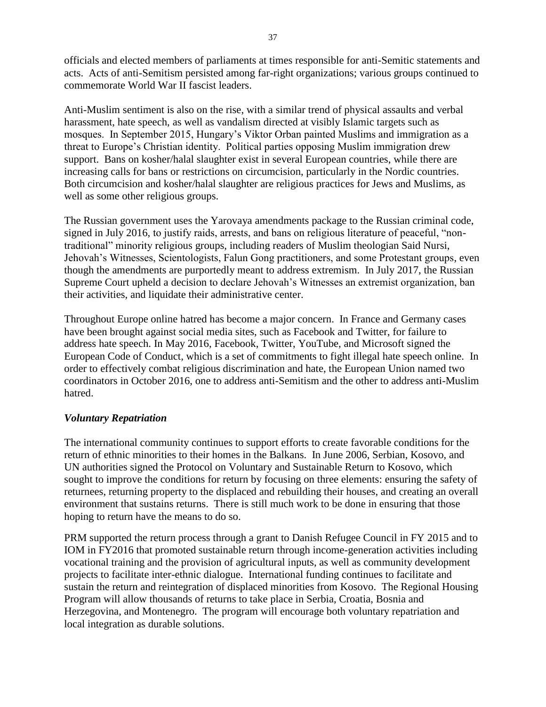officials and elected members of parliaments at times responsible for anti-Semitic statements and acts. Acts of anti-Semitism persisted among far-right organizations; various groups continued to commemorate World War II fascist leaders.

Anti-Muslim sentiment is also on the rise, with a similar trend of physical assaults and verbal harassment, hate speech, as well as vandalism directed at visibly Islamic targets such as mosques. In September 2015, Hungary's Viktor Orban painted Muslims and immigration as a threat to Europe's Christian identity. Political parties opposing Muslim immigration drew support. Bans on kosher/halal slaughter exist in several European countries, while there are increasing calls for bans or restrictions on circumcision, particularly in the Nordic countries. Both circumcision and kosher/halal slaughter are religious practices for Jews and Muslims, as well as some other religious groups.

The Russian government uses the Yarovaya amendments package to the Russian criminal code, signed in July 2016, to justify raids, arrests, and bans on religious literature of peaceful, "nontraditional" minority religious groups, including readers of Muslim theologian Said Nursi, Jehovah's Witnesses, Scientologists, Falun Gong practitioners, and some Protestant groups, even though the amendments are purportedly meant to address extremism. In July 2017, the Russian Supreme Court upheld a decision to declare Jehovah's Witnesses an extremist organization, ban their activities, and liquidate their administrative center.

Throughout Europe online hatred has become a major concern. In France and Germany cases have been brought against social media sites, such as Facebook and Twitter, for failure to address hate speech. In May 2016, Facebook, Twitter, YouTube, and Microsoft signed the European Code of Conduct, which is a set of commitments to fight illegal hate speech online. In order to effectively combat religious discrimination and hate, the European Union named two coordinators in October 2016, one to address anti-Semitism and the other to address anti-Muslim hatred.

#### *Voluntary Repatriation*

The international community continues to support efforts to create favorable conditions for the return of ethnic minorities to their homes in the Balkans. In June 2006, Serbian, Kosovo, and UN authorities signed the Protocol on Voluntary and Sustainable Return to Kosovo, which sought to improve the conditions for return by focusing on three elements: ensuring the safety of returnees, returning property to the displaced and rebuilding their houses, and creating an overall environment that sustains returns. There is still much work to be done in ensuring that those hoping to return have the means to do so.

PRM supported the return process through a grant to Danish Refugee Council in FY 2015 and to IOM in FY2016 that promoted sustainable return through income-generation activities including vocational training and the provision of agricultural inputs, as well as community development projects to facilitate inter-ethnic dialogue. International funding continues to facilitate and sustain the return and reintegration of displaced minorities from Kosovo. The Regional Housing Program will allow thousands of returns to take place in Serbia, Croatia, Bosnia and Herzegovina, and Montenegro. The program will encourage both voluntary repatriation and local integration as durable solutions.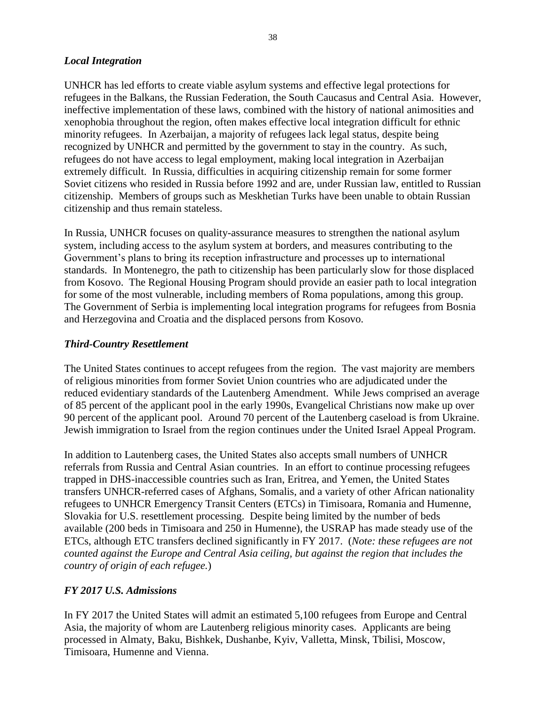#### *Local Integration*

UNHCR has led efforts to create viable asylum systems and effective legal protections for refugees in the Balkans, the Russian Federation, the South Caucasus and Central Asia. However, ineffective implementation of these laws, combined with the history of national animosities and xenophobia throughout the region, often makes effective local integration difficult for ethnic minority refugees. In Azerbaijan, a majority of refugees lack legal status, despite being recognized by UNHCR and permitted by the government to stay in the country. As such, refugees do not have access to legal employment, making local integration in Azerbaijan extremely difficult. In Russia, difficulties in acquiring citizenship remain for some former Soviet citizens who resided in Russia before 1992 and are, under Russian law, entitled to Russian citizenship. Members of groups such as Meskhetian Turks have been unable to obtain Russian citizenship and thus remain stateless.

In Russia, UNHCR focuses on quality-assurance measures to strengthen the national asylum system, including access to the asylum system at borders, and measures contributing to the Government's plans to bring its reception infrastructure and processes up to international standards. In Montenegro, the path to citizenship has been particularly slow for those displaced from Kosovo. The Regional Housing Program should provide an easier path to local integration for some of the most vulnerable, including members of Roma populations, among this group. The Government of Serbia is implementing local integration programs for refugees from Bosnia and Herzegovina and Croatia and the displaced persons from Kosovo.

## *Third-Country Resettlement*

The United States continues to accept refugees from the region. The vast majority are members of religious minorities from former Soviet Union countries who are adjudicated under the reduced evidentiary standards of the Lautenberg Amendment. While Jews comprised an average of 85 percent of the applicant pool in the early 1990s, Evangelical Christians now make up over 90 percent of the applicant pool. Around 70 percent of the Lautenberg caseload is from Ukraine. Jewish immigration to Israel from the region continues under the United Israel Appeal Program.

In addition to Lautenberg cases, the United States also accepts small numbers of UNHCR referrals from Russia and Central Asian countries. In an effort to continue processing refugees trapped in DHS-inaccessible countries such as Iran, Eritrea, and Yemen, the United States transfers UNHCR-referred cases of Afghans, Somalis, and a variety of other African nationality refugees to UNHCR Emergency Transit Centers (ETCs) in Timisoara, Romania and Humenne, Slovakia for U.S. resettlement processing. Despite being limited by the number of beds available (200 beds in Timisoara and 250 in Humenne), the USRAP has made steady use of the ETCs, although ETC transfers declined significantly in FY 2017. (*Note: these refugees are not counted against the Europe and Central Asia ceiling, but against the region that includes the country of origin of each refugee.*)

## *FY 2017 U.S. Admissions*

In FY 2017 the United States will admit an estimated 5,100 refugees from Europe and Central Asia, the majority of whom are Lautenberg religious minority cases. Applicants are being processed in Almaty, Baku, Bishkek, Dushanbe, Kyiv, Valletta, Minsk, Tbilisi, Moscow, Timisoara, Humenne and Vienna.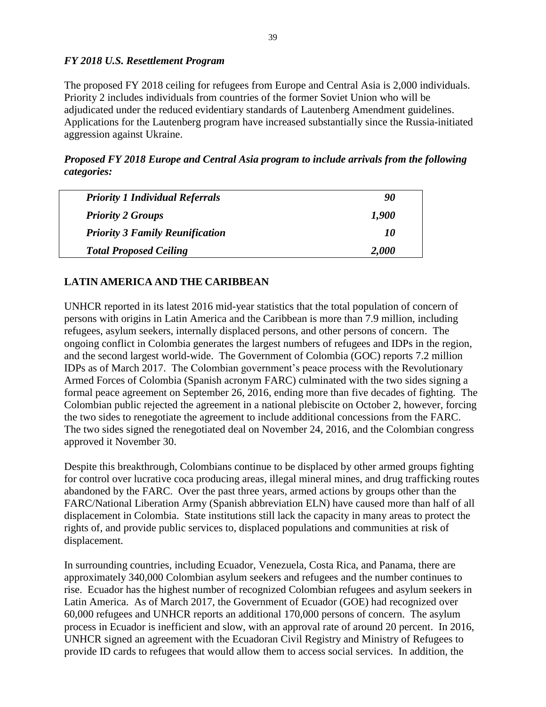## *FY 2018 U.S. Resettlement Program*

The proposed FY 2018 ceiling for refugees from Europe and Central Asia is 2,000 individuals. Priority 2 includes individuals from countries of the former Soviet Union who will be adjudicated under the reduced evidentiary standards of Lautenberg Amendment guidelines. Applications for the Lautenberg program have increased substantially since the Russia-initiated aggression against Ukraine.

*Proposed FY 2018 Europe and Central Asia program to include arrivals from the following categories:* 

| <b>Priority 1 Individual Referrals</b> | 90    |
|----------------------------------------|-------|
| <b>Priority 2 Groups</b>               | 1,900 |
| <b>Priority 3 Family Reunification</b> | 10    |
| <b>Total Proposed Ceiling</b>          | 2,000 |

# **LATIN AMERICA AND THE CARIBBEAN**

UNHCR reported in its latest 2016 mid-year statistics that the total population of concern of persons with origins in Latin America and the Caribbean is more than 7.9 million, including refugees, asylum seekers, internally displaced persons, and other persons of concern. The ongoing conflict in Colombia generates the largest numbers of refugees and IDPs in the region, and the second largest world-wide. The Government of Colombia (GOC) reports 7.2 million IDPs as of March 2017. The Colombian government's peace process with the Revolutionary Armed Forces of Colombia (Spanish acronym FARC) culminated with the two sides signing a formal peace agreement on September 26, 2016, ending more than five decades of fighting. The Colombian public rejected the agreement in a national plebiscite on October 2, however, forcing the two sides to renegotiate the agreement to include additional concessions from the FARC. The two sides signed the renegotiated deal on November 24, 2016, and the Colombian congress approved it November 30.

Despite this breakthrough, Colombians continue to be displaced by other armed groups fighting for control over lucrative coca producing areas, illegal mineral mines, and drug trafficking routes abandoned by the FARC. Over the past three years, armed actions by groups other than the FARC/National Liberation Army (Spanish abbreviation ELN) have caused more than half of all displacement in Colombia. State institutions still lack the capacity in many areas to protect the rights of, and provide public services to, displaced populations and communities at risk of displacement.

In surrounding countries, including Ecuador, Venezuela, Costa Rica, and Panama, there are approximately 340,000 Colombian asylum seekers and refugees and the number continues to rise. Ecuador has the highest number of recognized Colombian refugees and asylum seekers in Latin America. As of March 2017, the Government of Ecuador (GOE) had recognized over 60,000 refugees and UNHCR reports an additional 170,000 persons of concern. The asylum process in Ecuador is inefficient and slow, with an approval rate of around 20 percent. In 2016, UNHCR signed an agreement with the Ecuadoran Civil Registry and Ministry of Refugees to provide ID cards to refugees that would allow them to access social services. In addition, the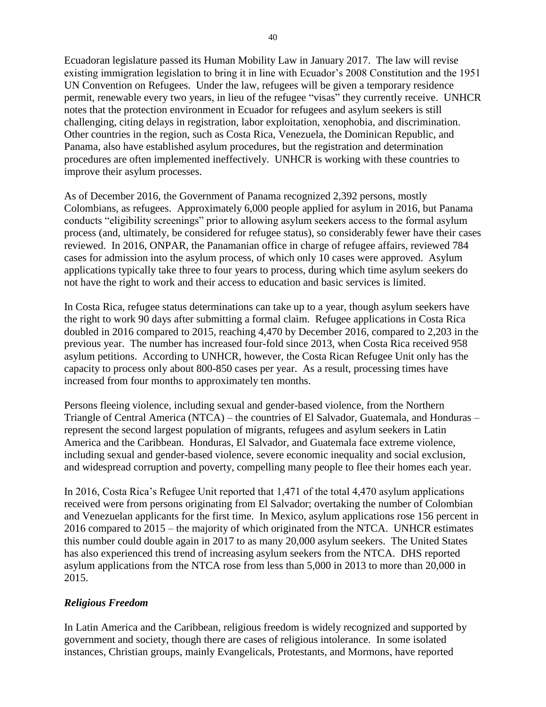Ecuadoran legislature passed its Human Mobility Law in January 2017. The law will revise existing immigration legislation to bring it in line with Ecuador's 2008 Constitution and the 1951 UN Convention on Refugees. Under the law, refugees will be given a temporary residence permit, renewable every two years, in lieu of the refugee "visas" they currently receive. UNHCR notes that the protection environment in Ecuador for refugees and asylum seekers is still challenging, citing delays in registration, labor exploitation, xenophobia, and discrimination. Other countries in the region, such as Costa Rica, Venezuela, the Dominican Republic, and Panama, also have established asylum procedures, but the registration and determination procedures are often implemented ineffectively. UNHCR is working with these countries to improve their asylum processes.

As of December 2016, the Government of Panama recognized 2,392 persons, mostly Colombians, as refugees. Approximately 6,000 people applied for asylum in 2016, but Panama conducts "eligibility screenings" prior to allowing asylum seekers access to the formal asylum process (and, ultimately, be considered for refugee status), so considerably fewer have their cases reviewed. In 2016, ONPAR, the Panamanian office in charge of refugee affairs, reviewed 784 cases for admission into the asylum process, of which only 10 cases were approved. Asylum applications typically take three to four years to process, during which time asylum seekers do not have the right to work and their access to education and basic services is limited.

In Costa Rica, refugee status determinations can take up to a year, though asylum seekers have the right to work 90 days after submitting a formal claim. Refugee applications in Costa Rica doubled in 2016 compared to 2015, reaching 4,470 by December 2016, compared to 2,203 in the previous year. The number has increased four-fold since 2013, when Costa Rica received 958 asylum petitions. According to UNHCR, however, the Costa Rican Refugee Unit only has the capacity to process only about 800-850 cases per year. As a result, processing times have increased from four months to approximately ten months.

Persons fleeing violence, including sexual and gender-based violence, from the Northern Triangle of Central America (NTCA) – the countries of El Salvador, Guatemala, and Honduras – represent the second largest population of migrants, refugees and asylum seekers in Latin America and the Caribbean. Honduras, El Salvador, and Guatemala face extreme violence, including sexual and gender-based violence, severe economic inequality and social exclusion, and widespread corruption and poverty, compelling many people to flee their homes each year.

In 2016, Costa Rica's Refugee Unit reported that 1,471 of the total 4,470 asylum applications received were from persons originating from El Salvador; overtaking the number of Colombian and Venezuelan applicants for the first time. In Mexico, asylum applications rose 156 percent in 2016 compared to 2015 – the majority of which originated from the NTCA. UNHCR estimates this number could double again in 2017 to as many 20,000 asylum seekers. The United States has also experienced this trend of increasing asylum seekers from the NTCA. DHS reported asylum applications from the NTCA rose from less than 5,000 in 2013 to more than 20,000 in 2015.

## *Religious Freedom*

In Latin America and the Caribbean, religious freedom is widely recognized and supported by government and society, though there are cases of religious intolerance. In some isolated instances, Christian groups, mainly Evangelicals, Protestants, and Mormons, have reported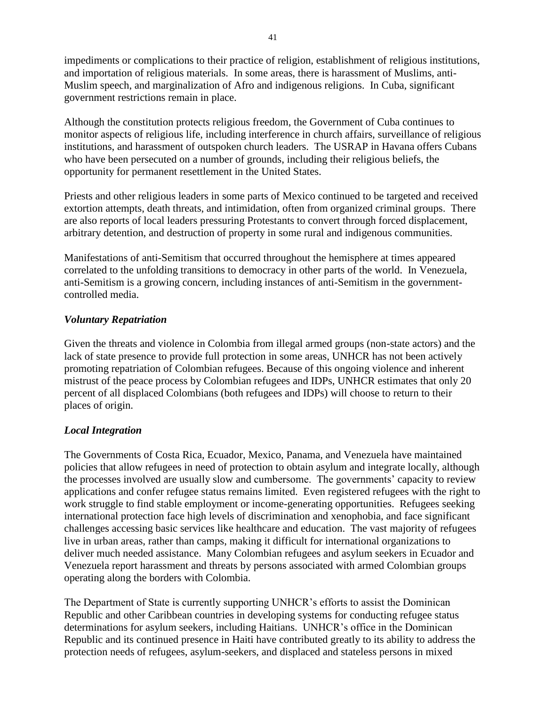impediments or complications to their practice of religion, establishment of religious institutions, and importation of religious materials. In some areas, there is harassment of Muslims, anti-Muslim speech, and marginalization of Afro and indigenous religions. In Cuba, significant government restrictions remain in place.

Although the constitution protects religious freedom, the Government of Cuba continues to monitor aspects of religious life, including interference in church affairs, surveillance of religious institutions, and harassment of outspoken church leaders. The USRAP in Havana offers Cubans who have been persecuted on a number of grounds, including their religious beliefs, the opportunity for permanent resettlement in the United States.

Priests and other religious leaders in some parts of Mexico continued to be targeted and received extortion attempts, death threats, and intimidation, often from organized criminal groups. There are also reports of local leaders pressuring Protestants to convert through forced displacement, arbitrary detention, and destruction of property in some rural and indigenous communities.

Manifestations of anti-Semitism that occurred throughout the hemisphere at times appeared correlated to the unfolding transitions to democracy in other parts of the world. In Venezuela, anti-Semitism is a growing concern, including instances of anti-Semitism in the governmentcontrolled media.

#### *Voluntary Repatriation*

Given the threats and violence in Colombia from illegal armed groups (non-state actors) and the lack of state presence to provide full protection in some areas, UNHCR has not been actively promoting repatriation of Colombian refugees. Because of this ongoing violence and inherent mistrust of the peace process by Colombian refugees and IDPs, UNHCR estimates that only 20 percent of all displaced Colombians (both refugees and IDPs) will choose to return to their places of origin.

## *Local Integration*

The Governments of Costa Rica, Ecuador, Mexico, Panama, and Venezuela have maintained policies that allow refugees in need of protection to obtain asylum and integrate locally, although the processes involved are usually slow and cumbersome. The governments' capacity to review applications and confer refugee status remains limited. Even registered refugees with the right to work struggle to find stable employment or income-generating opportunities. Refugees seeking international protection face high levels of discrimination and xenophobia, and face significant challenges accessing basic services like healthcare and education. The vast majority of refugees live in urban areas, rather than camps, making it difficult for international organizations to deliver much needed assistance. Many Colombian refugees and asylum seekers in Ecuador and Venezuela report harassment and threats by persons associated with armed Colombian groups operating along the borders with Colombia.

The Department of State is currently supporting UNHCR's efforts to assist the Dominican Republic and other Caribbean countries in developing systems for conducting refugee status determinations for asylum seekers, including Haitians. UNHCR's office in the Dominican Republic and its continued presence in Haiti have contributed greatly to its ability to address the protection needs of refugees, asylum-seekers, and displaced and stateless persons in mixed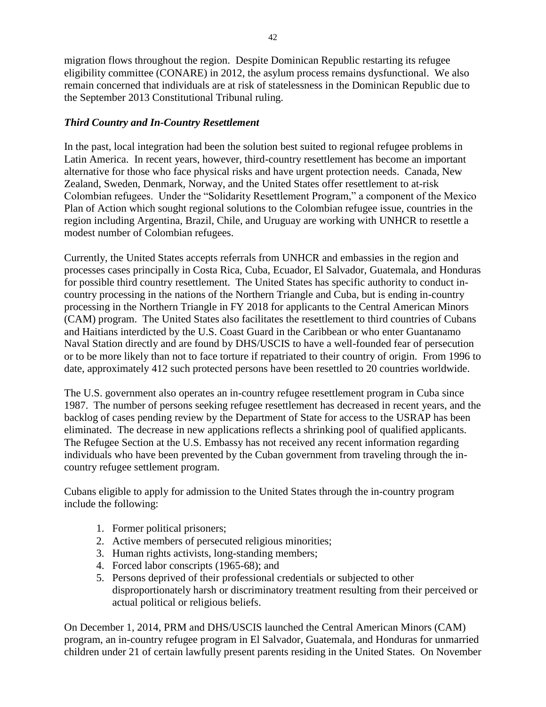migration flows throughout the region. Despite Dominican Republic restarting its refugee eligibility committee (CONARE) in 2012, the asylum process remains dysfunctional. We also remain concerned that individuals are at risk of statelessness in the Dominican Republic due to the September 2013 Constitutional Tribunal ruling.

## *Third Country and In-Country Resettlement*

In the past, local integration had been the solution best suited to regional refugee problems in Latin America. In recent years, however, third-country resettlement has become an important alternative for those who face physical risks and have urgent protection needs. Canada, New Zealand, Sweden, Denmark, Norway, and the United States offer resettlement to at-risk Colombian refugees. Under the "Solidarity Resettlement Program," a component of the Mexico Plan of Action which sought regional solutions to the Colombian refugee issue, countries in the region including Argentina, Brazil, Chile, and Uruguay are working with UNHCR to resettle a modest number of Colombian refugees.

Currently, the United States accepts referrals from UNHCR and embassies in the region and processes cases principally in Costa Rica, Cuba, Ecuador, El Salvador, Guatemala, and Honduras for possible third country resettlement. The United States has specific authority to conduct incountry processing in the nations of the Northern Triangle and Cuba, but is ending in-country processing in the Northern Triangle in FY 2018 for applicants to the Central American Minors (CAM) program. The United States also facilitates the resettlement to third countries of Cubans and Haitians interdicted by the U.S. Coast Guard in the Caribbean or who enter Guantanamo Naval Station directly and are found by DHS/USCIS to have a well-founded fear of persecution or to be more likely than not to face torture if repatriated to their country of origin. From 1996 to date, approximately 412 such protected persons have been resettled to 20 countries worldwide.

The U.S. government also operates an in-country refugee resettlement program in Cuba since 1987. The number of persons seeking refugee resettlement has decreased in recent years, and the backlog of cases pending review by the Department of State for access to the USRAP has been eliminated. The decrease in new applications reflects a shrinking pool of qualified applicants. The Refugee Section at the U.S. Embassy has not received any recent information regarding individuals who have been prevented by the Cuban government from traveling through the incountry refugee settlement program.

Cubans eligible to apply for admission to the United States through the in-country program include the following:

- 1. Former political prisoners;
- 2. Active members of persecuted religious minorities;
- 3. Human rights activists, long-standing members;
- 4. Forced labor conscripts (1965-68); and
- 5. Persons deprived of their professional credentials or subjected to other disproportionately harsh or discriminatory treatment resulting from their perceived or actual political or religious beliefs.

On December 1, 2014, PRM and DHS/USCIS launched the Central American Minors (CAM) program, an in-country refugee program in El Salvador, Guatemala, and Honduras for unmarried children under 21 of certain lawfully present parents residing in the United States. On November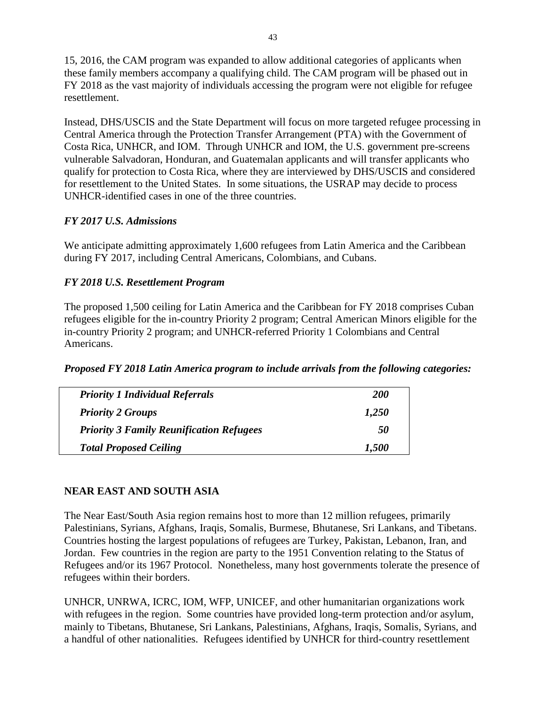15, 2016, the CAM program was expanded to allow additional categories of applicants when these family members accompany a qualifying child. The CAM program will be phased out in FY 2018 as the vast majority of individuals accessing the program were not eligible for refugee resettlement.

Instead, DHS/USCIS and the State Department will focus on more targeted refugee processing in Central America through the Protection Transfer Arrangement (PTA) with the Government of Costa Rica, UNHCR, and IOM. Through UNHCR and IOM, the U.S. government pre-screens vulnerable Salvadoran, Honduran, and Guatemalan applicants and will transfer applicants who qualify for protection to Costa Rica, where they are interviewed by DHS/USCIS and considered for resettlement to the United States. In some situations, the USRAP may decide to process UNHCR-identified cases in one of the three countries.

## *FY 2017 U.S. Admissions*

We anticipate admitting approximately 1,600 refugees from Latin America and the Caribbean during FY 2017, including Central Americans, Colombians, and Cubans.

## *FY 2018 U.S. Resettlement Program*

The proposed 1,500 ceiling for Latin America and the Caribbean for FY 2018 comprises Cuban refugees eligible for the in-country Priority 2 program; Central American Minors eligible for the in-country Priority 2 program; and UNHCR-referred Priority 1 Colombians and Central Americans.

*Proposed FY 2018 Latin America program to include arrivals from the following categories:*

| <b>Priority 1 Individual Referrals</b>          | <i>200</i> |
|-------------------------------------------------|------------|
| <b>Priority 2 Groups</b>                        | 1,250      |
| <b>Priority 3 Family Reunification Refugees</b> | 50         |
| <b>Total Proposed Ceiling</b>                   | 1,500      |

## **NEAR EAST AND SOUTH ASIA**

The Near East/South Asia region remains host to more than 12 million refugees, primarily Palestinians, Syrians, Afghans, Iraqis, Somalis, Burmese, Bhutanese, Sri Lankans, and Tibetans. Countries hosting the largest populations of refugees are Turkey, Pakistan, Lebanon, Iran, and Jordan. Few countries in the region are party to the 1951 Convention relating to the Status of Refugees and/or its 1967 Protocol. Nonetheless, many host governments tolerate the presence of refugees within their borders.

UNHCR, UNRWA, ICRC, IOM, WFP, UNICEF, and other humanitarian organizations work with refugees in the region. Some countries have provided long-term protection and/or asylum, mainly to Tibetans, Bhutanese, Sri Lankans, Palestinians, Afghans, Iraqis, Somalis, Syrians, and a handful of other nationalities. Refugees identified by UNHCR for third-country resettlement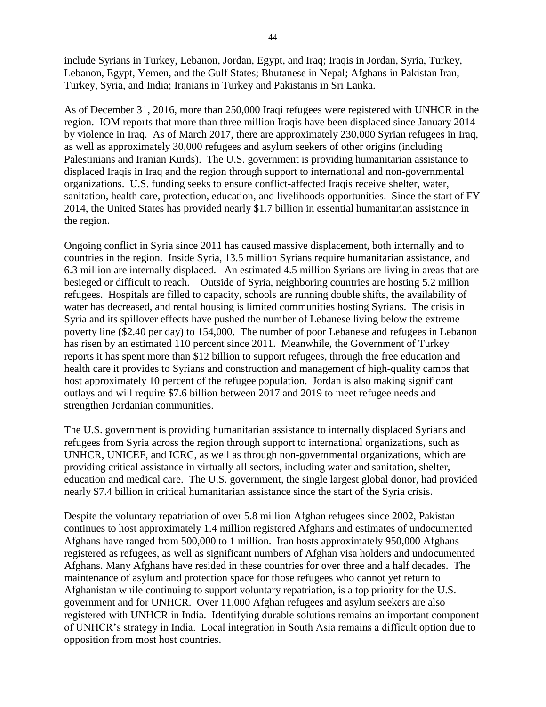include Syrians in Turkey, Lebanon, Jordan, Egypt, and Iraq; Iraqis in Jordan, Syria, Turkey, Lebanon, Egypt, Yemen, and the Gulf States; Bhutanese in Nepal; Afghans in Pakistan Iran, Turkey, Syria, and India; Iranians in Turkey and Pakistanis in Sri Lanka.

As of December 31, 2016, more than 250,000 Iraqi refugees were registered with UNHCR in the region. IOM reports that more than three million Iraqis have been displaced since January 2014 by violence in Iraq. As of March 2017, there are approximately 230,000 Syrian refugees in Iraq, as well as approximately 30,000 refugees and asylum seekers of other origins (including Palestinians and Iranian Kurds). The U.S. government is providing humanitarian assistance to displaced Iraqis in Iraq and the region through support to international and non-governmental organizations. U.S. funding seeks to ensure conflict-affected Iraqis receive shelter, water, sanitation, health care, protection, education, and livelihoods opportunities. Since the start of FY 2014, the United States has provided nearly \$1.7 billion in essential humanitarian assistance in the region.

Ongoing conflict in Syria since 2011 has caused massive displacement, both internally and to countries in the region. Inside Syria, 13.5 million Syrians require humanitarian assistance, and 6.3 million are internally displaced. An estimated 4.5 million Syrians are living in areas that are besieged or difficult to reach. Outside of Syria, neighboring countries are hosting 5.2 million refugees. Hospitals are filled to capacity, schools are running double shifts, the availability of water has decreased, and rental housing is limited communities hosting Syrians. The crisis in Syria and its spillover effects have pushed the number of Lebanese living below the extreme poverty line (\$2.40 per day) to 154,000. The number of poor Lebanese and refugees in Lebanon has risen by an estimated 110 percent since 2011. Meanwhile, the Government of Turkey reports it has spent more than \$12 billion to support refugees, through the free education and health care it provides to Syrians and construction and management of high-quality camps that host approximately 10 percent of the refugee population. Jordan is also making significant outlays and will require \$7.6 billion between 2017 and 2019 to meet refugee needs and strengthen Jordanian communities.

The U.S. government is providing humanitarian assistance to internally displaced Syrians and refugees from Syria across the region through support to international organizations, such as UNHCR, UNICEF, and ICRC, as well as through non-governmental organizations, which are providing critical assistance in virtually all sectors, including water and sanitation, shelter, education and medical care. The U.S. government, the single largest global donor, had provided nearly \$7.4 billion in critical humanitarian assistance since the start of the Syria crisis.

Despite the voluntary repatriation of over 5.8 million Afghan refugees since 2002, Pakistan continues to host approximately 1.4 million registered Afghans and estimates of undocumented Afghans have ranged from 500,000 to 1 million. Iran hosts approximately 950,000 Afghans registered as refugees, as well as significant numbers of Afghan visa holders and undocumented Afghans. Many Afghans have resided in these countries for over three and a half decades. The maintenance of asylum and protection space for those refugees who cannot yet return to Afghanistan while continuing to support voluntary repatriation, is a top priority for the U.S. government and for UNHCR. Over 11,000 Afghan refugees and asylum seekers are also registered with UNHCR in India. Identifying durable solutions remains an important component of UNHCR's strategy in India. Local integration in South Asia remains a difficult option due to opposition from most host countries.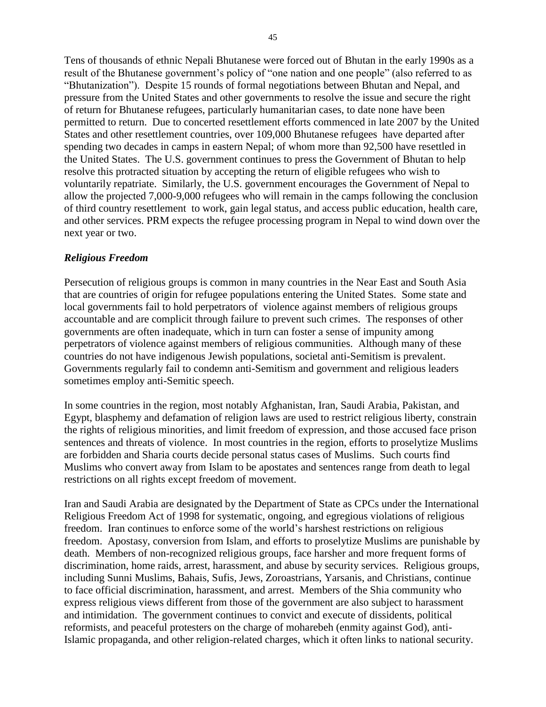Tens of thousands of ethnic Nepali Bhutanese were forced out of Bhutan in the early 1990s as a result of the Bhutanese government's policy of "one nation and one people" (also referred to as "Bhutanization"). Despite 15 rounds of formal negotiations between Bhutan and Nepal, and pressure from the United States and other governments to resolve the issue and secure the right of return for Bhutanese refugees, particularly humanitarian cases, to date none have been permitted to return. Due to concerted resettlement efforts commenced in late 2007 by the United States and other resettlement countries, over 109,000 Bhutanese refugees have departed after spending two decades in camps in eastern Nepal; of whom more than 92,500 have resettled in the United States. The U.S. government continues to press the Government of Bhutan to help resolve this protracted situation by accepting the return of eligible refugees who wish to voluntarily repatriate. Similarly, the U.S. government encourages the Government of Nepal to allow the projected 7,000-9,000 refugees who will remain in the camps following the conclusion of third country resettlement to work, gain legal status, and access public education, health care, and other services. PRM expects the refugee processing program in Nepal to wind down over the next year or two.

#### *Religious Freedom*

Persecution of religious groups is common in many countries in the Near East and South Asia that are countries of origin for refugee populations entering the United States. Some state and local governments fail to hold perpetrators of violence against members of religious groups accountable and are complicit through failure to prevent such crimes. The responses of other governments are often inadequate, which in turn can foster a sense of impunity among perpetrators of violence against members of religious communities. Although many of these countries do not have indigenous Jewish populations, societal anti-Semitism is prevalent. Governments regularly fail to condemn anti-Semitism and government and religious leaders sometimes employ anti-Semitic speech.

In some countries in the region, most notably Afghanistan, Iran, Saudi Arabia, Pakistan, and Egypt, blasphemy and defamation of religion laws are used to restrict religious liberty, constrain the rights of religious minorities, and limit freedom of expression, and those accused face prison sentences and threats of violence. In most countries in the region, efforts to proselytize Muslims are forbidden and Sharia courts decide personal status cases of Muslims. Such courts find Muslims who convert away from Islam to be apostates and sentences range from death to legal restrictions on all rights except freedom of movement.

Iran and Saudi Arabia are designated by the Department of State as CPCs under the International Religious Freedom Act of 1998 for systematic, ongoing, and egregious violations of religious freedom. Iran continues to enforce some of the world's harshest restrictions on religious freedom. Apostasy, conversion from Islam, and efforts to proselytize Muslims are punishable by death. Members of non-recognized religious groups, face harsher and more frequent forms of discrimination, home raids, arrest, harassment, and abuse by security services. Religious groups, including Sunni Muslims, Bahais, Sufis, Jews, Zoroastrians, Yarsanis, and Christians, continue to face official discrimination, harassment, and arrest. Members of the Shia community who express religious views different from those of the government are also subject to harassment and intimidation. The government continues to convict and execute of dissidents, political reformists, and peaceful protesters on the charge of moharebeh (enmity against God), anti-Islamic propaganda, and other religion-related charges, which it often links to national security.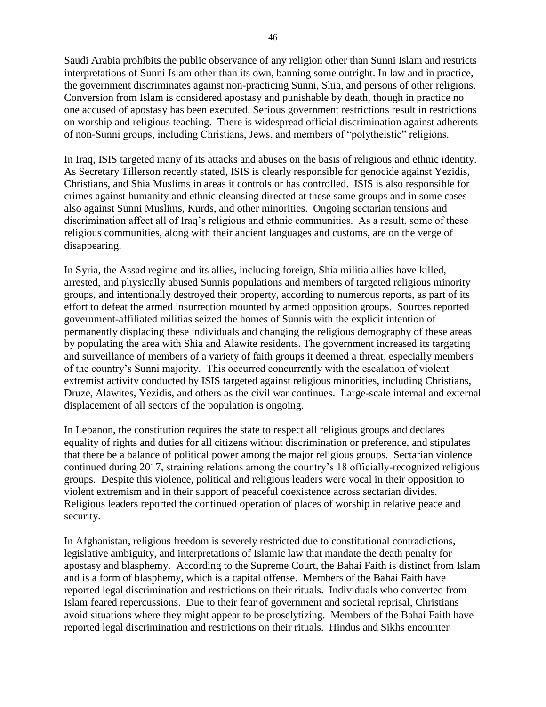Saudi Arabia prohibits the public observance of any religion other than Sunni Islam and restricts interpretations of Sunni Islam other than its own, banning some outright. In law and in practice, the government discriminates against non-practicing Sunni, Shia, and persons of other religions. Conversion from Islam is considered apostasy and punishable by death, though in practice no one accused of apostasy has been executed. Serious government restrictions result in restrictions on worship and religious teaching. There is widespread official discrimination against adherents of non-Sunni groups, including Christians, Jews, and members of "polytheistic" religions.

In Iraq, ISIS targeted many of its attacks and abuses on the basis of religious and ethnic identity. As Secretary Tillerson recently stated, ISIS is clearly responsible for genocide against Yezidis, Christians, and Shia Muslims in areas it controls or has controlled. ISIS is also responsible for crimes against humanity and ethnic cleansing directed at these same groups and in some cases also against Sunni Muslims, Kurds, and other minorities. Ongoing sectarian tensions and discrimination affect all of Iraq's religious and ethnic communities. As a result, some of these religious communities, along with their ancient languages and customs, are on the verge of disappearing.

In Syria, the Assad regime and its allies, including foreign, Shia militia allies have killed, arrested, and physically abused Sunnis populations and members of targeted religious minority groups, and intentionally destroyed their property, according to numerous reports, as part of its effort to defeat the armed insurrection mounted by armed opposition groups. Sources reported government-affiliated militias seized the homes of Sunnis with the explicit intention of permanently displacing these individuals and changing the religious demography of these areas by populating the area with Shia and Alawite residents. The government increased its targeting and surveillance of members of a variety of faith groups it deemed a threat, especially members of the country's Sunni majority. This occurred concurrently with the escalation of violent extremist activity conducted by ISIS targeted against religious minorities, including Christians, Druze, Alawites, Yezidis, and others as the civil war continues. Large-scale internal and external displacement of all sectors of the population is ongoing.

In Lebanon, the constitution requires the state to respect all religious groups and declares equality of rights and duties for all citizens without discrimination or preference, and stipulates that there be a balance of political power among the major religious groups. Sectarian violence continued during 2017, straining relations among the country's 18 officially-recognized religious groups. Despite this violence, political and religious leaders were vocal in their opposition to violent extremism and in their support of peaceful coexistence across sectarian divides. Religious leaders reported the continued operation of places of worship in relative peace and security.

In Afghanistan, religious freedom is severely restricted due to constitutional contradictions, legislative ambiguity, and interpretations of Islamic law that mandate the death penalty for apostasy and blasphemy. According to the Supreme Court, the Bahai Faith is distinct from Islam and is a form of blasphemy, which is a capital offense. Members of the Bahai Faith have reported legal discrimination and restrictions on their rituals. Individuals who converted from Islam feared repercussions. Due to their fear of government and societal reprisal, Christians avoid situations where they might appear to be proselytizing. Members of the Bahai Faith have reported legal discrimination and restrictions on their rituals. Hindus and Sikhs encounter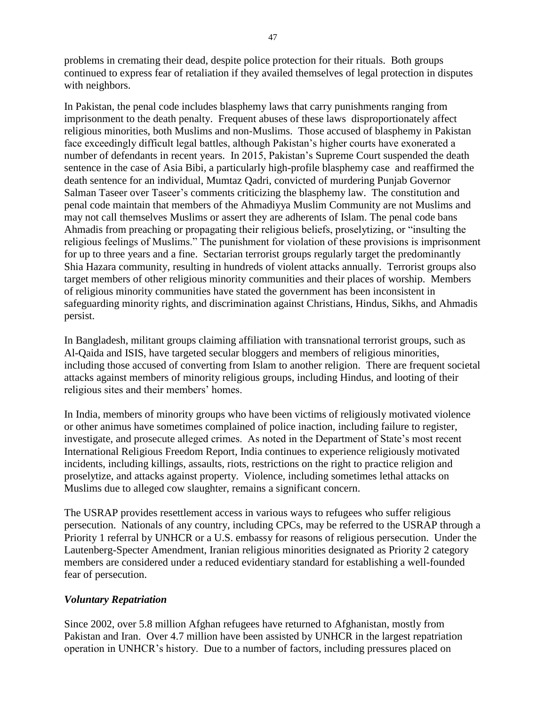problems in cremating their dead, despite police protection for their rituals. Both groups continued to express fear of retaliation if they availed themselves of legal protection in disputes with neighbors.

In Pakistan, the penal code includes blasphemy laws that carry punishments ranging from imprisonment to the death penalty. Frequent abuses of these laws disproportionately affect religious minorities, both Muslims and non-Muslims. Those accused of blasphemy in Pakistan face exceedingly difficult legal battles, although Pakistan's higher courts have exonerated a number of defendants in recent years. In 2015, Pakistan's Supreme Court suspended the death sentence in the case of Asia Bibi, a particularly high-profile blasphemy case and reaffirmed the death sentence for an individual, Mumtaz Qadri, convicted of murdering Punjab Governor Salman Taseer over Taseer's comments criticizing the blasphemy law. The constitution and penal code maintain that members of the Ahmadiyya Muslim Community are not Muslims and may not call themselves Muslims or assert they are adherents of Islam. The penal code bans Ahmadis from preaching or propagating their religious beliefs, proselytizing, or "insulting the religious feelings of Muslims." The punishment for violation of these provisions is imprisonment for up to three years and a fine. Sectarian terrorist groups regularly target the predominantly Shia Hazara community, resulting in hundreds of violent attacks annually. Terrorist groups also target members of other religious minority communities and their places of worship. Members of religious minority communities have stated the government has been inconsistent in safeguarding minority rights, and discrimination against Christians, Hindus, Sikhs, and Ahmadis persist.

In Bangladesh, militant groups claiming affiliation with transnational terrorist groups, such as Al-Qaida and ISIS, have targeted secular bloggers and members of religious minorities, including those accused of converting from Islam to another religion. There are frequent societal attacks against members of minority religious groups, including Hindus, and looting of their religious sites and their members' homes.

In India, members of minority groups who have been victims of religiously motivated violence or other animus have sometimes complained of police inaction, including failure to register, investigate, and prosecute alleged crimes. As noted in the Department of State's most recent International Religious Freedom Report, India continues to experience religiously motivated incidents, including killings, assaults, riots, restrictions on the right to practice religion and proselytize, and attacks against property. Violence, including sometimes lethal attacks on Muslims due to alleged cow slaughter, remains a significant concern.

The USRAP provides resettlement access in various ways to refugees who suffer religious persecution. Nationals of any country, including CPCs, may be referred to the USRAP through a Priority 1 referral by UNHCR or a U.S. embassy for reasons of religious persecution. Under the Lautenberg-Specter Amendment, Iranian religious minorities designated as Priority 2 category members are considered under a reduced evidentiary standard for establishing a well-founded fear of persecution.

## *Voluntary Repatriation*

Since 2002, over 5.8 million Afghan refugees have returned to Afghanistan, mostly from Pakistan and Iran. Over 4.7 million have been assisted by UNHCR in the largest repatriation operation in UNHCR's history. Due to a number of factors, including pressures placed on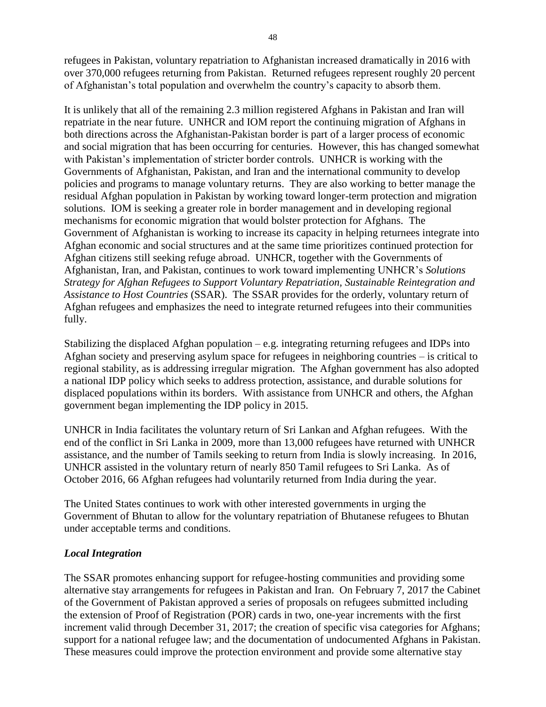refugees in Pakistan, voluntary repatriation to Afghanistan increased dramatically in 2016 with over 370,000 refugees returning from Pakistan. Returned refugees represent roughly 20 percent of Afghanistan's total population and overwhelm the country's capacity to absorb them.

It is unlikely that all of the remaining 2.3 million registered Afghans in Pakistan and Iran will repatriate in the near future. UNHCR and IOM report the continuing migration of Afghans in both directions across the Afghanistan-Pakistan border is part of a larger process of economic and social migration that has been occurring for centuries. However, this has changed somewhat with Pakistan's implementation of stricter border controls. UNHCR is working with the Governments of Afghanistan, Pakistan, and Iran and the international community to develop policies and programs to manage voluntary returns. They are also working to better manage the residual Afghan population in Pakistan by working toward longer-term protection and migration solutions. IOM is seeking a greater role in border management and in developing regional mechanisms for economic migration that would bolster protection for Afghans. The Government of Afghanistan is working to increase its capacity in helping returnees integrate into Afghan economic and social structures and at the same time prioritizes continued protection for Afghan citizens still seeking refuge abroad. UNHCR, together with the Governments of Afghanistan, Iran, and Pakistan, continues to work toward implementing UNHCR's *Solutions Strategy for Afghan Refugees to Support Voluntary Repatriation, Sustainable Reintegration and Assistance to Host Countries* (SSAR). The SSAR provides for the orderly, voluntary return of Afghan refugees and emphasizes the need to integrate returned refugees into their communities fully.

Stabilizing the displaced Afghan population  $-e.g.$  integrating returning refugees and IDPs into Afghan society and preserving asylum space for refugees in neighboring countries – is critical to regional stability, as is addressing irregular migration. The Afghan government has also adopted a national IDP policy which seeks to address protection, assistance, and durable solutions for displaced populations within its borders. With assistance from UNHCR and others, the Afghan government began implementing the IDP policy in 2015.

UNHCR in India facilitates the voluntary return of Sri Lankan and Afghan refugees. With the end of the conflict in Sri Lanka in 2009, more than 13,000 refugees have returned with UNHCR assistance, and the number of Tamils seeking to return from India is slowly increasing. In 2016, UNHCR assisted in the voluntary return of nearly 850 Tamil refugees to Sri Lanka. As of October 2016, 66 Afghan refugees had voluntarily returned from India during the year.

The United States continues to work with other interested governments in urging the Government of Bhutan to allow for the voluntary repatriation of Bhutanese refugees to Bhutan under acceptable terms and conditions.

#### *Local Integration*

The SSAR promotes enhancing support for refugee-hosting communities and providing some alternative stay arrangements for refugees in Pakistan and Iran. On February 7, 2017 the Cabinet of the Government of Pakistan approved a series of proposals on refugees submitted including the extension of Proof of Registration (POR) cards in two, one-year increments with the first increment valid through December 31, 2017; the creation of specific visa categories for Afghans; support for a national refugee law; and the documentation of undocumented Afghans in Pakistan. These measures could improve the protection environment and provide some alternative stay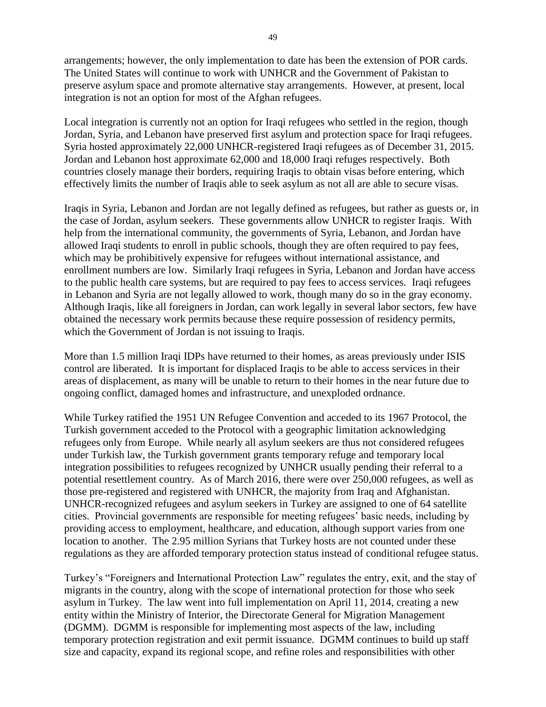arrangements; however, the only implementation to date has been the extension of POR cards. The United States will continue to work with UNHCR and the Government of Pakistan to preserve asylum space and promote alternative stay arrangements. However, at present, local integration is not an option for most of the Afghan refugees.

Local integration is currently not an option for Iraqi refugees who settled in the region, though Jordan, Syria, and Lebanon have preserved first asylum and protection space for Iraqi refugees. Syria hosted approximately 22,000 UNHCR-registered Iraqi refugees as of December 31, 2015. Jordan and Lebanon host approximate 62,000 and 18,000 Iraqi refuges respectively. Both countries closely manage their borders, requiring Iraqis to obtain visas before entering, which effectively limits the number of Iraqis able to seek asylum as not all are able to secure visas.

Iraqis in Syria, Lebanon and Jordan are not legally defined as refugees, but rather as guests or, in the case of Jordan, asylum seekers. These governments allow UNHCR to register Iraqis. With help from the international community, the governments of Syria, Lebanon, and Jordan have allowed Iraqi students to enroll in public schools, though they are often required to pay fees, which may be prohibitively expensive for refugees without international assistance, and enrollment numbers are low. Similarly Iraqi refugees in Syria, Lebanon and Jordan have access to the public health care systems, but are required to pay fees to access services. Iraqi refugees in Lebanon and Syria are not legally allowed to work, though many do so in the gray economy. Although Iraqis, like all foreigners in Jordan, can work legally in several labor sectors, few have obtained the necessary work permits because these require possession of residency permits, which the Government of Jordan is not issuing to Iraqis.

More than 1.5 million Iraqi IDPs have returned to their homes, as areas previously under ISIS control are liberated. It is important for displaced Iraqis to be able to access services in their areas of displacement, as many will be unable to return to their homes in the near future due to ongoing conflict, damaged homes and infrastructure, and unexploded ordnance.

While Turkey ratified the 1951 UN Refugee Convention and acceded to its 1967 Protocol, the Turkish government acceded to the Protocol with a geographic limitation acknowledging refugees only from Europe. While nearly all asylum seekers are thus not considered refugees under Turkish law, the Turkish government grants temporary refuge and temporary local integration possibilities to refugees recognized by UNHCR usually pending their referral to a potential resettlement country. As of March 2016, there were over 250,000 refugees, as well as those pre-registered and registered with UNHCR, the majority from Iraq and Afghanistan. UNHCR-recognized refugees and asylum seekers in Turkey are assigned to one of 64 satellite cities. Provincial governments are responsible for meeting refugees' basic needs, including by providing access to employment, healthcare, and education, although support varies from one location to another. The 2.95 million Syrians that Turkey hosts are not counted under these regulations as they are afforded temporary protection status instead of conditional refugee status.

Turkey's "Foreigners and International Protection Law" regulates the entry, exit, and the stay of migrants in the country, along with the scope of international protection for those who seek asylum in Turkey. The law went into full implementation on April 11, 2014, creating a new entity within the Ministry of Interior, the Directorate General for Migration Management (DGMM). DGMM is responsible for implementing most aspects of the law, including temporary protection registration and exit permit issuance. DGMM continues to build up staff size and capacity, expand its regional scope, and refine roles and responsibilities with other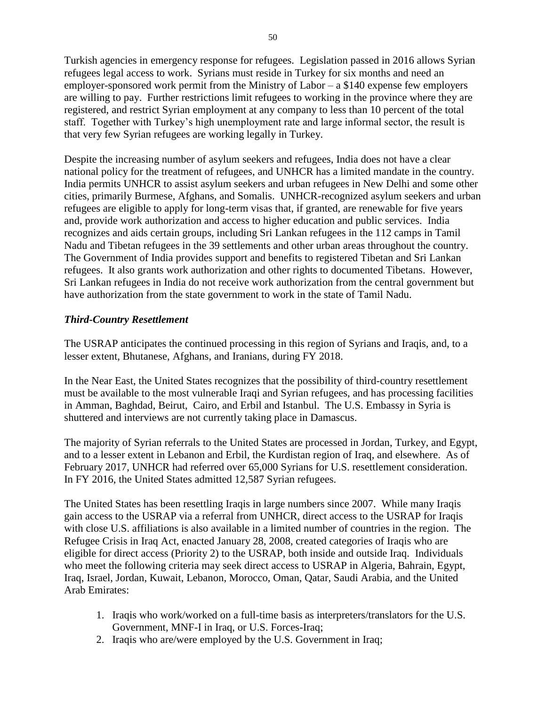Turkish agencies in emergency response for refugees. Legislation passed in 2016 allows Syrian refugees legal access to work. Syrians must reside in Turkey for six months and need an employer-sponsored work permit from the Ministry of Labor – a \$140 expense few employers are willing to pay. Further restrictions limit refugees to working in the province where they are registered, and restrict Syrian employment at any company to less than 10 percent of the total staff. Together with Turkey's high unemployment rate and large informal sector, the result is that very few Syrian refugees are working legally in Turkey.

Despite the increasing number of asylum seekers and refugees, India does not have a clear national policy for the treatment of refugees, and UNHCR has a limited mandate in the country. India permits UNHCR to assist asylum seekers and urban refugees in New Delhi and some other cities, primarily Burmese, Afghans, and Somalis. UNHCR-recognized asylum seekers and urban refugees are eligible to apply for long-term visas that, if granted, are renewable for five years and, provide work authorization and access to higher education and public services. India recognizes and aids certain groups, including Sri Lankan refugees in the 112 camps in Tamil Nadu and Tibetan refugees in the 39 settlements and other urban areas throughout the country. The Government of India provides support and benefits to registered Tibetan and Sri Lankan refugees. It also grants work authorization and other rights to documented Tibetans. However, Sri Lankan refugees in India do not receive work authorization from the central government but have authorization from the state government to work in the state of Tamil Nadu.

#### *Third-Country Resettlement*

The USRAP anticipates the continued processing in this region of Syrians and Iraqis, and, to a lesser extent, Bhutanese, Afghans, and Iranians, during FY 2018.

In the Near East, the United States recognizes that the possibility of third-country resettlement must be available to the most vulnerable Iraqi and Syrian refugees, and has processing facilities in Amman, Baghdad, Beirut, Cairo, and Erbil and Istanbul. The U.S. Embassy in Syria is shuttered and interviews are not currently taking place in Damascus.

The majority of Syrian referrals to the United States are processed in Jordan, Turkey, and Egypt, and to a lesser extent in Lebanon and Erbil, the Kurdistan region of Iraq, and elsewhere. As of February 2017, UNHCR had referred over 65,000 Syrians for U.S. resettlement consideration. In FY 2016, the United States admitted 12,587 Syrian refugees.

The United States has been resettling Iraqis in large numbers since 2007. While many Iraqis gain access to the USRAP via a referral from UNHCR, direct access to the USRAP for Iraqis with close U.S. affiliations is also available in a limited number of countries in the region. The Refugee Crisis in Iraq Act, enacted January 28, 2008, created categories of Iraqis who are eligible for direct access (Priority 2) to the USRAP, both inside and outside Iraq. Individuals who meet the following criteria may seek direct access to USRAP in Algeria, Bahrain, Egypt, Iraq, Israel, Jordan, Kuwait, Lebanon, Morocco, Oman, Qatar, Saudi Arabia, and the United Arab Emirates:

- 1. Iraqis who work/worked on a full-time basis as interpreters/translators for the U.S. Government, MNF-I in Iraq, or U.S. Forces-Iraq;
- 2. Iraqis who are/were employed by the U.S. Government in Iraq;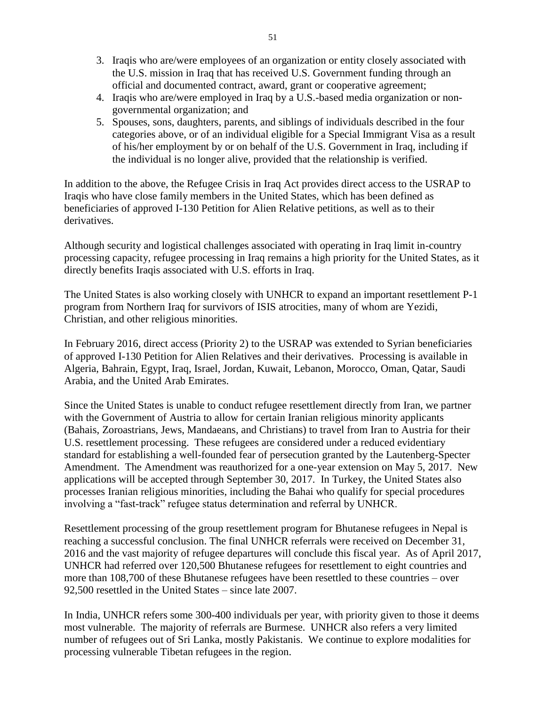- 3. Iraqis who are/were employees of an organization or entity closely associated with the U.S. mission in Iraq that has received U.S. Government funding through an official and documented contract, award, grant or cooperative agreement;
- 4. Iraqis who are/were employed in Iraq by a U.S.-based media organization or nongovernmental organization; and
- 5. Spouses, sons, daughters, parents, and siblings of individuals described in the four categories above, or of an individual eligible for a Special Immigrant Visa as a result of his/her employment by or on behalf of the U.S. Government in Iraq, including if the individual is no longer alive, provided that the relationship is verified.

In addition to the above, the Refugee Crisis in Iraq Act provides direct access to the USRAP to Iraqis who have close family members in the United States, which has been defined as beneficiaries of approved I-130 Petition for Alien Relative petitions, as well as to their derivatives.

Although security and logistical challenges associated with operating in Iraq limit in-country processing capacity, refugee processing in Iraq remains a high priority for the United States, as it directly benefits Iraqis associated with U.S. efforts in Iraq.

The United States is also working closely with UNHCR to expand an important resettlement P-1 program from Northern Iraq for survivors of ISIS atrocities, many of whom are Yezidi, Christian, and other religious minorities.

In February 2016, direct access (Priority 2) to the USRAP was extended to Syrian beneficiaries of approved I-130 Petition for Alien Relatives and their derivatives. Processing is available in Algeria, Bahrain, Egypt, Iraq, Israel, Jordan, Kuwait, Lebanon, Morocco, Oman, Qatar, Saudi Arabia, and the United Arab Emirates.

Since the United States is unable to conduct refugee resettlement directly from Iran, we partner with the Government of Austria to allow for certain Iranian religious minority applicants (Bahais, Zoroastrians, Jews, Mandaeans, and Christians) to travel from Iran to Austria for their U.S. resettlement processing. These refugees are considered under a reduced evidentiary standard for establishing a well-founded fear of persecution granted by the Lautenberg-Specter Amendment. The Amendment was reauthorized for a one-year extension on May 5, 2017. New applications will be accepted through September 30, 2017. In Turkey, the United States also processes Iranian religious minorities, including the Bahai who qualify for special procedures involving a "fast-track" refugee status determination and referral by UNHCR.

Resettlement processing of the group resettlement program for Bhutanese refugees in Nepal is reaching a successful conclusion. The final UNHCR referrals were received on December 31, 2016 and the vast majority of refugee departures will conclude this fiscal year. As of April 2017, UNHCR had referred over 120,500 Bhutanese refugees for resettlement to eight countries and more than 108,700 of these Bhutanese refugees have been resettled to these countries – over 92,500 resettled in the United States – since late 2007.

In India, UNHCR refers some 300-400 individuals per year, with priority given to those it deems most vulnerable. The majority of referrals are Burmese. UNHCR also refers a very limited number of refugees out of Sri Lanka, mostly Pakistanis. We continue to explore modalities for processing vulnerable Tibetan refugees in the region.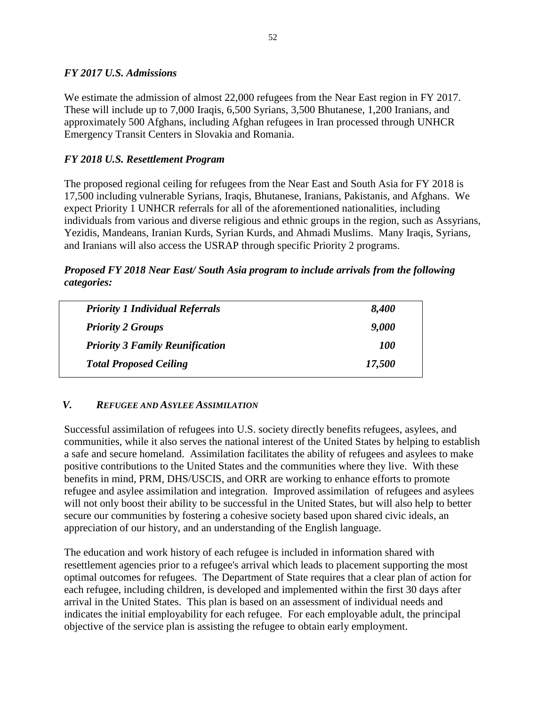## *FY 2017 U.S. Admissions*

We estimate the admission of almost 22,000 refugees from the Near East region in FY 2017. These will include up to 7,000 Iraqis, 6,500 Syrians, 3,500 Bhutanese, 1,200 Iranians, and approximately 500 Afghans, including Afghan refugees in Iran processed through UNHCR Emergency Transit Centers in Slovakia and Romania.

## *FY 2018 U.S. Resettlement Program*

The proposed regional ceiling for refugees from the Near East and South Asia for FY 2018 is 17,500 including vulnerable Syrians, Iraqis, Bhutanese, Iranians, Pakistanis, and Afghans. We expect Priority 1 UNHCR referrals for all of the aforementioned nationalities, including individuals from various and diverse religious and ethnic groups in the region, such as Assyrians, Yezidis, Mandeans, Iranian Kurds, Syrian Kurds, and Ahmadi Muslims. Many Iraqis, Syrians, and Iranians will also access the USRAP through specific Priority 2 programs.

*Proposed FY 2018 Near East/ South Asia program to include arrivals from the following categories:* 

| <b>Priority 1 Individual Referrals</b> | 8,400      |
|----------------------------------------|------------|
| <b>Priority 2 Groups</b>               | 9,000      |
| <b>Priority 3 Family Reunification</b> | <i>100</i> |
| <b>Total Proposed Ceiling</b>          | 17,500     |
|                                        |            |

## *V. REFUGEE AND ASYLEE ASSIMILATION*

Successful assimilation of refugees into U.S. society directly benefits refugees, asylees, and communities, while it also serves the national interest of the United States by helping to establish a safe and secure homeland. Assimilation facilitates the ability of refugees and asylees to make positive contributions to the United States and the communities where they live. With these benefits in mind, PRM, DHS/USCIS, and ORR are working to enhance efforts to promote refugee and asylee assimilation and integration. Improved assimilation of refugees and asylees will not only boost their ability to be successful in the United States, but will also help to better secure our communities by fostering a cohesive society based upon shared civic ideals, an appreciation of our history, and an understanding of the English language.

The education and work history of each refugee is included in information shared with resettlement agencies prior to a refugee's arrival which leads to placement supporting the most optimal outcomes for refugees. The Department of State requires that a clear plan of action for each refugee, including children, is developed and implemented within the first 30 days after arrival in the United States. This plan is based on an assessment of individual needs and indicates the initial employability for each refugee. For each employable adult, the principal objective of the service plan is assisting the refugee to obtain early employment.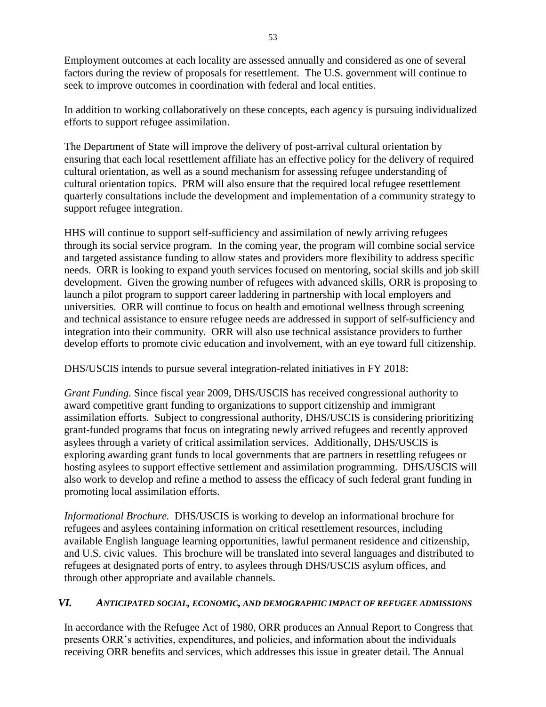Employment outcomes at each locality are assessed annually and considered as one of several factors during the review of proposals for resettlement. The U.S. government will continue to seek to improve outcomes in coordination with federal and local entities.

In addition to working collaboratively on these concepts, each agency is pursuing individualized efforts to support refugee assimilation.

The Department of State will improve the delivery of post-arrival cultural orientation by ensuring that each local resettlement affiliate has an effective policy for the delivery of required cultural orientation, as well as a sound mechanism for assessing refugee understanding of cultural orientation topics. PRM will also ensure that the required local refugee resettlement quarterly consultations include the development and implementation of a community strategy to support refugee integration.

HHS will continue to support self-sufficiency and assimilation of newly arriving refugees through its social service program. In the coming year, the program will combine social service and targeted assistance funding to allow states and providers more flexibility to address specific needs. ORR is looking to expand youth services focused on mentoring, social skills and job skill development. Given the growing number of refugees with advanced skills, ORR is proposing to launch a pilot program to support career laddering in partnership with local employers and universities. ORR will continue to focus on health and emotional wellness through screening and technical assistance to ensure refugee needs are addressed in support of self-sufficiency and integration into their community. ORR will also use technical assistance providers to further develop efforts to promote civic education and involvement, with an eye toward full citizenship.

DHS/USCIS intends to pursue several integration-related initiatives in FY 2018:

*Grant Funding.* Since fiscal year 2009, DHS/USCIS has received congressional authority to award competitive grant funding to organizations to support citizenship and immigrant assimilation efforts. Subject to congressional authority, DHS/USCIS is considering prioritizing grant-funded programs that focus on integrating newly arrived refugees and recently approved asylees through a variety of critical assimilation services. Additionally, DHS/USCIS is exploring awarding grant funds to local governments that are partners in resettling refugees or hosting asylees to support effective settlement and assimilation programming. DHS/USCIS will also work to develop and refine a method to assess the efficacy of such federal grant funding in promoting local assimilation efforts.

*Informational Brochure.* DHS/USCIS is working to develop an informational brochure for refugees and asylees containing information on critical resettlement resources, including available English language learning opportunities, lawful permanent residence and citizenship, and U.S. civic values. This brochure will be translated into several languages and distributed to refugees at designated ports of entry, to asylees through DHS/USCIS asylum offices, and through other appropriate and available channels.

#### *VI. ANTICIPATED SOCIAL, ECONOMIC, AND DEMOGRAPHIC IMPACT OF REFUGEE ADMISSIONS*

In accordance with the Refugee Act of 1980, ORR produces an Annual Report to Congress that presents ORR's activities, expenditures, and policies, and information about the individuals receiving ORR benefits and services, which addresses this issue in greater detail. The Annual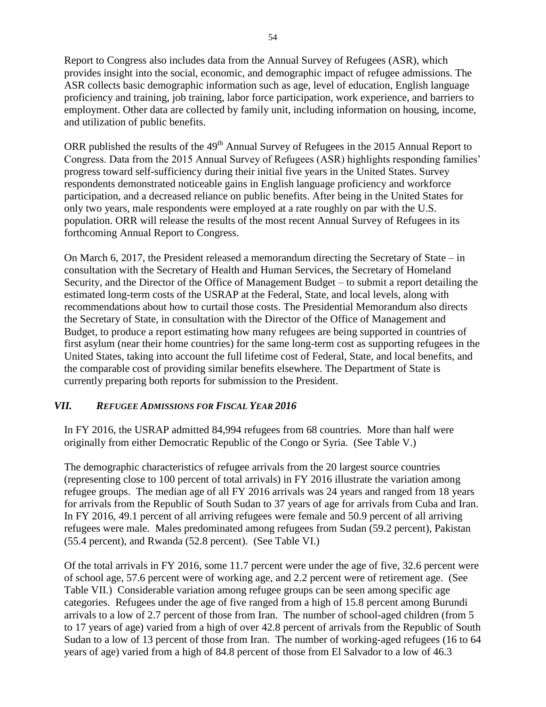Report to Congress also includes data from the Annual Survey of Refugees (ASR), which provides insight into the social, economic, and demographic impact of refugee admissions. The ASR collects basic demographic information such as age, level of education, English language proficiency and training, job training, labor force participation, work experience, and barriers to employment. Other data are collected by family unit, including information on housing, income, and utilization of public benefits.

ORR published the results of the 49<sup>th</sup> Annual Survey of Refugees in the 2015 Annual Report to Congress. Data from the 2015 Annual Survey of Refugees (ASR) highlights responding families' progress toward self-sufficiency during their initial five years in the United States. Survey respondents demonstrated noticeable gains in English language proficiency and workforce participation, and a decreased reliance on public benefits. After being in the United States for only two years, male respondents were employed at a rate roughly on par with the U.S. population. ORR will release the results of the most recent Annual Survey of Refugees in its forthcoming Annual Report to Congress.

On March 6, 2017, the President released a memorandum directing the Secretary of State – in consultation with the Secretary of Health and Human Services, the Secretary of Homeland Security, and the Director of the Office of Management Budget – to submit a report detailing the estimated long-term costs of the USRAP at the Federal, State, and local levels, along with recommendations about how to curtail those costs. The Presidential Memorandum also directs the Secretary of State, in consultation with the Director of the Office of Management and Budget, to produce a report estimating how many refugees are being supported in countries of first asylum (near their home countries) for the same long-term cost as supporting refugees in the United States, taking into account the full lifetime cost of Federal, State, and local benefits, and the comparable cost of providing similar benefits elsewhere. The Department of State is currently preparing both reports for submission to the President.

## *VII. REFUGEE ADMISSIONS FOR FISCAL YEAR 2016*

In FY 2016, the USRAP admitted 84,994 refugees from 68 countries. More than half were originally from either Democratic Republic of the Congo or Syria. (See Table V.)

The demographic characteristics of refugee arrivals from the 20 largest source countries (representing close to 100 percent of total arrivals) in FY 2016 illustrate the variation among refugee groups. The median age of all FY 2016 arrivals was 24 years and ranged from 18 years for arrivals from the Republic of South Sudan to 37 years of age for arrivals from Cuba and Iran. In FY 2016, 49.1 percent of all arriving refugees were female and 50.9 percent of all arriving refugees were male. Males predominated among refugees from Sudan (59.2 percent), Pakistan (55.4 percent), and Rwanda (52.8 percent). (See Table VI.)

Of the total arrivals in FY 2016, some 11.7 percent were under the age of five, 32.6 percent were of school age, 57.6 percent were of working age, and 2.2 percent were of retirement age. (See Table VII.) Considerable variation among refugee groups can be seen among specific age categories. Refugees under the age of five ranged from a high of 15.8 percent among Burundi arrivals to a low of 2.7 percent of those from Iran. The number of school-aged children (from 5 to 17 years of age) varied from a high of over 42.8 percent of arrivals from the Republic of South Sudan to a low of 13 percent of those from Iran. The number of working-aged refugees (16 to 64 years of age) varied from a high of 84.8 percent of those from El Salvador to a low of 46.3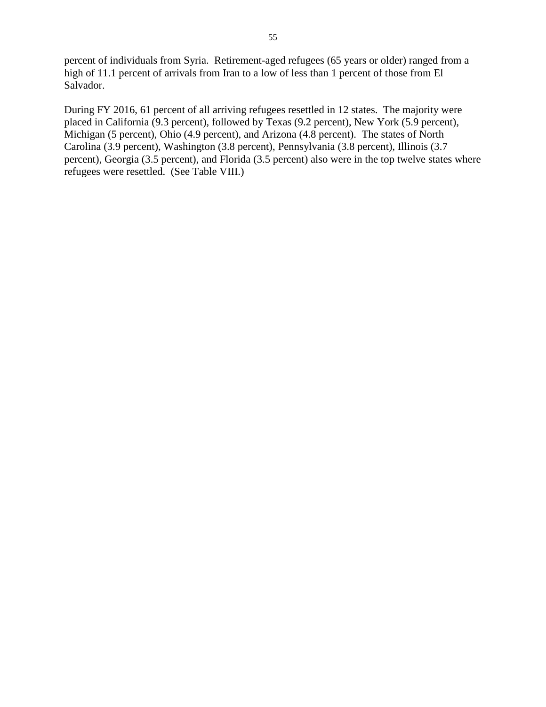percent of individuals from Syria. Retirement-aged refugees (65 years or older) ranged from a high of 11.1 percent of arrivals from Iran to a low of less than 1 percent of those from El Salvador.

During FY 2016, 61 percent of all arriving refugees resettled in 12 states. The majority were placed in California (9.3 percent), followed by Texas (9.2 percent), New York (5.9 percent), Michigan (5 percent), Ohio (4.9 percent), and Arizona (4.8 percent). The states of North Carolina (3.9 percent), Washington (3.8 percent), Pennsylvania (3.8 percent), Illinois (3.7 percent), Georgia (3.5 percent), and Florida (3.5 percent) also were in the top twelve states where refugees were resettled. (See Table VIII.)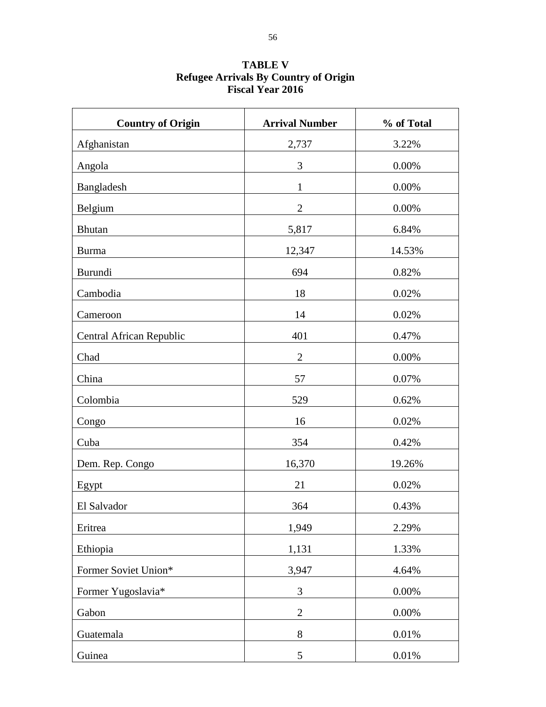| <b>Country of Origin</b> | <b>Arrival Number</b> | % of Total |
|--------------------------|-----------------------|------------|
| Afghanistan              | 2,737                 | 3.22%      |
| Angola                   | 3                     | 0.00%      |
| Bangladesh               | $\mathbf{1}$          | 0.00%      |
| Belgium                  | $\mathbf{2}$          | 0.00%      |
| Bhutan                   | 5,817                 | 6.84%      |
| <b>Burma</b>             | 12,347                | 14.53%     |
| Burundi                  | 694                   | 0.82%      |
| Cambodia                 | 18                    | 0.02%      |
| Cameroon                 | 14                    | 0.02%      |
| Central African Republic | 401                   | 0.47%      |
| Chad                     | $\overline{2}$        | 0.00%      |
| China                    | 57                    | 0.07%      |
| Colombia                 | 529                   | 0.62%      |
| Congo                    | 16                    | 0.02%      |
| Cuba                     | 354                   | 0.42%      |
| Dem. Rep. Congo          | 16,370                | 19.26%     |
| Egypt                    | 21                    | 0.02%      |
| El Salvador              | 364                   | 0.43%      |
| Eritrea                  | 1,949                 | 2.29%      |
| Ethiopia                 | 1,131                 | 1.33%      |
| Former Soviet Union*     | 3,947                 | 4.64%      |
| Former Yugoslavia*       | 3                     | 0.00%      |
| Gabon                    | $\overline{2}$        | 0.00%      |
| Guatemala                | $8\,$                 | 0.01%      |
| Guinea                   | 5                     | $0.01\%$   |

## **TABLE V Refugee Arrivals By Country of Origin Fiscal Year 2016**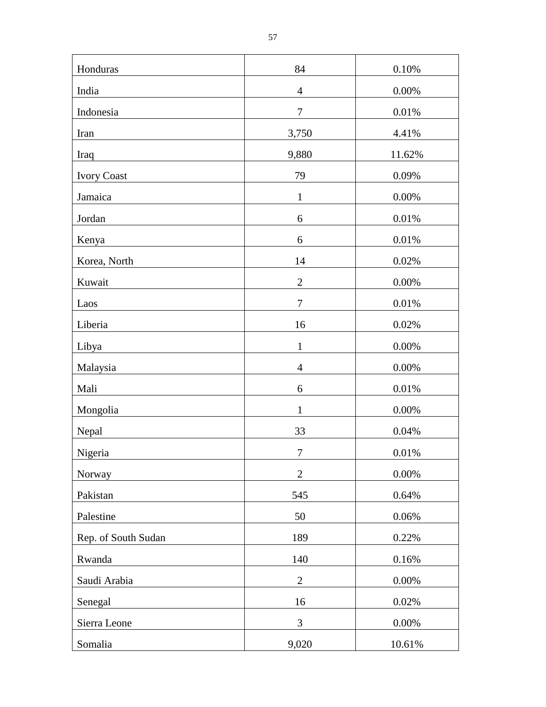| Honduras            | 84               | 0.10%    |
|---------------------|------------------|----------|
| India               | $\overline{4}$   | $0.00\%$ |
| Indonesia           | $\tau$           | $0.01\%$ |
| Iran                | 3,750            | 4.41%    |
| Iraq                | 9,880            | 11.62%   |
| <b>Ivory Coast</b>  | 79               | 0.09%    |
| Jamaica             | $\mathbf{1}$     | 0.00%    |
| Jordan              | 6                | 0.01%    |
| Kenya               | $\sqrt{6}$       | $0.01\%$ |
| Korea, North        | 14               | 0.02%    |
| Kuwait              | $\mathbf{2}$     | 0.00%    |
| Laos                | $\boldsymbol{7}$ | $0.01\%$ |
| Liberia             | 16               | 0.02%    |
| Libya               | $\mathbf{1}$     | 0.00%    |
| Malaysia            | $\overline{4}$   | 0.00%    |
| Mali                | 6                | 0.01%    |
| Mongolia            | $\mathbf{1}$     | 0.00%    |
| Nepal               | 33               | 0.04%    |
| Nigeria             | $\boldsymbol{7}$ | 0.01%    |
| Norway              | $\overline{2}$   | 0.00%    |
| Pakistan            | 545              | 0.64%    |
| Palestine           | 50               | 0.06%    |
| Rep. of South Sudan | 189              | 0.22%    |
| Rwanda              | 140              | 0.16%    |
| Saudi Arabia        | $\overline{2}$   | 0.00%    |
| Senegal             | 16               | 0.02%    |
| Sierra Leone        | 3                | 0.00%    |
| Somalia             | 9,020            | 10.61%   |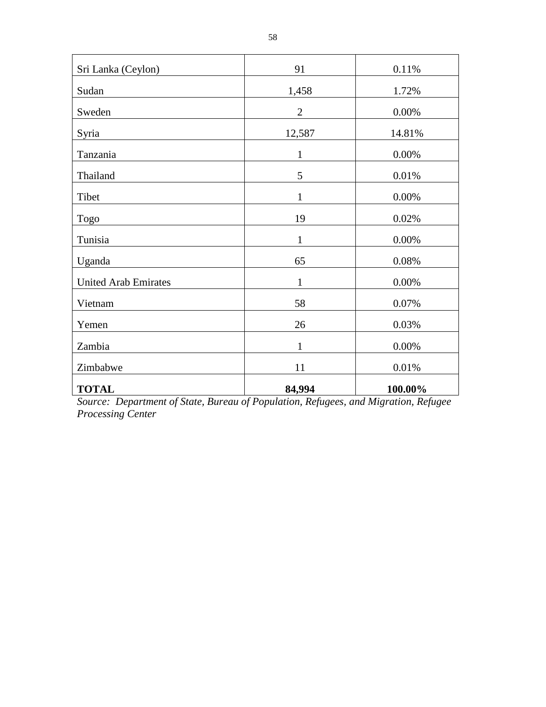| Sri Lanka (Ceylon)          | 91           | 0.11%    |
|-----------------------------|--------------|----------|
| Sudan                       | 1,458        | 1.72%    |
| Sweden                      | $\mathbf{2}$ | 0.00%    |
| Syria                       | 12,587       | 14.81%   |
| Tanzania                    | $\mathbf{1}$ | 0.00%    |
| Thailand                    | 5            | 0.01%    |
| Tibet                       | $\mathbf{1}$ | 0.00%    |
| Togo                        | 19           | $0.02\%$ |
| Tunisia                     | $\mathbf{1}$ | 0.00%    |
| Uganda                      | 65           | 0.08%    |
| <b>United Arab Emirates</b> | $\mathbf{1}$ | 0.00%    |
| Vietnam                     | 58           | 0.07%    |
| Yemen                       | 26           | 0.03%    |
| Zambia                      | $\mathbf{1}$ | $0.00\%$ |
| Zimbabwe                    | 11           | 0.01%    |
| <b>TOTAL</b>                | 84,994       | 100.00%  |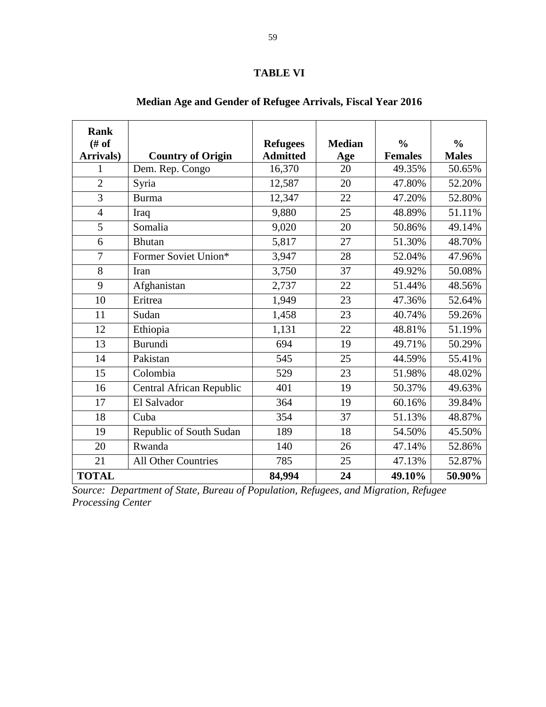## **TABLE VI**

| <b>Rank</b><br># of |                                 | <b>Refugees</b> | <b>Median</b> | $\frac{0}{0}$  | $\frac{0}{0}$ |
|---------------------|---------------------------------|-----------------|---------------|----------------|---------------|
| Arrivals)           | <b>Country of Origin</b>        | <b>Admitted</b> | Age           | <b>Females</b> | <b>Males</b>  |
| 1                   | Dem. Rep. Congo                 | 16,370          | 20            | 49.35%         | 50.65%        |
| $\overline{2}$      | Syria                           | 12,587          | 20            | 47.80%         | 52.20%        |
| $\overline{3}$      | <b>Burma</b>                    | 12,347          | 22            | 47.20%         | 52.80%        |
| $\overline{4}$      | Iraq                            | 9,880           | 25            | 48.89%         | 51.11%        |
| 5                   | Somalia                         | 9,020           | 20            | 50.86%         | 49.14%        |
| 6                   | <b>Bhutan</b>                   | 5,817           | 27            | 51.30%         | 48.70%        |
| $\overline{7}$      | Former Soviet Union*            | 3,947           | 28            | 52.04%         | 47.96%        |
| 8                   | Iran                            | 3,750           | 37            | 49.92%         | 50.08%        |
| 9                   | Afghanistan                     | 2,737           | 22            | 51.44%         | 48.56%        |
| 10                  | Eritrea                         | 1,949           | 23            | 47.36%         | 52.64%        |
| 11                  | Sudan                           | 1,458           | 23            | 40.74%         | 59.26%        |
| 12                  | Ethiopia                        | 1,131           | 22            | 48.81%         | 51.19%        |
| 13                  | Burundi                         | 694             | 19            | 49.71%         | 50.29%        |
| 14                  | Pakistan                        | 545             | 25            | 44.59%         | 55.41%        |
| 15                  | Colombia                        | 529             | 23            | 51.98%         | 48.02%        |
| 16                  | <b>Central African Republic</b> | 401             | 19            | 50.37%         | 49.63%        |
| 17                  | El Salvador                     | 364             | 19            | 60.16%         | 39.84%        |
| 18                  | Cuba                            | 354             | 37            | 51.13%         | 48.87%        |
| 19                  | Republic of South Sudan         | 189             | 18            | 54.50%         | 45.50%        |
| 20                  | Rwanda                          | 140             | 26            | 47.14%         | 52.86%        |
| 21                  | <b>All Other Countries</b>      | 785             | 25            | 47.13%         | 52.87%        |
| <b>TOTAL</b>        |                                 | 84,994          | 24            | 49.10%         | 50.90%        |

# **Median Age and Gender of Refugee Arrivals, Fiscal Year 2016**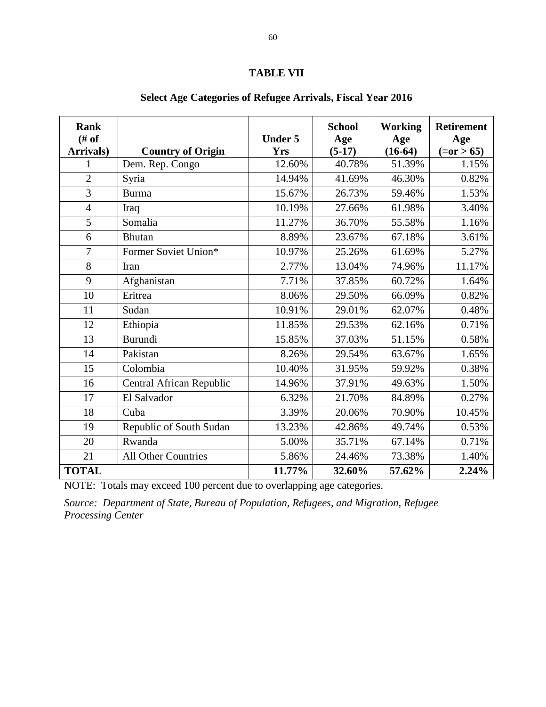#### **TABLE VII**

| <b>Rank</b><br># of |                          | <b>Under 5</b> | <b>School</b><br>Age | <b>Working</b><br>Age | <b>Retirement</b><br>Age |
|---------------------|--------------------------|----------------|----------------------|-----------------------|--------------------------|
| Arrivals)           | <b>Country of Origin</b> | <b>Yrs</b>     | $(5-17)$             | $(16-64)$             | $(=0r > 65)$             |
| 1                   | Dem. Rep. Congo          | 12.60%         | 40.78%               | 51.39%                | 1.15%                    |
| $\overline{2}$      | Syria                    | 14.94%         | 41.69%               | 46.30%                | 0.82%                    |
| 3                   | <b>Burma</b>             | 15.67%         | 26.73%               | 59.46%                | 1.53%                    |
| $\overline{4}$      | Iraq                     | 10.19%         | 27.66%               | 61.98%                | 3.40%                    |
| $\overline{5}$      | Somalia                  | 11.27%         | 36.70%               | 55.58%                | 1.16%                    |
| 6                   | <b>Bhutan</b>            | 8.89%          | 23.67%               | 67.18%                | 3.61%                    |
| $\overline{7}$      | Former Soviet Union*     | 10.97%         | 25.26%               | 61.69%                | 5.27%                    |
| 8                   | Iran                     | 2.77%          | 13.04%               | 74.96%                | 11.17%                   |
| 9                   | Afghanistan              | 7.71%          | 37.85%               | 60.72%                | 1.64%                    |
| 10                  | Eritrea                  | 8.06%          | 29.50%               | 66.09%                | 0.82%                    |
| 11                  | Sudan                    | 10.91%         | 29.01%               | 62.07%                | 0.48%                    |
| 12                  | Ethiopia                 | 11.85%         | 29.53%               | 62.16%                | 0.71%                    |
| 13                  | Burundi                  | 15.85%         | 37.03%               | 51.15%                | 0.58%                    |
| 14                  | Pakistan                 | 8.26%          | 29.54%               | 63.67%                | 1.65%                    |
| 15                  | Colombia                 | 10.40%         | 31.95%               | 59.92%                | 0.38%                    |
| 16                  | Central African Republic | 14.96%         | 37.91%               | 49.63%                | 1.50%                    |
| 17                  | El Salvador              | 6.32%          | 21.70%               | 84.89%                | 0.27%                    |
| 18                  | Cuba                     | 3.39%          | 20.06%               | 70.90%                | 10.45%                   |
| 19                  | Republic of South Sudan  | 13.23%         | 42.86%               | 49.74%                | 0.53%                    |
| 20                  | Rwanda                   | 5.00%          | 35.71%               | 67.14%                | 0.71%                    |
| 21                  | All Other Countries      | 5.86%          | 24.46%               | 73.38%                | 1.40%                    |
| <b>TOTAL</b>        |                          | 11.77%         | 32.60%               | 57.62%                | 2.24%                    |

## **Select Age Categories of Refugee Arrivals, Fiscal Year 2016**

NOTE: Totals may exceed 100 percent due to overlapping age categories.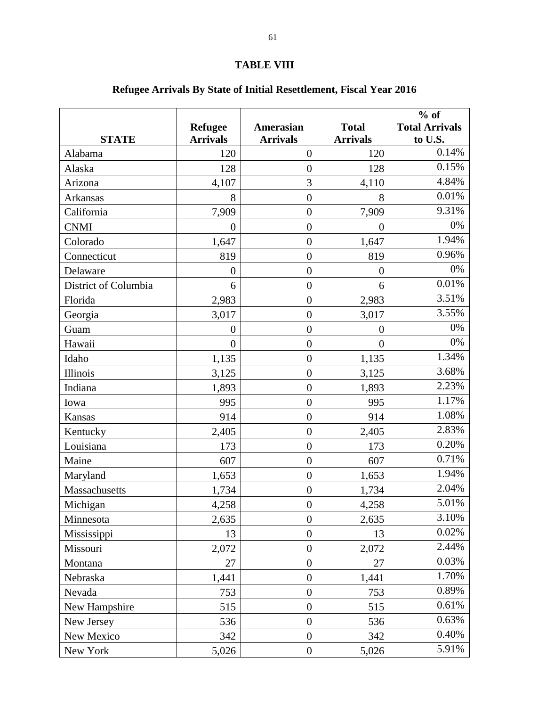# **TABLE VIII**

# **Refugee Arrivals By State of Initial Resettlement, Fiscal Year 2016**

|                      | <b>Refugee</b>   | <b>Amerasian</b> | <b>Total</b>     | $%$ of<br><b>Total Arrivals</b> |
|----------------------|------------------|------------------|------------------|---------------------------------|
| <b>STATE</b>         | <b>Arrivals</b>  | <b>Arrivals</b>  | <b>Arrivals</b>  | to U.S.                         |
| Alabama              | 120              | $\overline{0}$   | 120              | 0.14%                           |
| Alaska               | 128              | $\overline{0}$   | 128              | 0.15%                           |
| Arizona              | 4,107            | 3                | 4,110            | 4.84%                           |
| Arkansas             | 8                | $\overline{0}$   | 8                | 0.01%                           |
| California           | 7,909            | $\overline{0}$   | 7,909            | 9.31%                           |
| <b>CNMI</b>          | $\boldsymbol{0}$ | $\boldsymbol{0}$ | $\boldsymbol{0}$ | 0%                              |
| Colorado             | 1,647            | $\boldsymbol{0}$ | 1,647            | 1.94%                           |
| Connecticut          | 819              | $\overline{0}$   | 819              | 0.96%                           |
| Delaware             | $\overline{0}$   | $\overline{0}$   | $\overline{0}$   | 0%                              |
| District of Columbia | 6                | $\overline{0}$   | 6                | 0.01%                           |
| Florida              | 2,983            | $\overline{0}$   | 2,983            | 3.51%                           |
| Georgia              | 3,017            | $\overline{0}$   | 3,017            | 3.55%                           |
| Guam                 | $\overline{0}$   | $\overline{0}$   | $\overline{0}$   | 0%                              |
| Hawaii               | $\overline{0}$   | $\overline{0}$   | $\overline{0}$   | 0%                              |
| Idaho                | 1,135            | $\overline{0}$   | 1,135            | 1.34%                           |
| Illinois             | 3,125            | $\overline{0}$   | 3,125            | 3.68%                           |
| Indiana              | 1,893            | $\boldsymbol{0}$ | 1,893            | 2.23%                           |
| Iowa                 | 995              | $\boldsymbol{0}$ | 995              | 1.17%                           |
| Kansas               | 914              | $\boldsymbol{0}$ | 914              | 1.08%                           |
| Kentucky             | 2,405            | $\overline{0}$   | 2,405            | 2.83%                           |
| Louisiana            | 173              | $\boldsymbol{0}$ | 173              | 0.20%                           |
| Maine                | 607              | $\overline{0}$   | 607              | 0.71%                           |
| Maryland             | 1,653            | $\overline{0}$   | 1,653            | 1.94%                           |
| Massachusetts        | 1,734            | $\overline{0}$   | 1,734            | 2.04%                           |
| Michigan             | 4,258            | $\boldsymbol{0}$ | 4,258            | 5.01%                           |
| Minnesota            | 2,635            | $\overline{0}$   | 2,635            | 3.10%                           |
| Mississippi          | 13               | $\overline{0}$   | 13               | 0.02%                           |
| Missouri             | 2,072            | $\boldsymbol{0}$ | 2,072            | 2.44%                           |
| Montana              | 27               | $\boldsymbol{0}$ | 27               | 0.03%                           |
| Nebraska             | 1,441            | $\boldsymbol{0}$ | 1,441            | 1.70%                           |
| Nevada               | 753              | $\boldsymbol{0}$ | 753              | 0.89%                           |
| New Hampshire        | 515              | $\boldsymbol{0}$ | 515              | 0.61%                           |
| New Jersey           | 536              | $\overline{0}$   | 536              | 0.63%                           |
| New Mexico           | 342              | $\boldsymbol{0}$ | 342              | 0.40%                           |
| New York             | 5,026            | $\boldsymbol{0}$ | 5,026            | 5.91%                           |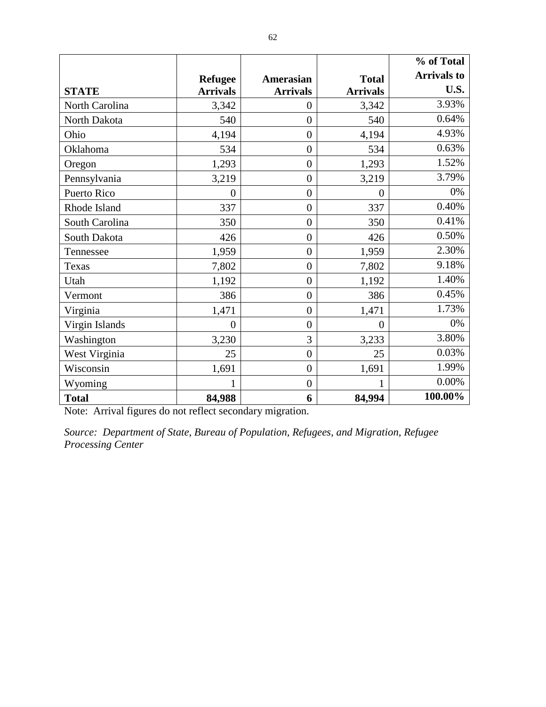|                |                  |                  |                 | % of Total         |
|----------------|------------------|------------------|-----------------|--------------------|
|                | <b>Refugee</b>   | <b>Amerasian</b> | <b>Total</b>    | <b>Arrivals to</b> |
| <b>STATE</b>   | <b>Arrivals</b>  | <b>Arrivals</b>  | <b>Arrivals</b> | U.S.               |
| North Carolina | 3,342            | $\overline{0}$   | 3,342           | 3.93%              |
| North Dakota   | 540              | $\overline{0}$   | 540             | 0.64%              |
| Ohio           | 4,194            | $\overline{0}$   | 4,194           | 4.93%              |
| Oklahoma       | 534              | $\overline{0}$   | 534             | 0.63%              |
| Oregon         | 1,293            | $\overline{0}$   | 1,293           | 1.52%              |
| Pennsylvania   | 3,219            | $\overline{0}$   | 3,219           | 3.79%              |
| Puerto Rico    | $\theta$         | $\overline{0}$   | $\overline{0}$  | 0%                 |
| Rhode Island   | 337              | $\overline{0}$   | 337             | 0.40%              |
| South Carolina | 350              | $\overline{0}$   | 350             | 0.41%              |
| South Dakota   | 426              | $\overline{0}$   | 426             | 0.50%              |
| Tennessee      | 1,959            | $\overline{0}$   | 1,959           | 2.30%              |
| Texas          | 7,802            | $\overline{0}$   | 7,802           | 9.18%              |
| Utah           | 1,192            | $\overline{0}$   | 1,192           | 1.40%              |
| Vermont        | 386              | $\overline{0}$   | 386             | 0.45%              |
| Virginia       | 1,471            | $\overline{0}$   | 1,471           | 1.73%              |
| Virgin Islands | $\boldsymbol{0}$ | $\overline{0}$   | $\overline{0}$  | 0%                 |
| Washington     | 3,230            | 3                | 3,233           | 3.80%              |
| West Virginia  | 25               | $\overline{0}$   | 25              | 0.03%              |
| Wisconsin      | 1,691            | $\overline{0}$   | 1,691           | 1.99%              |
| Wyoming        | 1                | $\overline{0}$   |                 | $0.00\%$           |
| <b>Total</b>   | 84,988           | 6                | 84,994          | 100.00%            |

Note: Arrival figures do not reflect secondary migration.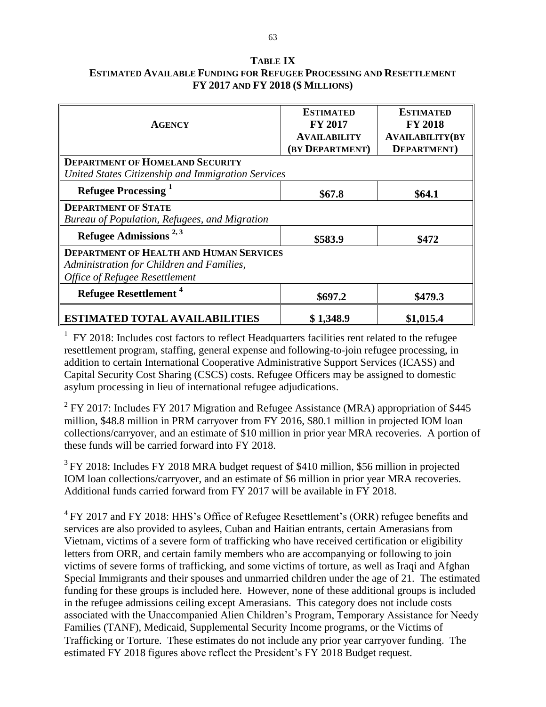## **TABLE IX ESTIMATED AVAILABLE FUNDING FOR REFUGEE PROCESSING AND RESETTLEMENT FY 2017 AND FY 2018 (\$ MILLIONS)**

|                                                    | <b>ESTIMATED</b>    | <b>ESTIMATED</b>       |  |  |  |
|----------------------------------------------------|---------------------|------------------------|--|--|--|
| <b>AGENCY</b>                                      | <b>FY 2017</b>      | <b>FY 2018</b>         |  |  |  |
|                                                    | <b>AVAILABILITY</b> | <b>AVAILABILITY(BY</b> |  |  |  |
|                                                    | (BY DEPARTMENT)     | <b>DEPARTMENT</b> )    |  |  |  |
| <b>DEPARTMENT OF HOMELAND SECURITY</b>             |                     |                        |  |  |  |
| United States Citizenship and Immigration Services |                     |                        |  |  |  |
| Refugee Processing <sup>1</sup>                    | \$67.8<br>\$64.1    |                        |  |  |  |
| <b>DEPARTMENT OF STATE</b>                         |                     |                        |  |  |  |
| Bureau of Population, Refugees, and Migration      |                     |                        |  |  |  |
| Refugee Admissions $^{2,3}$                        | \$583.9             | \$472                  |  |  |  |
| <b>DEPARTMENT OF HEALTH AND HUMAN SERVICES</b>     |                     |                        |  |  |  |
| Administration for Children and Families,          |                     |                        |  |  |  |
| <b>Office of Refugee Resettlement</b>              |                     |                        |  |  |  |
| Refugee Resettlement <sup>4</sup>                  | \$697.2             | \$479.3                |  |  |  |
| <b>ESTIMATED TOTAL AVAILABILITIES</b>              | \$1,348.9           | \$1,015.4              |  |  |  |

 $1$  FY 2018: Includes cost factors to reflect Headquarters facilities rent related to the refugee resettlement program, staffing, general expense and following-to-join refugee processing, in addition to certain International Cooperative Administrative Support Services (ICASS) and Capital Security Cost Sharing (CSCS) costs. Refugee Officers may be assigned to domestic asylum processing in lieu of international refugee adjudications.

<sup>2</sup> FY 2017: Includes FY 2017 Migration and Refugee Assistance (MRA) appropriation of \$445 million, \$48.8 million in PRM carryover from FY 2016, \$80.1 million in projected IOM loan collections/carryover, and an estimate of \$10 million in prior year MRA recoveries. A portion of these funds will be carried forward into FY 2018.

 $3$  FY 2018: Includes FY 2018 MRA budget request of \$410 million, \$56 million in projected IOM loan collections/carryover, and an estimate of \$6 million in prior year MRA recoveries. Additional funds carried forward from FY 2017 will be available in FY 2018.

 $4$  FY 2017 and FY 2018: HHS's Office of Refugee Resettlement's (ORR) refugee benefits and services are also provided to asylees, Cuban and Haitian entrants, certain Amerasians from Vietnam, victims of a severe form of trafficking who have received certification or eligibility letters from ORR, and certain family members who are accompanying or following to join victims of severe forms of trafficking, and some victims of torture, as well as Iraqi and Afghan Special Immigrants and their spouses and unmarried children under the age of 21. The estimated funding for these groups is included here. However, none of these additional groups is included in the refugee admissions ceiling except Amerasians. This category does not include costs associated with the Unaccompanied Alien Children's Program, Temporary Assistance for Needy Families (TANF), Medicaid, Supplemental Security Income programs, or the Victims of Trafficking or Torture. These estimates do not include any prior year carryover funding. The estimated FY 2018 figures above reflect the President's FY 2018 Budget request.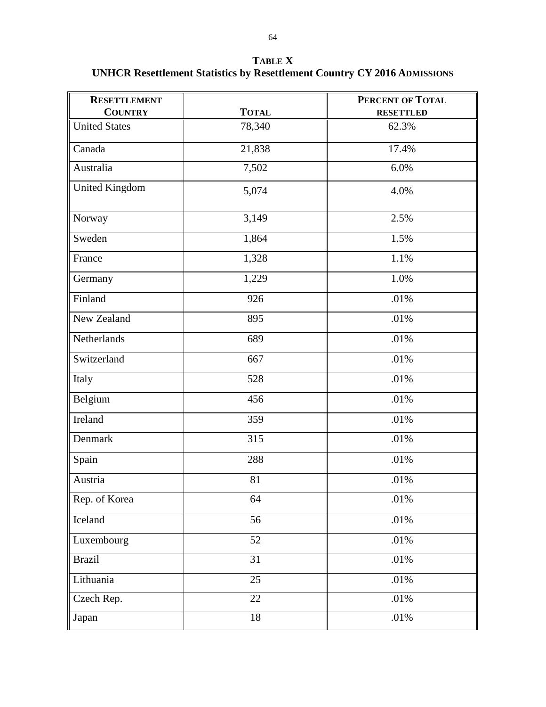**TABLE X UNHCR Resettlement Statistics by Resettlement Country CY 2016 ADMISSIONS**

| <b>RESETTLEMENT</b>  |              | <b>PERCENT OF TOTAL</b> |
|----------------------|--------------|-------------------------|
| <b>COUNTRY</b>       | <b>TOTAL</b> | <b>RESETTLED</b>        |
| <b>United States</b> | 78,340       | 62.3%                   |
| Canada               | 21,838       | 17.4%                   |
| Australia            | 7,502        | 6.0%                    |
| United Kingdom       | 5,074        | 4.0%                    |
| Norway               | 3,149        | 2.5%                    |
| Sweden               | 1,864        | 1.5%                    |
| France               | 1,328        | 1.1%                    |
| Germany              | 1,229        | 1.0%                    |
| Finland              | 926          | .01%                    |
| New Zealand          | 895          | .01%                    |
| Netherlands          | 689          | .01%                    |
| Switzerland          | 667          | .01%                    |
| Italy                | 528          | .01%                    |
| Belgium              | 456          | .01%                    |
| Ireland              | 359          | .01%                    |
| Denmark              | 315          | .01%                    |
| Spain                | 288          | .01%                    |
| Austria              | 81           | .01%                    |
| Rep. of Korea        | 64           | $.01\%$                 |
| Iceland              | 56           | .01%                    |
| Luxembourg           | 52           | .01%                    |
| <b>Brazil</b>        | 31           | .01%                    |
| Lithuania            | 25           | .01%                    |
| Czech Rep.           | 22           | $.01\%$                 |
| Japan                | 18           | $.01\%$                 |